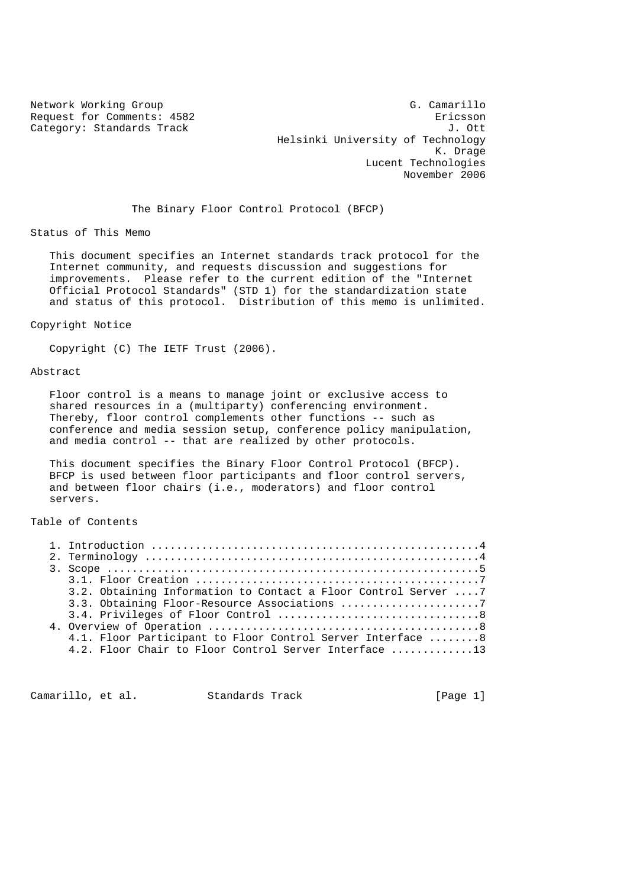Network Working Group G. Camarillo Request for Comments: 4582 Ericsson Category: Standards Track J. Ott J. Ott J. Ott J. Ott J. Ott J. Ott J. Ott J. Ott J. Ott J. Ott J. Ott J. Ott J. Ott J. Ott J. Ott J. Ott J. Ott J. Ott J. Ott J. Ott J. Ott J. Ott J. Ott J. Ott J. Ott J. Ott J. Ott J. Ott Helsinki University of Technology K. Drage Lucent Technologies November 2006

The Binary Floor Control Protocol (BFCP)

Status of This Memo

 This document specifies an Internet standards track protocol for the Internet community, and requests discussion and suggestions for improvements. Please refer to the current edition of the "Internet Official Protocol Standards" (STD 1) for the standardization state and status of this protocol. Distribution of this memo is unlimited.

Copyright Notice

Copyright (C) The IETF Trust (2006).

### Abstract

 Floor control is a means to manage joint or exclusive access to shared resources in a (multiparty) conferencing environment. Thereby, floor control complements other functions -- such as conference and media session setup, conference policy manipulation, and media control -- that are realized by other protocols.

 This document specifies the Binary Floor Control Protocol (BFCP). BFCP is used between floor participants and floor control servers, and between floor chairs (i.e., moderators) and floor control servers.

Table of Contents

|  | 3.2. Obtaining Information to Contact a Floor Control Server 7 |
|--|----------------------------------------------------------------|
|  | 3.3. Obtaining Floor-Resource Associations 7                   |
|  |                                                                |
|  |                                                                |
|  | 4.1. Floor Participant to Floor Control Server Interface  8    |
|  | 4.2. Floor Chair to Floor Control Server Interface 13          |
|  |                                                                |

Camarillo, et al. Standards Track [Page 1]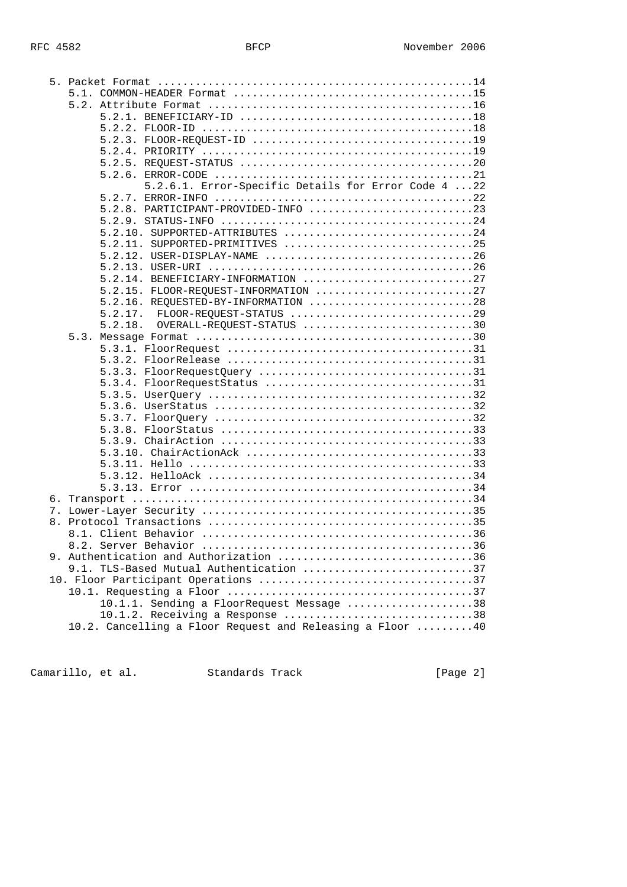| 5.2.6.1. Error-Specific Details for Error Code 4 22       |  |
|-----------------------------------------------------------|--|
|                                                           |  |
| 5.2.8. PARTICIPANT-PROVIDED-INFO 23                       |  |
|                                                           |  |
| $5.2.10.$ SUPPORTED-ATTRIBUTES 24                         |  |
| 5.2.11. SUPPORTED-PRIMITIVES 25                           |  |
|                                                           |  |
|                                                           |  |
| 5.2.14. BENEFICIARY-INFORMATION 27                        |  |
| 5.2.15. FLOOR-REQUEST-INFORMATION 27                      |  |
| 5.2.16. REQUESTED-BY-INFORMATION 28                       |  |
|                                                           |  |
| OVERALL-REQUEST-STATUS 30<br>5.2.18.                      |  |
|                                                           |  |
|                                                           |  |
|                                                           |  |
|                                                           |  |
|                                                           |  |
|                                                           |  |
|                                                           |  |
|                                                           |  |
|                                                           |  |
|                                                           |  |
|                                                           |  |
|                                                           |  |
|                                                           |  |
|                                                           |  |
|                                                           |  |
|                                                           |  |
|                                                           |  |
|                                                           |  |
|                                                           |  |
| 9. Authentication and Authorization 36                    |  |
| 9.1. TLS-Based Mutual Authentication 37                   |  |
|                                                           |  |
|                                                           |  |
| 10.1.1. Sending a FloorRequest Message 38                 |  |
| 10.1.2. Receiving a Response 38                           |  |
| 10.2. Cancelling a Floor Request and Releasing a Floor 40 |  |

Camarillo, et al. Standards Track [Page 2]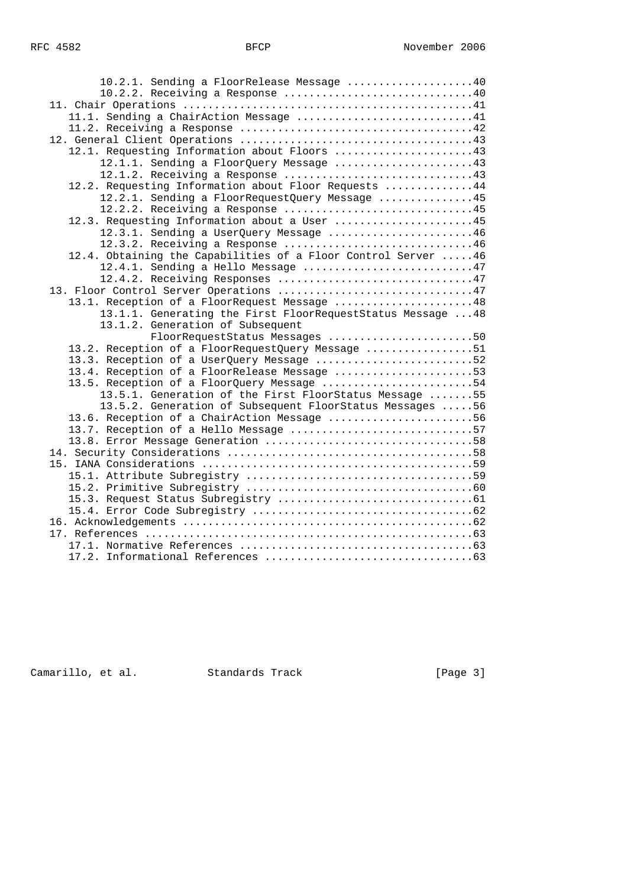| 10.2.1. Sending a FloorRelease Message 40                     |
|---------------------------------------------------------------|
| 10.2.2. Receiving a Response 40                               |
|                                                               |
| 11.1. Sending a ChairAction Message 41                        |
|                                                               |
|                                                               |
| 12.1. Requesting Information about Floors 43                  |
| 12.1.1. Sending a FloorQuery Message 43                       |
| 12.1.2. Receiving a Response 43                               |
| 12.2. Requesting Information about Floor Requests 44          |
| 12.2.1. Sending a FloorRequestQuery Message 45                |
| 12.2.2. Receiving a Response 45                               |
| 12.3. Requesting Information about a User 45                  |
| 12.3.1. Sending a UserQuery Message 46                        |
| 12.3.2. Receiving a Response 46                               |
| 12.4. Obtaining the Capabilities of a Floor Control Server 46 |
| 12.4.1. Sending a Hello Message 47                            |
| 12.4.2. Receiving Responses 47                                |
|                                                               |
| 13.1. Reception of a FloorRequest Message 48                  |
| 13.1.1. Generating the First FloorRequestStatus Message  48   |
| 13.1.2. Generation of Subsequent                              |
| FloorRequestStatus Messages 50                                |
| 13.2. Reception of a FloorRequestQuery Message 51             |
| 13.3. Reception of a UserQuery Message 52                     |
| 13.4. Reception of a FloorRelease Message 53                  |
| 13.5. Reception of a FloorQuery Message 54                    |
| 13.5.1. Generation of the First FloorStatus Message 55        |
| 13.5.2. Generation of Subsequent FloorStatus Messages 56      |
| 13.6. Reception of a ChairAction Message 56                   |
| 13.7. Reception of a Hello Message 57                         |
| 13.8. Error Message Generation 58                             |
|                                                               |
|                                                               |
|                                                               |
|                                                               |
|                                                               |
|                                                               |
|                                                               |
|                                                               |
|                                                               |
|                                                               |
|                                                               |

Camarillo, et al. Standards Track [Page 3]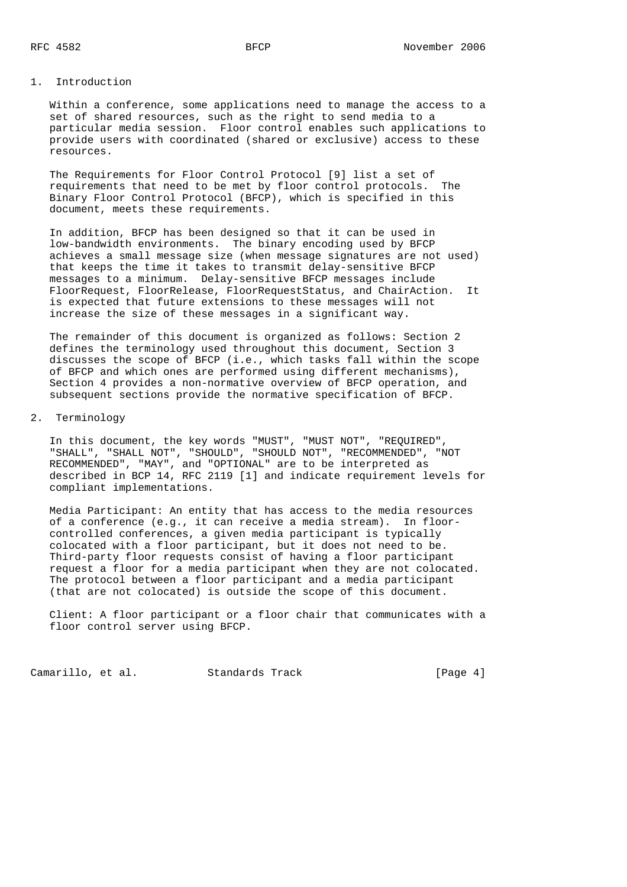# 1. Introduction

 Within a conference, some applications need to manage the access to a set of shared resources, such as the right to send media to a particular media session. Floor control enables such applications to provide users with coordinated (shared or exclusive) access to these resources.

 The Requirements for Floor Control Protocol [9] list a set of requirements that need to be met by floor control protocols. The Binary Floor Control Protocol (BFCP), which is specified in this document, meets these requirements.

 In addition, BFCP has been designed so that it can be used in low-bandwidth environments. The binary encoding used by BFCP achieves a small message size (when message signatures are not used) that keeps the time it takes to transmit delay-sensitive BFCP messages to a minimum. Delay-sensitive BFCP messages include FloorRequest, FloorRelease, FloorRequestStatus, and ChairAction. It is expected that future extensions to these messages will not increase the size of these messages in a significant way.

 The remainder of this document is organized as follows: Section 2 defines the terminology used throughout this document, Section 3 discusses the scope of BFCP (i.e., which tasks fall within the scope of BFCP and which ones are performed using different mechanisms), Section 4 provides a non-normative overview of BFCP operation, and subsequent sections provide the normative specification of BFCP.

### 2. Terminology

 In this document, the key words "MUST", "MUST NOT", "REQUIRED", "SHALL", "SHALL NOT", "SHOULD", "SHOULD NOT", "RECOMMENDED", "NOT RECOMMENDED", "MAY", and "OPTIONAL" are to be interpreted as described in BCP 14, RFC 2119 [1] and indicate requirement levels for compliant implementations.

 Media Participant: An entity that has access to the media resources of a conference (e.g., it can receive a media stream). In floor controlled conferences, a given media participant is typically colocated with a floor participant, but it does not need to be. Third-party floor requests consist of having a floor participant request a floor for a media participant when they are not colocated. The protocol between a floor participant and a media participant (that are not colocated) is outside the scope of this document.

 Client: A floor participant or a floor chair that communicates with a floor control server using BFCP.

Camarillo, et al. Standards Track [Page 4]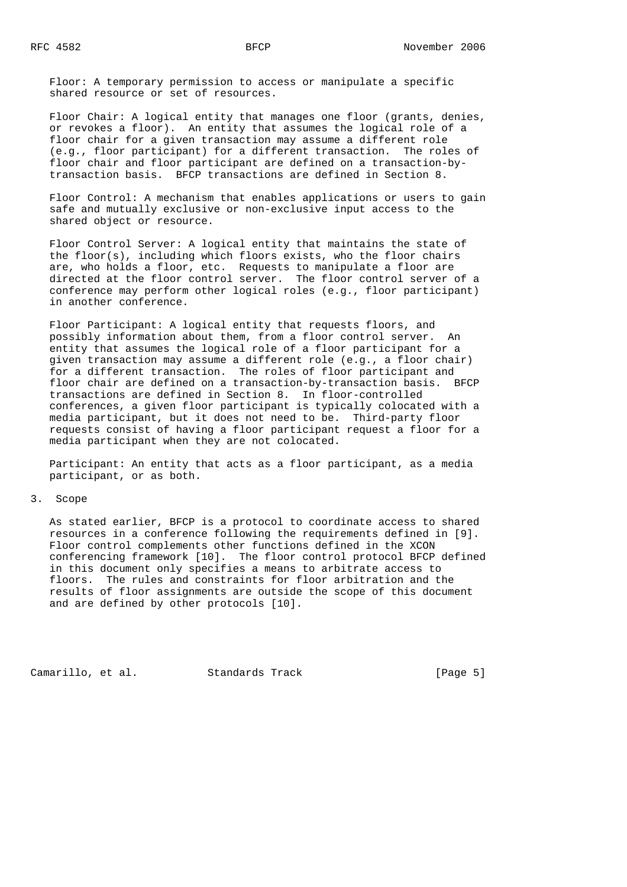Floor: A temporary permission to access or manipulate a specific shared resource or set of resources.

 Floor Chair: A logical entity that manages one floor (grants, denies, or revokes a floor). An entity that assumes the logical role of a floor chair for a given transaction may assume a different role (e.g., floor participant) for a different transaction. The roles of floor chair and floor participant are defined on a transaction-by transaction basis. BFCP transactions are defined in Section 8.

 Floor Control: A mechanism that enables applications or users to gain safe and mutually exclusive or non-exclusive input access to the shared object or resource.

 Floor Control Server: A logical entity that maintains the state of the floor(s), including which floors exists, who the floor chairs are, who holds a floor, etc. Requests to manipulate a floor are directed at the floor control server. The floor control server of a conference may perform other logical roles (e.g., floor participant) in another conference.

 Floor Participant: A logical entity that requests floors, and possibly information about them, from a floor control server. An entity that assumes the logical role of a floor participant for a given transaction may assume a different role (e.g., a floor chair) for a different transaction. The roles of floor participant and floor chair are defined on a transaction-by-transaction basis. BFCP transactions are defined in Section 8. In floor-controlled conferences, a given floor participant is typically colocated with a media participant, but it does not need to be. Third-party floor requests consist of having a floor participant request a floor for a media participant when they are not colocated.

 Participant: An entity that acts as a floor participant, as a media participant, or as both.

3. Scope

 As stated earlier, BFCP is a protocol to coordinate access to shared resources in a conference following the requirements defined in [9]. Floor control complements other functions defined in the XCON conferencing framework [10]. The floor control protocol BFCP defined in this document only specifies a means to arbitrate access to floors. The rules and constraints for floor arbitration and the results of floor assignments are outside the scope of this document and are defined by other protocols [10].

Camarillo, et al. Standards Track [Page 5]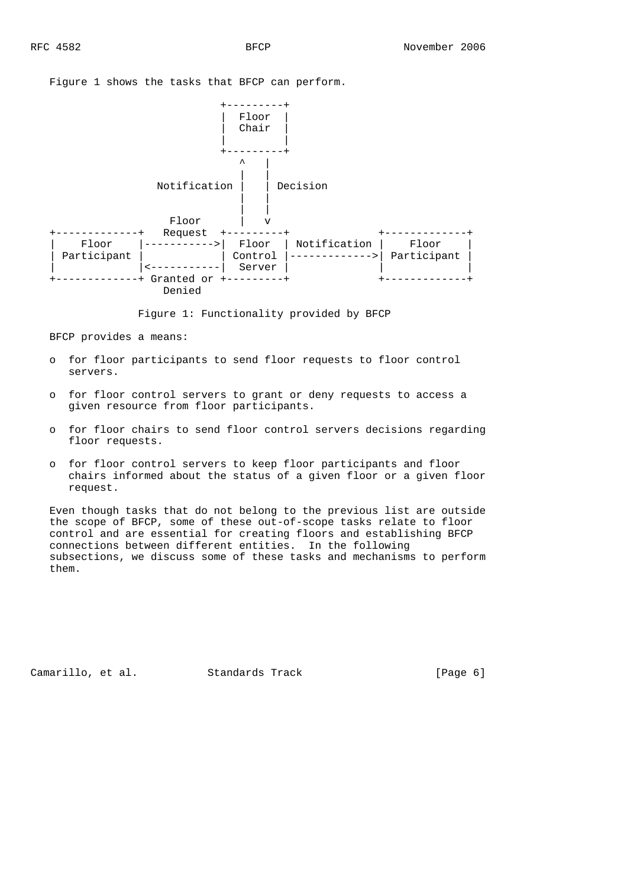Figure 1 shows the tasks that BFCP can perform.



Figure 1: Functionality provided by BFCP

BFCP provides a means:

- o for floor participants to send floor requests to floor control servers.
- o for floor control servers to grant or deny requests to access a given resource from floor participants.
- o for floor chairs to send floor control servers decisions regarding floor requests.
- o for floor control servers to keep floor participants and floor chairs informed about the status of a given floor or a given floor request.

 Even though tasks that do not belong to the previous list are outside the scope of BFCP, some of these out-of-scope tasks relate to floor control and are essential for creating floors and establishing BFCP connections between different entities. In the following subsections, we discuss some of these tasks and mechanisms to perform them.

Camarillo, et al. Standards Track [Page 6]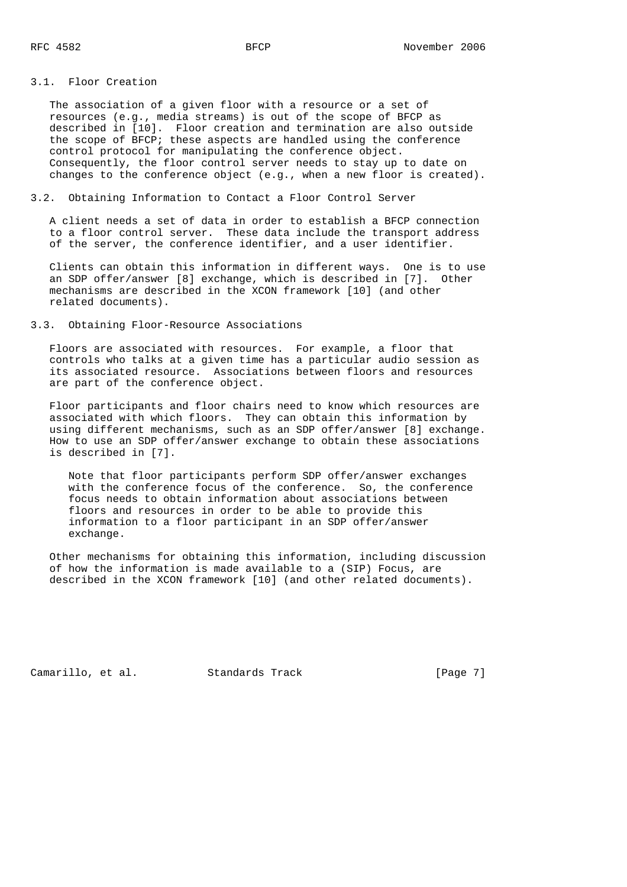# 3.1. Floor Creation

 The association of a given floor with a resource or a set of resources (e.g., media streams) is out of the scope of BFCP as described in [10]. Floor creation and termination are also outside the scope of BFCP; these aspects are handled using the conference control protocol for manipulating the conference object. Consequently, the floor control server needs to stay up to date on changes to the conference object (e.g., when a new floor is created).

# 3.2. Obtaining Information to Contact a Floor Control Server

 A client needs a set of data in order to establish a BFCP connection to a floor control server. These data include the transport address of the server, the conference identifier, and a user identifier.

 Clients can obtain this information in different ways. One is to use an SDP offer/answer [8] exchange, which is described in [7]. Other mechanisms are described in the XCON framework [10] (and other related documents).

# 3.3. Obtaining Floor-Resource Associations

 Floors are associated with resources. For example, a floor that controls who talks at a given time has a particular audio session as its associated resource. Associations between floors and resources are part of the conference object.

 Floor participants and floor chairs need to know which resources are associated with which floors. They can obtain this information by using different mechanisms, such as an SDP offer/answer [8] exchange. How to use an SDP offer/answer exchange to obtain these associations is described in [7].

 Note that floor participants perform SDP offer/answer exchanges with the conference focus of the conference. So, the conference focus needs to obtain information about associations between floors and resources in order to be able to provide this information to a floor participant in an SDP offer/answer exchange.

 Other mechanisms for obtaining this information, including discussion of how the information is made available to a (SIP) Focus, are described in the XCON framework [10] (and other related documents).

Camarillo, et al. Standards Track [Page 7]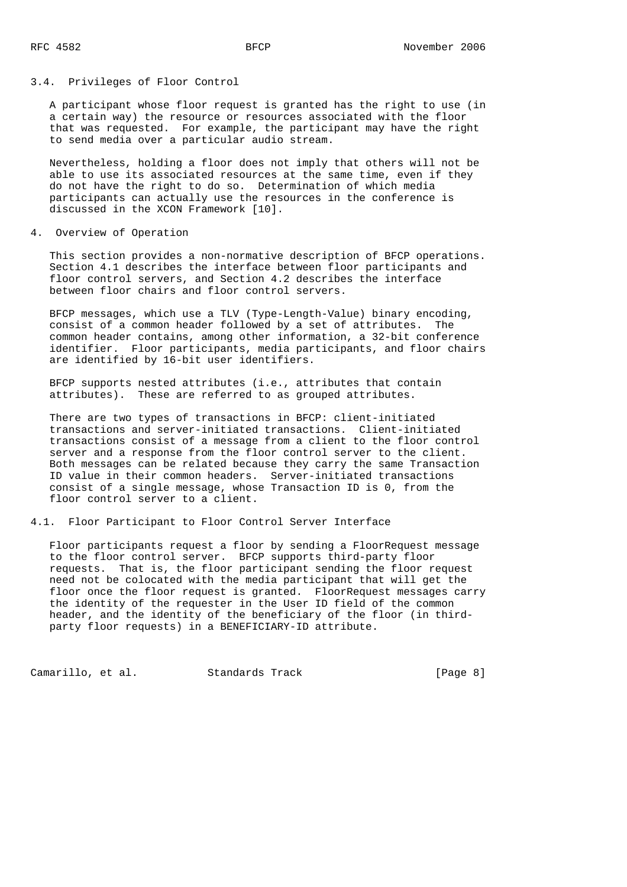## 3.4. Privileges of Floor Control

 A participant whose floor request is granted has the right to use (in a certain way) the resource or resources associated with the floor that was requested. For example, the participant may have the right to send media over a particular audio stream.

 Nevertheless, holding a floor does not imply that others will not be able to use its associated resources at the same time, even if they do not have the right to do so. Determination of which media participants can actually use the resources in the conference is discussed in the XCON Framework [10].

4. Overview of Operation

 This section provides a non-normative description of BFCP operations. Section 4.1 describes the interface between floor participants and floor control servers, and Section 4.2 describes the interface between floor chairs and floor control servers.

 BFCP messages, which use a TLV (Type-Length-Value) binary encoding, consist of a common header followed by a set of attributes. The common header contains, among other information, a 32-bit conference identifier. Floor participants, media participants, and floor chairs are identified by 16-bit user identifiers.

 BFCP supports nested attributes (i.e., attributes that contain attributes). These are referred to as grouped attributes.

 There are two types of transactions in BFCP: client-initiated transactions and server-initiated transactions. Client-initiated transactions consist of a message from a client to the floor control server and a response from the floor control server to the client. Both messages can be related because they carry the same Transaction ID value in their common headers. Server-initiated transactions consist of a single message, whose Transaction ID is 0, from the floor control server to a client.

4.1. Floor Participant to Floor Control Server Interface

 Floor participants request a floor by sending a FloorRequest message to the floor control server. BFCP supports third-party floor requests. That is, the floor participant sending the floor request need not be colocated with the media participant that will get the floor once the floor request is granted. FloorRequest messages carry the identity of the requester in the User ID field of the common header, and the identity of the beneficiary of the floor (in third party floor requests) in a BENEFICIARY-ID attribute.

Camarillo, et al. Standards Track [Page 8]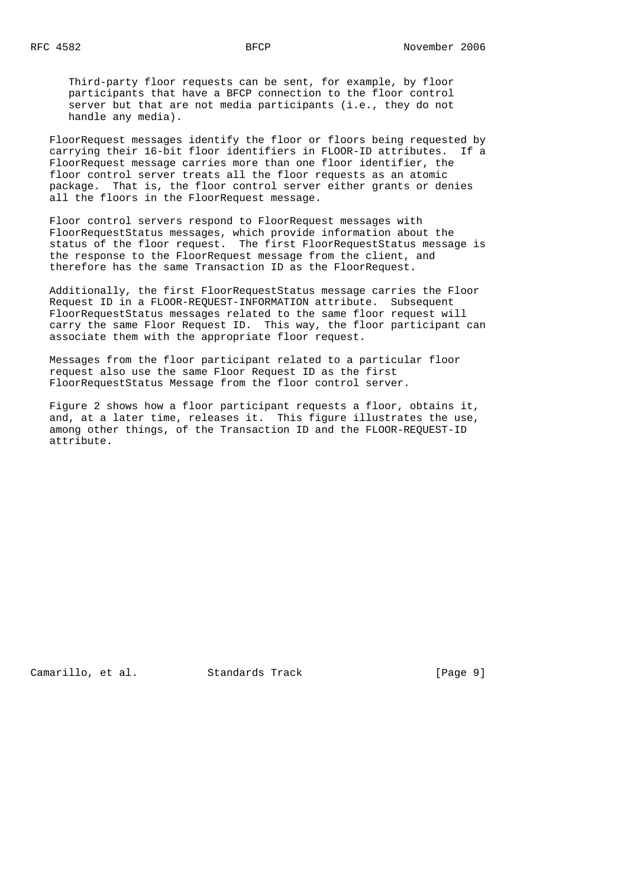Third-party floor requests can be sent, for example, by floor participants that have a BFCP connection to the floor control server but that are not media participants (i.e., they do not handle any media).

 FloorRequest messages identify the floor or floors being requested by carrying their 16-bit floor identifiers in FLOOR-ID attributes. If a FloorRequest message carries more than one floor identifier, the floor control server treats all the floor requests as an atomic package. That is, the floor control server either grants or denies all the floors in the FloorRequest message.

 Floor control servers respond to FloorRequest messages with FloorRequestStatus messages, which provide information about the status of the floor request. The first FloorRequestStatus message is the response to the FloorRequest message from the client, and therefore has the same Transaction ID as the FloorRequest.

 Additionally, the first FloorRequestStatus message carries the Floor Request ID in a FLOOR-REQUEST-INFORMATION attribute. Subsequent FloorRequestStatus messages related to the same floor request will carry the same Floor Request ID. This way, the floor participant can associate them with the appropriate floor request.

 Messages from the floor participant related to a particular floor request also use the same Floor Request ID as the first FloorRequestStatus Message from the floor control server.

 Figure 2 shows how a floor participant requests a floor, obtains it, and, at a later time, releases it. This figure illustrates the use, among other things, of the Transaction ID and the FLOOR-REQUEST-ID attribute.

Camarillo, et al. Standards Track [Page 9]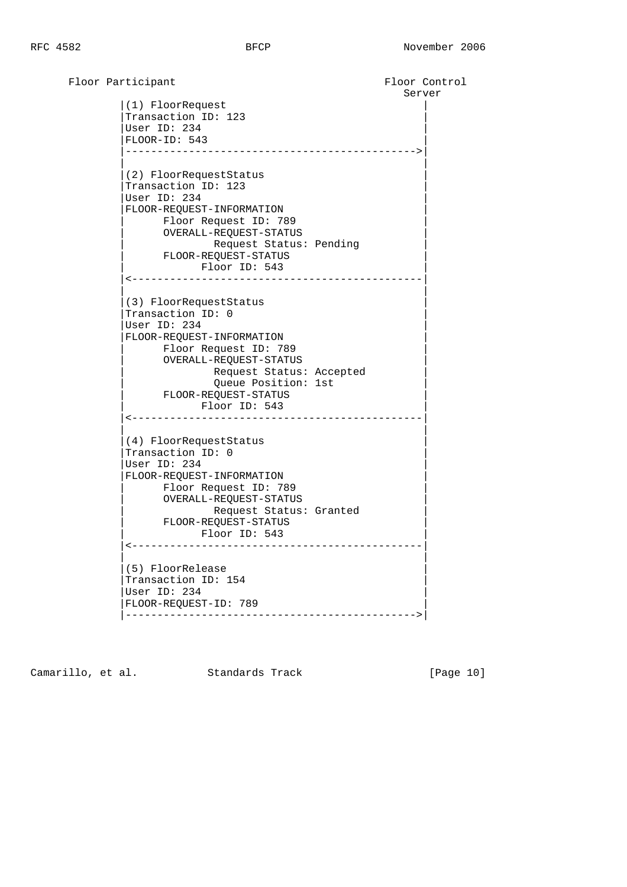Floor Participant  $\Box$  Floor Control Server and the server of the server of the server of the server of the server of the server of the server of the |(1) FloorRequest | |Transaction ID: 123 | User ID: 234 |FLOOR-ID: 543 | |---------------------------------------------->| | | |(2) FloorRequestStatus | |Transaction ID: 123 | User ID: 234 |FLOOR-REQUEST-INFORMATION | Floor Request ID: 789 | OVERALL-REQUEST-STATUS | Request Status: Pending | FLOOR-REQUEST-STATUS | Floor ID: 543 |<----------------------------------------------| | | |(3) FloorRequestStatus | Transaction ID: 0 User ID: 234 |FLOOR-REQUEST-INFORMATION | Floor Request ID: 789 | OVERALL-REQUEST-STATUS | Request Status: Accepted Queue Position: 1st | FLOOR-REQUEST-STATUS | Floor ID: 543 |<----------------------------------------------| | | |(4) FloorRequestStatus | Transaction ID: 0 |User ID: 234 | |FLOOR-REQUEST-INFORMATION | Floor Request ID: 789 | OVERALL-REQUEST-STATUS | Request Status: Granted | FLOOR-REQUEST-STATUS | Floor ID: 543 |<----------------------------------------------| | | |(5) FloorRelease | Transaction ID: 154 User ID: 234 |FLOOR-REQUEST-ID: 789 | |---------------------------------------------->|

Camarillo, et al. Standards Track [Page 10]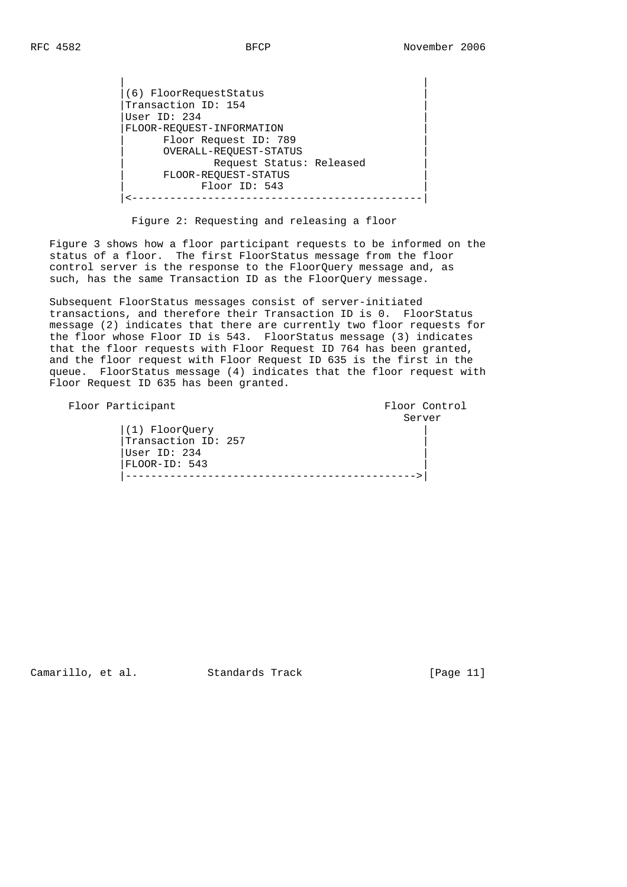| | |(6) FloorRequestStatus | Transaction ID: 154 |User ID: 234 | |FLOOR-REQUEST-INFORMATION | Floor Request ID: 789 | OVERALL-REQUEST-STATUS | Request Status: Released | FLOOR-REQUEST-STATUS | | Floor ID: 543 | |<----------------------------------------------|

Figure 2: Requesting and releasing a floor

 Figure 3 shows how a floor participant requests to be informed on the status of a floor. The first FloorStatus message from the floor control server is the response to the FloorQuery message and, as such, has the same Transaction ID as the FloorQuery message.

 Subsequent FloorStatus messages consist of server-initiated transactions, and therefore their Transaction ID is 0. FloorStatus message (2) indicates that there are currently two floor requests for the floor whose Floor ID is 543. FloorStatus message (3) indicates that the floor requests with Floor Request ID 764 has been granted, and the floor request with Floor Request ID 635 is the first in the queue. FloorStatus message (4) indicates that the floor request with Floor Request ID 635 has been granted.

| Floor Participant   | Floor Control |
|---------------------|---------------|
|                     | Server        |
| $(1)$ FloorQuery    |               |
| Transaction ID: 257 |               |
| User ID: 234        |               |
| $FLOOR-ID: 543$     |               |
|                     |               |

Camarillo, et al. Standards Track [Page 11]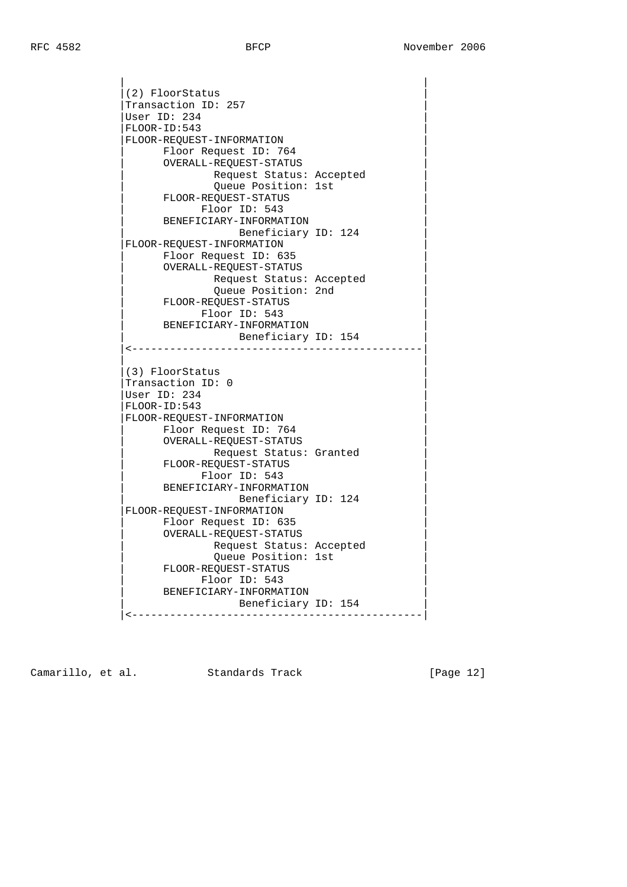| |

 |(2) FloorStatus | Transaction ID: 257 |User ID: 234 | FLOOR-ID:543 |FLOOR-REQUEST-INFORMATION | Floor Request ID: 764 | OVERALL-REQUEST-STATUS | Request Status: Accepted Queue Position: 1st | FLOOR-REQUEST-STATUS | Floor ID: 543 | BENEFICIARY-INFORMATION | | Beneficiary ID: 124 | |FLOOR-REQUEST-INFORMATION | Floor Request ID: 635 | OVERALL-REQUEST-STATUS | Request Status: Accepted Queue Position: 2nd | FLOOR-REQUEST-STATUS | Floor ID: 543 | BENEFICIARY-INFORMATION | Beneficiary ID: 154 |<----------------------------------------------| | | |(3) FloorStatus | Transaction ID: 0 User ID: 234 |FLOOR-ID:543 | |FLOOR-REQUEST-INFORMATION | Floor Request ID: 764 | OVERALL-REQUEST-STATUS | Request Status: Granted | FLOOR-REQUEST-STATUS | Floor ID: 543 | BENEFICIARY-INFORMATION | | Beneficiary ID: 124 | |FLOOR-REQUEST-INFORMATION | Floor Request ID: 635 | OVERALL-REQUEST-STATUS | Request Status: Accepted Queue Position: 1st | FLOOR-REQUEST-STATUS | Floor ID: 543 | BENEFICIARY-INFORMATION | Beneficiary ID: 154

Camarillo, et al. Standards Track [Page 12]

|<----------------------------------------------|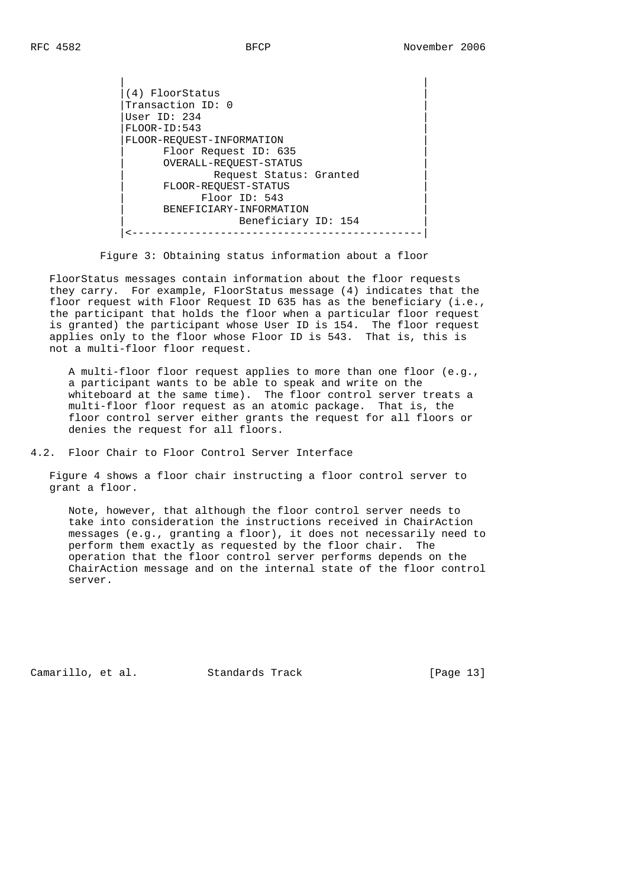| | |(4) FloorStatus | Transaction ID: 0 |User ID: 234 | |FLOOR-ID:543 | |FLOOR-REQUEST-INFORMATION | Floor Request ID: 635 | OVERALL-REQUEST-STATUS | Request Status: Granted | FLOOR-REQUEST-STATUS | Floor ID: 543 | BENEFICIARY-INFORMATION | | Beneficiary ID: 154 | |<----------------------------------------------|

Figure 3: Obtaining status information about a floor

 FloorStatus messages contain information about the floor requests they carry. For example, FloorStatus message (4) indicates that the floor request with Floor Request ID 635 has as the beneficiary (i.e., the participant that holds the floor when a particular floor request is granted) the participant whose User ID is 154. The floor request applies only to the floor whose Floor ID is 543. That is, this is not a multi-floor floor request.

 A multi-floor floor request applies to more than one floor (e.g., a participant wants to be able to speak and write on the whiteboard at the same time). The floor control server treats a multi-floor floor request as an atomic package. That is, the floor control server either grants the request for all floors or denies the request for all floors.

4.2. Floor Chair to Floor Control Server Interface

 Figure 4 shows a floor chair instructing a floor control server to grant a floor.

 Note, however, that although the floor control server needs to take into consideration the instructions received in ChairAction messages (e.g., granting a floor), it does not necessarily need to perform them exactly as requested by the floor chair. The operation that the floor control server performs depends on the ChairAction message and on the internal state of the floor control server.

Camarillo, et al. Standards Track [Page 13]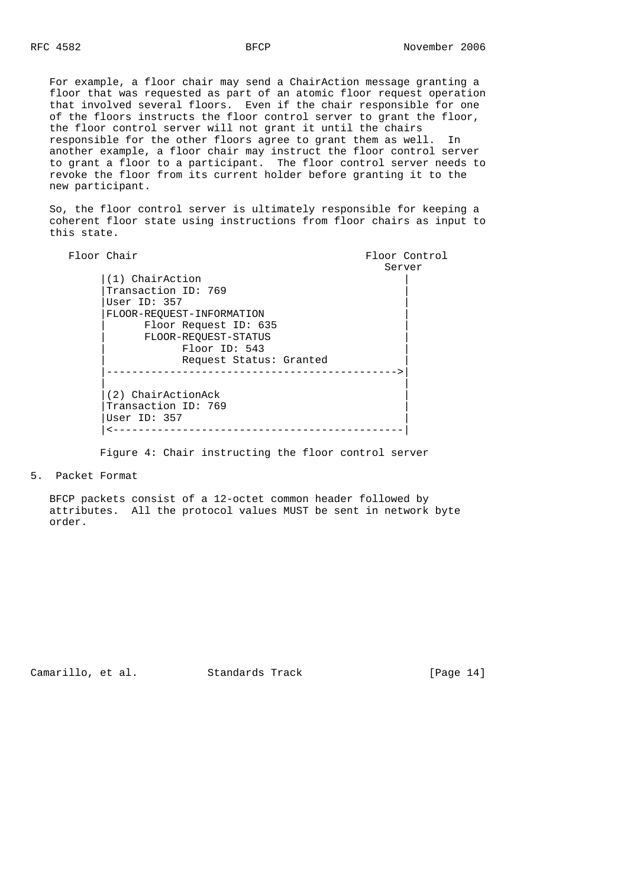For example, a floor chair may send a ChairAction message granting a floor that was requested as part of an atomic floor request operation that involved several floors. Even if the chair responsible for one of the floors instructs the floor control server to grant the floor, the floor control server will not grant it until the chairs responsible for the other floors agree to grant them as well. In another example, a floor chair may instruct the floor control server to grant a floor to a participant. The floor control server needs to revoke the floor from its current holder before granting it to the new participant.

 So, the floor control server is ultimately responsible for keeping a coherent floor state using instructions from floor chairs as input to this state.

Floor Chair **Floor Control** Server and the server of the server of the server of the server of the server of the server of the server of the server of the server of the server of the server of the server of the server of the server of the server of t |(1) ChairAction | Transaction ID: 769 User ID: 357 |FLOOR-REQUEST-INFORMATION | Floor Request ID: 635 | FLOOR-REQUEST-STATUS | Floor ID: 543 Request Status: Granted |---------------------------------------------->| | | |(2) ChairActionAck | |Transaction ID: 769 | |User ID: 357 | |<----------------------------------------------|

Figure 4: Chair instructing the floor control server

#### 5. Packet Format

 BFCP packets consist of a 12-octet common header followed by attributes. All the protocol values MUST be sent in network byte order.

Camarillo, et al. Standards Track [Page 14]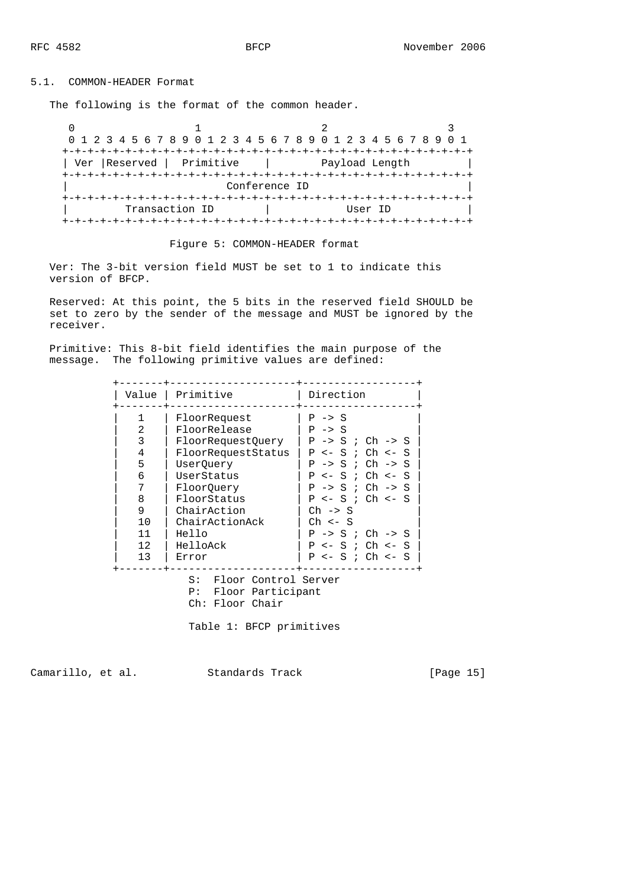# 5.1. COMMON-HEADER Format

The following is the format of the common header.

| 0 1 2 3 4 5 6 7 8 9 0 1 2 3 4 5 6 7 8 9 0 1 2 3 4 5 6 7 8 9 0 1 |               |                |  |
|-----------------------------------------------------------------|---------------|----------------|--|
|                                                                 |               |                |  |
| Ver  Reserved   Primitive                                       |               | Payload Length |  |
|                                                                 |               |                |  |
|                                                                 | Conference ID |                |  |
|                                                                 |               |                |  |
| Transaction ID                                                  |               | User ID        |  |
|                                                                 |               |                |  |

Figure 5: COMMON-HEADER format

 Ver: The 3-bit version field MUST be set to 1 to indicate this version of BFCP.

 Reserved: At this point, the 5 bits in the reserved field SHOULD be set to zero by the sender of the message and MUST be ignored by the receiver.

 Primitive: This 8-bit field identifies the main purpose of the message. The following primitive values are defined:

|    | Value   Primitive  | Direction                                 |
|----|--------------------|-------------------------------------------|
|    |                    |                                           |
|    | FloorRequest       | $P \rightarrow S$                         |
|    | FloorRelease       | $P \rightarrow S$                         |
|    | FloorRequestOuery  | $P \rightarrow S$ ; Ch -> S               |
| 4  | FloorRequestStatus | $P \leftarrow S$ ; Ch $\leftarrow S$      |
| 5  | User0uery          | $\rightarrow$ S ; Ch $\rightarrow$ S<br>P |
| 6  | UserStatus         | $\leftarrow$ S ; Ch $\leftarrow$ S<br>P   |
|    | FloorOuery         | $P \rightarrow S$ ; Ch -> S               |
| 8  | FloorStatus        | $P \leftarrow S$ ; Ch $\leftarrow S$      |
| 9  | ChairAction        | $\mathcal{C}$ h -> S                      |
| 10 | ChairActionAck     | $ch$ <- $S$                               |
| 11 | Hello              | $P \rightarrow S$ ; Ch -> S               |
| 12 | HelloAck           | $\leftarrow$ S ; Ch $\leftarrow$ S<br>P   |
| 13 | Error              | P<br>$\leftarrow$ S ; Ch $\leftarrow$ S   |
|    |                    |                                           |

 S: Floor Control Server P: Floor Participant Ch: Floor Chair

Table 1: BFCP primitives

Camarillo, et al. Standards Track [Page 15]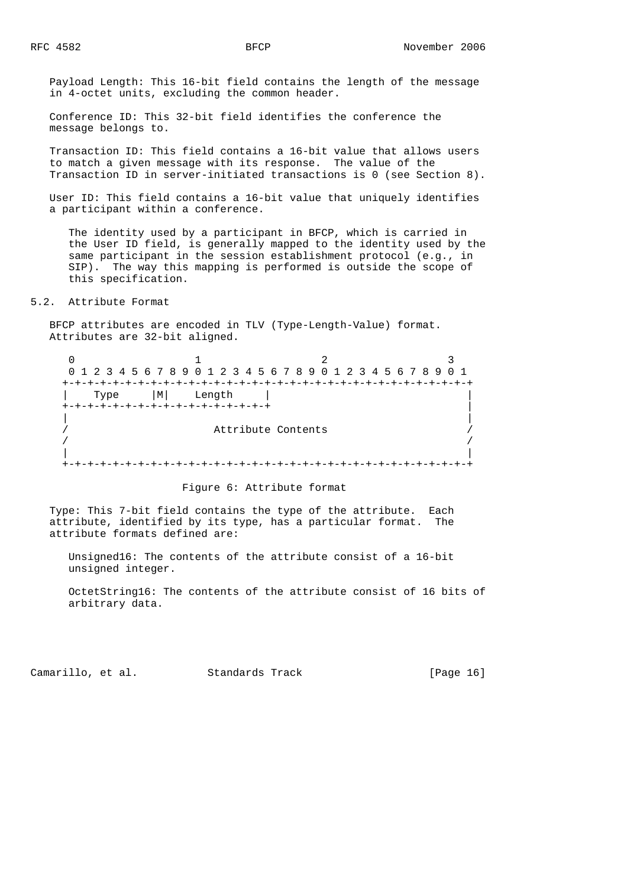Payload Length: This 16-bit field contains the length of the message in 4-octet units, excluding the common header.

 Conference ID: This 32-bit field identifies the conference the message belongs to.

 Transaction ID: This field contains a 16-bit value that allows users to match a given message with its response. The value of the Transaction ID in server-initiated transactions is 0 (see Section 8).

 User ID: This field contains a 16-bit value that uniquely identifies a participant within a conference.

 The identity used by a participant in BFCP, which is carried in the User ID field, is generally mapped to the identity used by the same participant in the session establishment protocol (e.g., in SIP). The way this mapping is performed is outside the scope of this specification.

5.2. Attribute Format

 BFCP attributes are encoded in TLV (Type-Length-Value) format. Attributes are 32-bit aligned.

 $0$  and  $1$  and  $2$  3 0 1 2 3 4 5 6 7 8 9 0 1 2 3 4 5 6 7 8 9 0 1 2 3 4 5 6 7 8 9 0 1 +-+-+-+-+-+-+-+-+-+-+-+-+-+-+-+-+-+-+-+-+-+-+-+-+-+-+-+-+-+-+-+-+ | Type |M| Length | | +-+-+-+-+-+-+-+-+-+-+-+-+-+-+-+-+ | | | / Attribute Contents / / / | | +-+-+-+-+-+-+-+-+-+-+-+-+-+-+-+-+-+-+-+-+-+-+-+-+-+-+-+-+-+-+-+-+

### Figure 6: Attribute format

 Type: This 7-bit field contains the type of the attribute. Each attribute, identified by its type, has a particular format. The attribute formats defined are:

 Unsigned16: The contents of the attribute consist of a 16-bit unsigned integer.

 OctetString16: The contents of the attribute consist of 16 bits of arbitrary data.

Camarillo, et al. Standards Track [Page 16]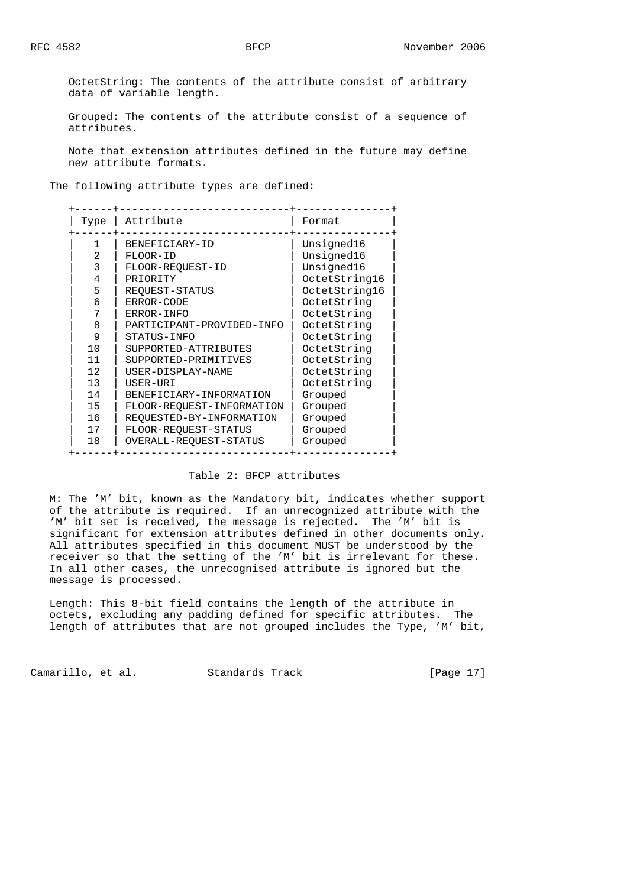OctetString: The contents of the attribute consist of arbitrary data of variable length.

 Grouped: The contents of the attribute consist of a sequence of attributes.

 Note that extension attributes defined in the future may define new attribute formats.

The following attribute types are defined:

| Type           | Attribute                 | Format        |
|----------------|---------------------------|---------------|
| 1              | BENEFICIARY-ID            | Unsigned16    |
| $\overline{2}$ | FLOOR-ID                  | Unsigned16    |
| 3              | FLOOR-REOUEST-ID          | Unsigned16    |
| 4              | PRIORITY                  | OctetString16 |
| 5              | REQUEST-STATUS            | OctetString16 |
| 6              | ERROR-CODE                | OctetString   |
|                | ERROR-INFO                | OctetString   |
| 8              | PARTICIPANT-PROVIDED-INFO | OctetString   |
| 9              | STATUS-INFO               | OctetString   |
| 10             | SUPPORTED-ATTRIBUTES      | OctetString   |
| 11             | SUPPORTED-PRIMITIVES      | OctetString   |
| 12             | USER-DISPLAY-NAME         | OctetString   |
| 13             | USER-URI                  | OctetString   |
| 14             | BENEFICIARY-INFORMATION   | Grouped       |
| 15             | FLOOR-REOUEST-INFORMATION | Grouped       |
| 16             | REOUESTED-BY-INFORMATION  | Grouped       |
| 17             | FLOOR-REQUEST-STATUS      | Grouped       |
| 18             | OVERALL-REQUEST-STATUS    | Grouped       |

### Table 2: BFCP attributes

 M: The 'M' bit, known as the Mandatory bit, indicates whether support of the attribute is required. If an unrecognized attribute with the 'M' bit set is received, the message is rejected. The 'M' bit is significant for extension attributes defined in other documents only. All attributes specified in this document MUST be understood by the receiver so that the setting of the 'M' bit is irrelevant for these. In all other cases, the unrecognised attribute is ignored but the message is processed.

 Length: This 8-bit field contains the length of the attribute in octets, excluding any padding defined for specific attributes. The length of attributes that are not grouped includes the Type, 'M' bit,

Camarillo, et al. Standards Track [Page 17]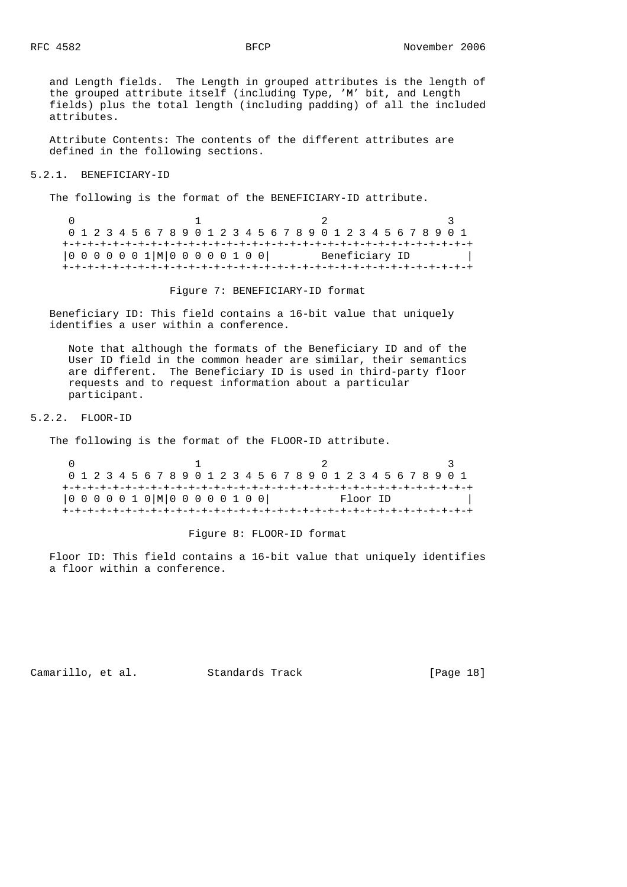Attribute Contents: The contents of the different attributes are defined in the following sections.

# 5.2.1. BENEFICIARY-ID

The following is the format of the BENEFICIARY-ID attribute.

|  |  |                    |  |  |  |  |  |  |  |  |  |  |  |  |  |  |  |  |  |  |  |  |  |  |  |                |  | 0 1 2 3 4 5 6 7 8 9 0 1 2 3 4 5 6 7 8 9 0 1 2 3 4 5 6 7 8 9 0 1 |  |  |  |
|--|--|--------------------|--|--|--|--|--|--|--|--|--|--|--|--|--|--|--|--|--|--|--|--|--|--|--|----------------|--|-----------------------------------------------------------------|--|--|--|
|  |  |                    |  |  |  |  |  |  |  |  |  |  |  |  |  |  |  |  |  |  |  |  |  |  |  |                |  |                                                                 |  |  |  |
|  |  | 0000001 M 00000100 |  |  |  |  |  |  |  |  |  |  |  |  |  |  |  |  |  |  |  |  |  |  |  | Beneficiary ID |  |                                                                 |  |  |  |
|  |  |                    |  |  |  |  |  |  |  |  |  |  |  |  |  |  |  |  |  |  |  |  |  |  |  |                |  |                                                                 |  |  |  |

# Figure 7: BENEFICIARY-ID format

 Beneficiary ID: This field contains a 16-bit value that uniquely identifies a user within a conference.

 Note that although the formats of the Beneficiary ID and of the User ID field in the common header are similar, their semantics are different. The Beneficiary ID is used in third-party floor requests and to request information about a particular participant.

### 5.2.2. FLOOR-ID

The following is the format of the FLOOR-ID attribute.

|  |  |  |  |  |  |  |  |                    |  |  |  |  |  |  |  |  |  |  |          |  |  | 0 1 2 3 4 5 6 7 8 9 0 1 2 3 4 5 6 7 8 9 0 1 2 3 4 5 6 7 8 9 0 1 |  |  |  |  |  |
|--|--|--|--|--|--|--|--|--------------------|--|--|--|--|--|--|--|--|--|--|----------|--|--|-----------------------------------------------------------------|--|--|--|--|--|
|  |  |  |  |  |  |  |  |                    |  |  |  |  |  |  |  |  |  |  |          |  |  |                                                                 |  |  |  |  |  |
|  |  |  |  |  |  |  |  | 0000010 M 00000100 |  |  |  |  |  |  |  |  |  |  | Floor ID |  |  |                                                                 |  |  |  |  |  |
|  |  |  |  |  |  |  |  |                    |  |  |  |  |  |  |  |  |  |  |          |  |  |                                                                 |  |  |  |  |  |

### Figure 8: FLOOR-ID format

 Floor ID: This field contains a 16-bit value that uniquely identifies a floor within a conference.

Camarillo, et al. Standards Track [Page 18]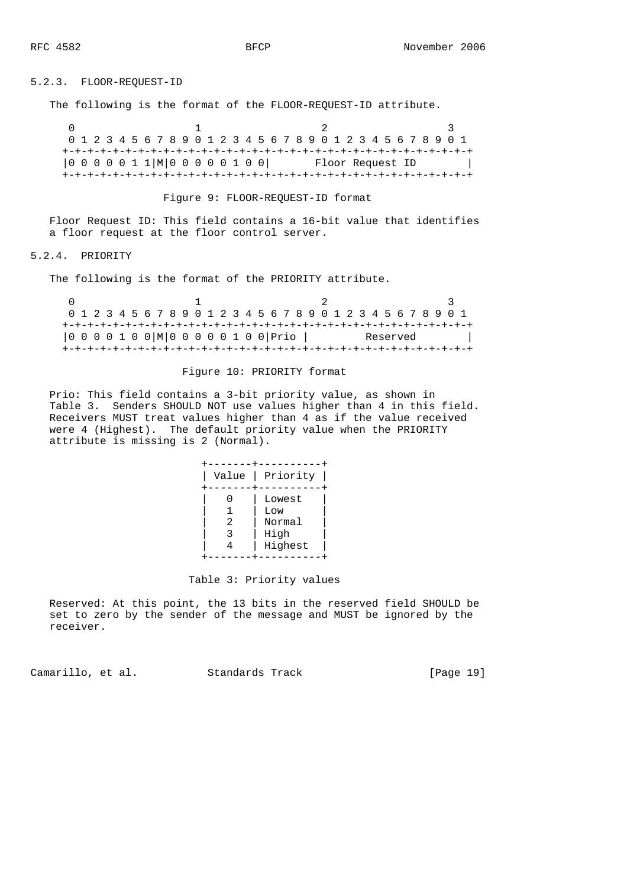# 5.2.3. FLOOR-REQUEST-ID

The following is the format of the FLOOR-REQUEST-ID attribute.

 $0$  1 2 3 0 1 2 3 4 5 6 7 8 9 0 1 2 3 4 5 6 7 8 9 0 1 2 3 4 5 6 7 8 9 0 1 +-+-+-+-+-+-+-+-+-+-+-+-+-+-+-+-+-+-+-+-+-+-+-+-+-+-+-+-+-+-+-+-+ |0 0 0 0 0 1 1|M|0 0 0 0 0 1 0 0| Floor Request ID | +-+-+-+-+-+-+-+-+-+-+-+-+-+-+-+-+-+-+-+-+-+-+-+-+-+-+-+-+-+-+-+-+

### Figure 9: FLOOR-REQUEST-ID format

 Floor Request ID: This field contains a 16-bit value that identifies a floor request at the floor control server.

### 5.2.4. PRIORITY

The following is the format of the PRIORITY attribute.

|  |  |  |  |  |  |  |  |  |  |  |  |  | 0 1 2 3 4 5 6 7 8 9 0 1 2 3 4 5 6 7 8 9 0 1 2 3 4 5 6 7 8 9 0 1 |  |  |  |  |  |  |  |  |  |  |          |  |  |  |  |  |  |
|--|--|--|--|--|--|--|--|--|--|--|--|--|-----------------------------------------------------------------|--|--|--|--|--|--|--|--|--|--|----------|--|--|--|--|--|--|
|  |  |  |  |  |  |  |  |  |  |  |  |  |                                                                 |  |  |  |  |  |  |  |  |  |  |          |  |  |  |  |  |  |
|  |  |  |  |  |  |  |  |  |  |  |  |  | $ 0000100 $ M $ 00000100 $ Prio                                 |  |  |  |  |  |  |  |  |  |  | Reserved |  |  |  |  |  |  |
|  |  |  |  |  |  |  |  |  |  |  |  |  |                                                                 |  |  |  |  |  |  |  |  |  |  |          |  |  |  |  |  |  |

# Figure 10: PRIORITY format

 Prio: This field contains a 3-bit priority value, as shown in Table 3. Senders SHOULD NOT use values higher than 4 in this field. Receivers MUST treat values higher than 4 as if the value received were 4 (Highest). The default priority value when the PRIORITY attribute is missing is 2 (Normal).

| Value | Priority |
|-------|----------|
|       | Lowest   |
|       | Low      |
| 2     | Normal   |
|       | High     |
|       | Highest  |
|       |          |

# Table 3: Priority values

 Reserved: At this point, the 13 bits in the reserved field SHOULD be set to zero by the sender of the message and MUST be ignored by the receiver.

Camarillo, et al. Standards Track [Page 19]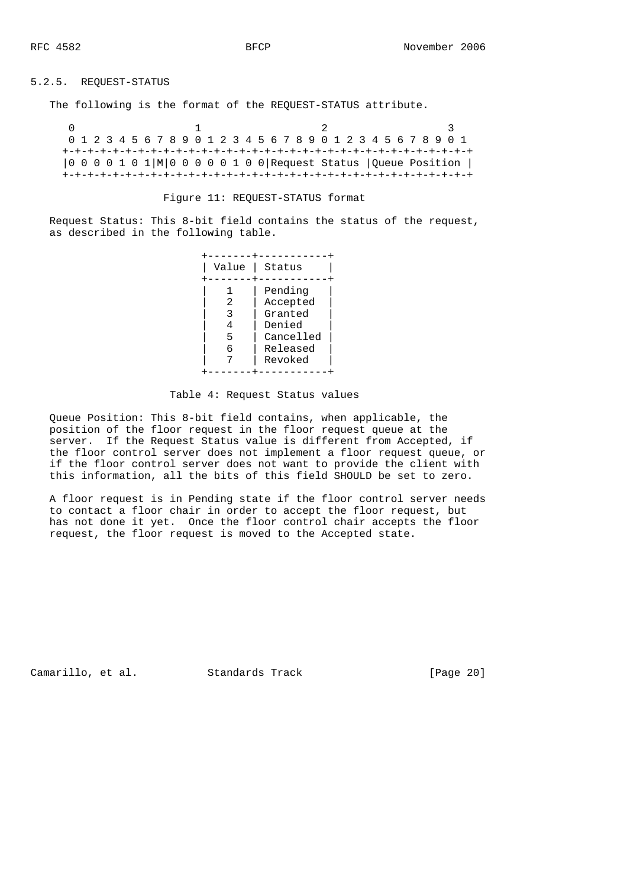# 5.2.5. REQUEST-STATUS

The following is the format of the REQUEST-STATUS attribute.

 $0$  1 2 3 0 1 2 3 4 5 6 7 8 9 0 1 2 3 4 5 6 7 8 9 0 1 2 3 4 5 6 7 8 9 0 1 +-+-+-+-+-+-+-+-+-+-+-+-+-+-+-+-+-+-+-+-+-+-+-+-+-+-+-+-+-+-+-+-+ |0 0 0 0 1 0 1|M|0 0 0 0 0 1 0 0|Request Status |Queue Position | +-+-+-+-+-+-+-+-+-+-+-+-+-+-+-+-+-+-+-+-+-+-+-+-+-+-+-+-+-+-+-+-+

### Figure 11: REQUEST-STATUS format

 Request Status: This 8-bit field contains the status of the request, as described in the following table.

| Value | Status    |
|-------|-----------|
|       | Pending   |
| 2     | Accepted  |
| 3     | Granted   |
|       | Denied    |
| 5     | Cancelled |
| 6     | Released  |
|       | Revoked   |
|       |           |

Table 4: Request Status values

 Queue Position: This 8-bit field contains, when applicable, the position of the floor request in the floor request queue at the server. If the Request Status value is different from Accepted, if the floor control server does not implement a floor request queue, or if the floor control server does not want to provide the client with this information, all the bits of this field SHOULD be set to zero.

 A floor request is in Pending state if the floor control server needs to contact a floor chair in order to accept the floor request, but has not done it yet. Once the floor control chair accepts the floor request, the floor request is moved to the Accepted state.

Camarillo, et al. Standards Track [Page 20]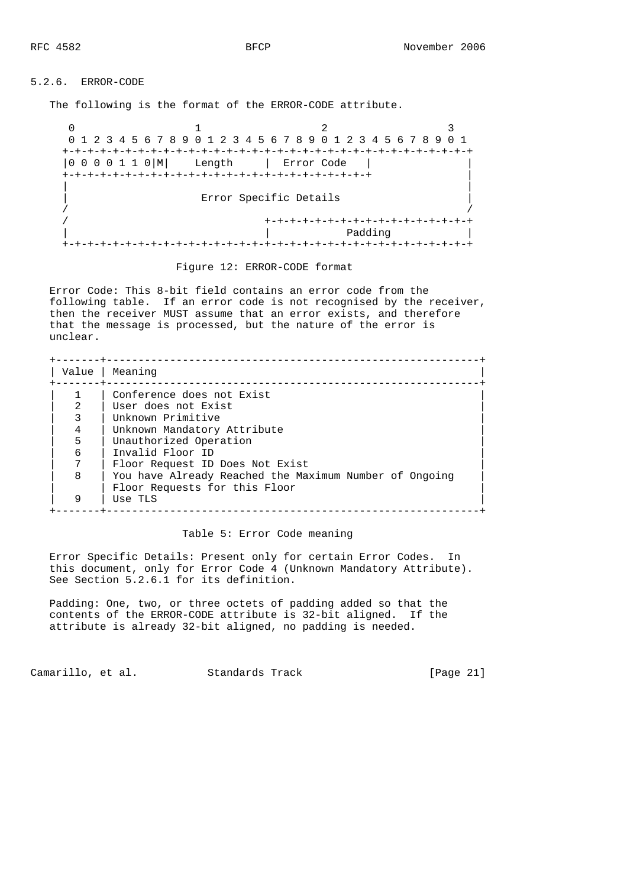# 5.2.6. ERROR-CODE

The following is the format of the ERROR-CODE attribute.

|                 | 0 1 2 3 4 5 6 7 8 9 0 1 2 3 4 5 6 7 8 9 0 1 2 3 4 5 6 7 8 9 |                        |  |
|-----------------|-------------------------------------------------------------|------------------------|--|
|                 |                                                             |                        |  |
| 0 0 0 0 1 1 0 M | Length                                                      | Error Code             |  |
|                 |                                                             |                        |  |
|                 |                                                             |                        |  |
|                 |                                                             | Error Specific Details |  |
|                 |                                                             |                        |  |
|                 |                                                             | +-+-+-+-+-+-+-+-+-+    |  |
|                 |                                                             | Padding                |  |
| $+ - + - +$     |                                                             |                        |  |

Figure 12: ERROR-CODE format

 Error Code: This 8-bit field contains an error code from the following table. If an error code is not recognised by the receiver, then the receiver MUST assume that an error exists, and therefore that the message is processed, but the nature of the error is unclear.

| Value | Meaning                                                                                 |
|-------|-----------------------------------------------------------------------------------------|
|       | Conference does not Exist                                                               |
|       | User does not Exist                                                                     |
|       | Unknown Primitive                                                                       |
|       | Unknown Mandatory Attribute                                                             |
| 5     | Unauthorized Operation                                                                  |
| 6     | Invalid Floor ID                                                                        |
|       | Floor Request ID Does Not Exist                                                         |
| 8     | You have Already Reached the Maximum Number of Ongoing<br>Floor Requests for this Floor |
| q     | Use TLS                                                                                 |

Table 5: Error Code meaning

 Error Specific Details: Present only for certain Error Codes. In this document, only for Error Code 4 (Unknown Mandatory Attribute). See Section 5.2.6.1 for its definition.

 Padding: One, two, or three octets of padding added so that the contents of the ERROR-CODE attribute is 32-bit aligned. If the attribute is already 32-bit aligned, no padding is needed.

Camarillo, et al. Standards Track [Page 21]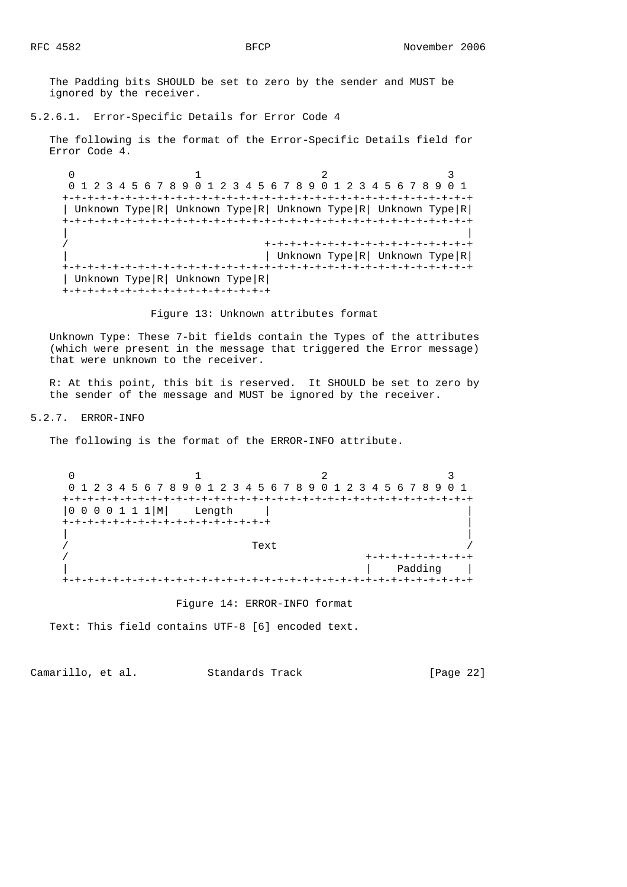The Padding bits SHOULD be set to zero by the sender and MUST be ignored by the receiver.

5.2.6.1. Error-Specific Details for Error Code 4

 The following is the format of the Error-Specific Details field for Error Code 4.

 $0$  and  $1$  and  $2$  3 0 1 2 3 4 5 6 7 8 9 0 1 2 3 4 5 6 7 8 9 0 1 2 3 4 5 6 7 8 9 0 1 +-+-+-+-+-+-+-+-+-+-+-+-+-+-+-+-+-+-+-+-+-+-+-+-+-+-+-+-+-+-+-+-+ | Unknown Type|R| Unknown Type|R| Unknown Type|R| Unknown Type|R| +-+-+-+-+-+-+-+-+-+-+-+-+-+-+-+-+-+-+-+-+-+-+-+-+-+-+-+-+-+-+-+-+ | | / +-+-+-+-+-+-+-+-+-+-+-+-+-+-+-+-+ | | Unknown Type|R| Unknown Type|R| +-+-+-+-+-+-+-+-+-+-+-+-+-+-+-+-+-+-+-+-+-+-+-+-+-+-+-+-+-+-+-+-+ | Unknown Type|R| Unknown Type|R| +-+-+-+-+-+-+-+-+-+-+-+-+-+-+-+-+

Figure 13: Unknown attributes format

 Unknown Type: These 7-bit fields contain the Types of the attributes (which were present in the message that triggered the Error message) that were unknown to the receiver.

 R: At this point, this bit is reserved. It SHOULD be set to zero by the sender of the message and MUST be ignored by the receiver.

5.2.7. ERROR-INFO

The following is the format of the ERROR-INFO attribute.

 $0$  and  $1$  and  $2$  3 0 1 2 3 4 5 6 7 8 9 0 1 2 3 4 5 6 7 8 9 0 1 2 3 4 5 6 7 8 9 0 1 +-+-+-+-+-+-+-+-+-+-+-+-+-+-+-+-+-+-+-+-+-+-+-+-+-+-+-+-+-+-+-+-+ |0 0 0 0 1 1 1|M| Length | | +-+-+-+-+-+-+-+-+-+-+-+-+-+-+-+-+ | | |  $\sqrt{2}$  /  $\sqrt{2}$  /  $\sqrt{2}$  /  $\sqrt{2}$  /  $\sqrt{2}$  /  $\sqrt{2}$  /  $\sqrt{2}$  /  $\sqrt{2}$  /  $\sqrt{2}$  /  $\sqrt{2}$  /  $\sqrt{2}$  /  $\sqrt{2}$  /  $\sqrt{2}$  /  $\sqrt{2}$  /  $\sqrt{2}$  /  $\sqrt{2}$  /  $\sqrt{2}$  /  $\sqrt{2}$  /  $\sqrt{2}$  /  $\sqrt{2}$  /  $\sqrt{2}$  /  $\sqrt{2}$  / / +-+-+-+-+-+-+-+-+ | | Padding | +-+-+-+-+-+-+-+-+-+-+-+-+-+-+-+-+-+-+-+-+-+-+-+-+-+-+-+-+-+-+-+-+

Figure 14: ERROR-INFO format

Text: This field contains UTF-8 [6] encoded text.

Camarillo, et al. Standards Track [Page 22]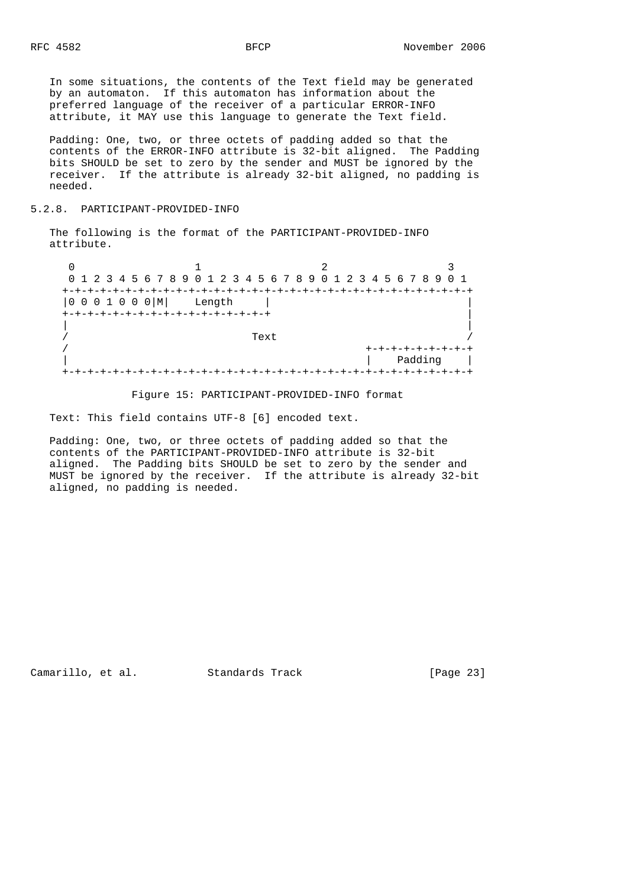In some situations, the contents of the Text field may be generated by an automaton. If this automaton has information about the preferred language of the receiver of a particular ERROR-INFO attribute, it MAY use this language to generate the Text field.

 Padding: One, two, or three octets of padding added so that the contents of the ERROR-INFO attribute is 32-bit aligned. The Padding bits SHOULD be set to zero by the sender and MUST be ignored by the receiver. If the attribute is already 32-bit aligned, no padding is needed.

### 5.2.8. PARTICIPANT-PROVIDED-INFO

 The following is the format of the PARTICIPANT-PROVIDED-INFO attribute.

 $0$  and  $1$  and  $2$  3 0 1 2 3 4 5 6 7 8 9 0 1 2 3 4 5 6 7 8 9 0 1 2 3 4 5 6 7 8 9 0 1 +-+-+-+-+-+-+-+-+-+-+-+-+-+-+-+-+-+-+-+-+-+-+-+-+-+-+-+-+-+-+-+-+ |0 0 0 1 0 0 0|M| Length | | +-+-+-+-+-+-+-+-+-+-+-+-+-+-+-+-+ | | |  $\sqrt{2}$  /  $\sqrt{2}$  /  $\sqrt{2}$  /  $\sqrt{2}$  /  $\sqrt{2}$  /  $\sqrt{2}$  /  $\sqrt{2}$  /  $\sqrt{2}$  /  $\sqrt{2}$  /  $\sqrt{2}$  /  $\sqrt{2}$  /  $\sqrt{2}$  /  $\sqrt{2}$  /  $\sqrt{2}$  /  $\sqrt{2}$  /  $\sqrt{2}$  /  $\sqrt{2}$  /  $\sqrt{2}$  /  $\sqrt{2}$  /  $\sqrt{2}$  /  $\sqrt{2}$  /  $\sqrt{2}$  / / +-+-+-+-+-+-+-+-+ | | Padding | +-+-+-+-+-+-+-+-+-+-+-+-+-+-+-+-+-+-+-+-+-+-+-+-+-+-+-+-+-+-+-+-+



Text: This field contains UTF-8 [6] encoded text.

 Padding: One, two, or three octets of padding added so that the contents of the PARTICIPANT-PROVIDED-INFO attribute is 32-bit aligned. The Padding bits SHOULD be set to zero by the sender and MUST be ignored by the receiver. If the attribute is already 32-bit aligned, no padding is needed.

Camarillo, et al. Standards Track [Page 23]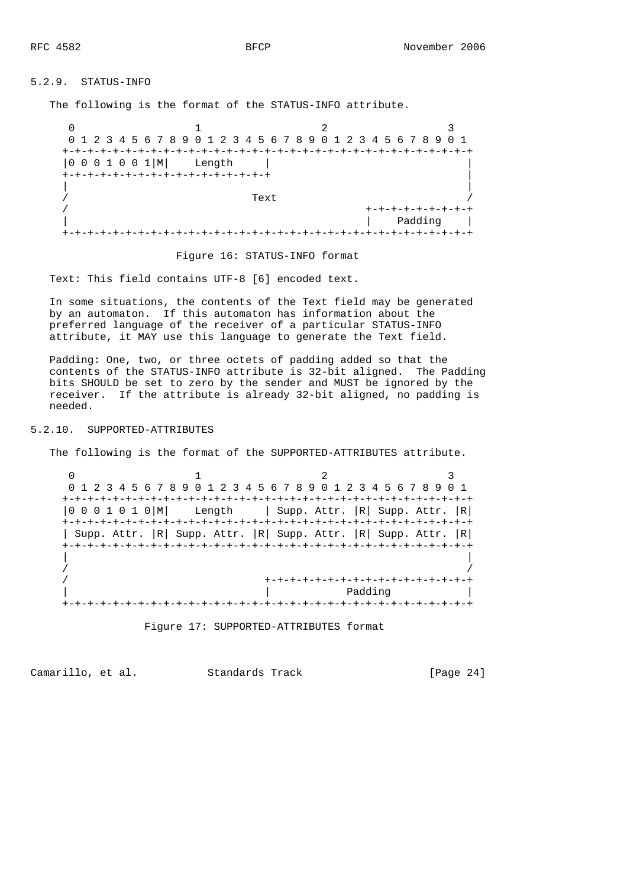# 5.2.9. STATUS-INFO

The following is the format of the STATUS-INFO attribute.



Figure 16: STATUS-INFO format

Text: This field contains UTF-8 [6] encoded text.

 In some situations, the contents of the Text field may be generated by an automaton. If this automaton has information about the preferred language of the receiver of a particular STATUS-INFO attribute, it MAY use this language to generate the Text field.

 Padding: One, two, or three octets of padding added so that the contents of the STATUS-INFO attribute is 32-bit aligned. The Padding bits SHOULD be set to zero by the sender and MUST be ignored by the receiver. If the attribute is already 32-bit aligned, no padding is needed.

# 5.2.10. SUPPORTED-ATTRIBUTES

The following is the format of the SUPPORTED-ATTRIBUTES attribute.

|         | 0 1 2 3 4 5 6 7 8 9 0 1 2 3 4 5 6 7 8 9 0 1 2 3 4 5 6 7 8 9 0 1         |                                        |  |
|---------|-------------------------------------------------------------------------|----------------------------------------|--|
|         |                                                                         |                                        |  |
| 0001010 |                                                                         | Length   Supp. Attr. R   Supp. Attr. R |  |
|         | Supp. Attr. $ R $ Supp. Attr. $ R $ Supp. Attr. $ R $ Supp. Attr. $ R $ |                                        |  |
|         |                                                                         |                                        |  |
|         |                                                                         |                                        |  |
|         |                                                                         |                                        |  |
|         |                                                                         | Padding                                |  |
|         |                                                                         |                                        |  |



Camarillo, et al. Standards Track [Page 24]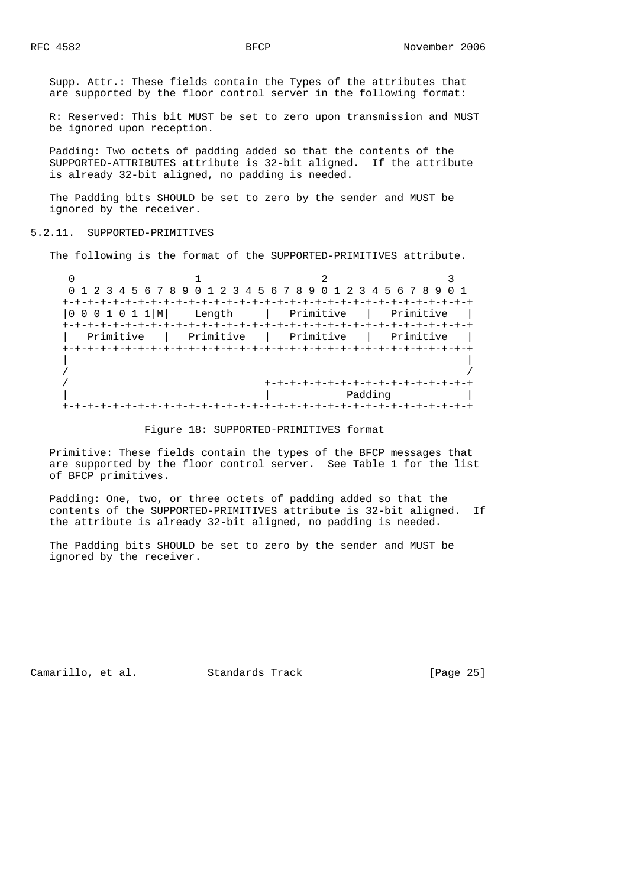Supp. Attr.: These fields contain the Types of the attributes that are supported by the floor control server in the following format:

 R: Reserved: This bit MUST be set to zero upon transmission and MUST be ignored upon reception.

 Padding: Two octets of padding added so that the contents of the SUPPORTED-ATTRIBUTES attribute is 32-bit aligned. If the attribute is already 32-bit aligned, no padding is needed.

 The Padding bits SHOULD be set to zero by the sender and MUST be ignored by the receiver.

### 5.2.11. SUPPORTED-PRIMITIVES

The following is the format of the SUPPORTED-PRIMITIVES attribute.

|                              |           | 0 1 2 3 4 5 6 7 8 9 0 1 2 3 4 5 6 7 8 9 0 1 2 3 4 5 6 7 8 9 0 1 |           |
|------------------------------|-----------|-----------------------------------------------------------------|-----------|
|                              |           |                                                                 |           |
| 0 0 0 1 0 1 1   M            | Length    | Primitive                                                       | Primitive |
| +-+-+-+-+-+-+-+-+-+-+-+-+-+- |           |                                                                 |           |
| Primitive                    | Primitive | Primitive                                                       | Primitive |
|                              |           |                                                                 |           |
|                              |           |                                                                 |           |
|                              |           |                                                                 |           |
|                              |           |                                                                 |           |
|                              |           | Padding                                                         |           |
|                              |           |                                                                 |           |

### Figure 18: SUPPORTED-PRIMITIVES format

 Primitive: These fields contain the types of the BFCP messages that are supported by the floor control server. See Table 1 for the list of BFCP primitives.

 Padding: One, two, or three octets of padding added so that the contents of the SUPPORTED-PRIMITIVES attribute is 32-bit aligned. If the attribute is already 32-bit aligned, no padding is needed.

 The Padding bits SHOULD be set to zero by the sender and MUST be ignored by the receiver.

Camarillo, et al. Standards Track [Page 25]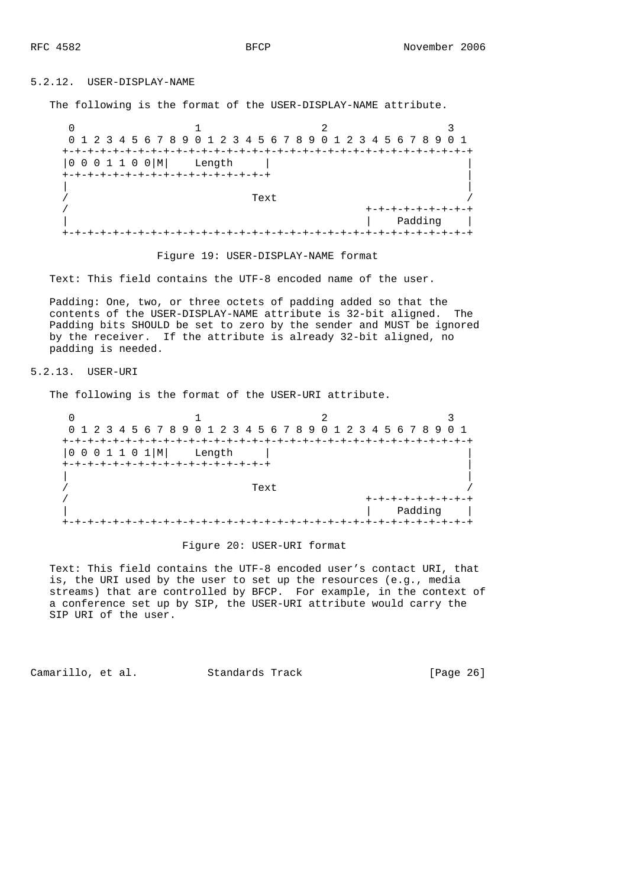# 5.2.12. USER-DISPLAY-NAME

The following is the format of the USER-DISPLAY-NAME attribute.



Figure 19: USER-DISPLAY-NAME format

Text: This field contains the UTF-8 encoded name of the user.

 Padding: One, two, or three octets of padding added so that the contents of the USER-DISPLAY-NAME attribute is 32-bit aligned. The Padding bits SHOULD be set to zero by the sender and MUST be ignored by the receiver. If the attribute is already 32-bit aligned, no padding is needed.

# 5.2.13. USER-URI

The following is the format of the USER-URI attribute.

|                 | 0 1 2 3 4 5 6 7 8 9 0 1 2 3 4 5 6 7 8 9 0 1 2 3 4 5 6 7 8 9 0 1 |      |         |
|-----------------|-----------------------------------------------------------------|------|---------|
|                 |                                                                 |      |         |
| 0 0 0 1 1 0 1 M | Length                                                          |      |         |
|                 | +-+-+-+-+-+-+-+-+-+-+-+-+                                       |      |         |
|                 |                                                                 |      |         |
|                 |                                                                 | Text |         |
|                 |                                                                 |      |         |
|                 |                                                                 |      | Padding |
|                 |                                                                 |      |         |

### Figure 20: USER-URI format

 Text: This field contains the UTF-8 encoded user's contact URI, that is, the URI used by the user to set up the resources (e.g., media streams) that are controlled by BFCP. For example, in the context of a conference set up by SIP, the USER-URI attribute would carry the SIP URI of the user.

Camarillo, et al. Standards Track [Page 26]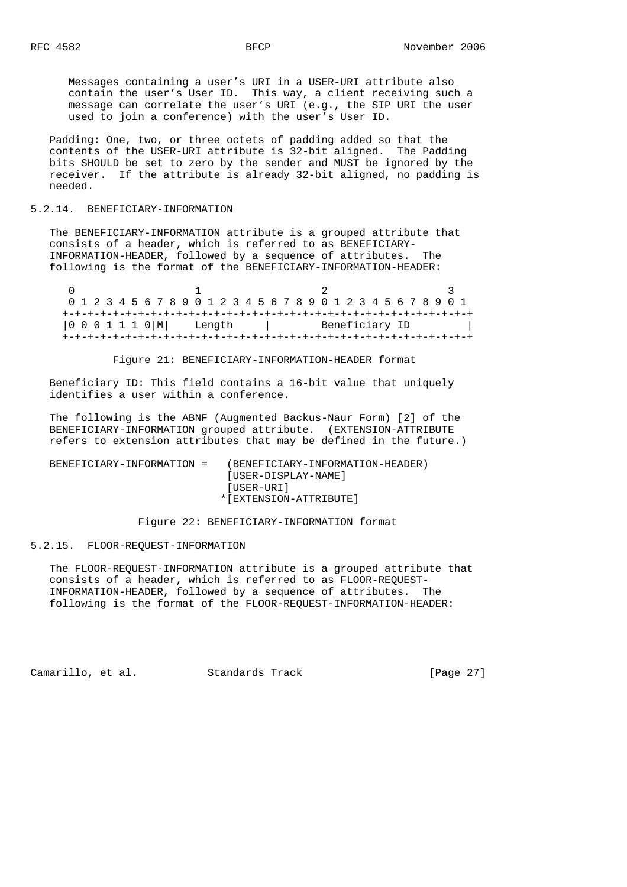Messages containing a user's URI in a USER-URI attribute also contain the user's User ID. This way, a client receiving such a message can correlate the user's URI (e.g., the SIP URI the user used to join a conference) with the user's User ID.

 Padding: One, two, or three octets of padding added so that the contents of the USER-URI attribute is 32-bit aligned. The Padding bits SHOULD be set to zero by the sender and MUST be ignored by the receiver. If the attribute is already 32-bit aligned, no padding is needed.

### 5.2.14. BENEFICIARY-INFORMATION

 The BENEFICIARY-INFORMATION attribute is a grouped attribute that consists of a header, which is referred to as BENEFICIARY- INFORMATION-HEADER, followed by a sequence of attributes. The following is the format of the BENEFICIARY-INFORMATION-HEADER:

|           |  |  |  | 0 1 2 3 4 5 6 7 8 9 0 1 2 3 4 5 6 7 8 9 0 1 2 3 4 5 6 7 8 9 0 1 |  |        |  |  |  |  |  |                |  |  |  |  |  |
|-----------|--|--|--|-----------------------------------------------------------------|--|--------|--|--|--|--|--|----------------|--|--|--|--|--|
|           |  |  |  |                                                                 |  |        |  |  |  |  |  |                |  |  |  |  |  |
| 0001110 M |  |  |  |                                                                 |  | Length |  |  |  |  |  | Beneficiary ID |  |  |  |  |  |
|           |  |  |  |                                                                 |  |        |  |  |  |  |  |                |  |  |  |  |  |

Figure 21: BENEFICIARY-INFORMATION-HEADER format

 Beneficiary ID: This field contains a 16-bit value that uniquely identifies a user within a conference.

 The following is the ABNF (Augmented Backus-Naur Form) [2] of the BENEFICIARY-INFORMATION grouped attribute. (EXTENSION-ATTRIBUTE refers to extension attributes that may be defined in the future.)

 BENEFICIARY-INFORMATION = (BENEFICIARY-INFORMATION-HEADER) [USER-DISPLAY-NAME] [USER-URI] \*[EXTENSION-ATTRIBUTE]

Figure 22: BENEFICIARY-INFORMATION format

### 5.2.15. FLOOR-REQUEST-INFORMATION

 The FLOOR-REQUEST-INFORMATION attribute is a grouped attribute that consists of a header, which is referred to as FLOOR-REQUEST- INFORMATION-HEADER, followed by a sequence of attributes. The following is the format of the FLOOR-REQUEST-INFORMATION-HEADER:

Camarillo, et al. Standards Track [Page 27]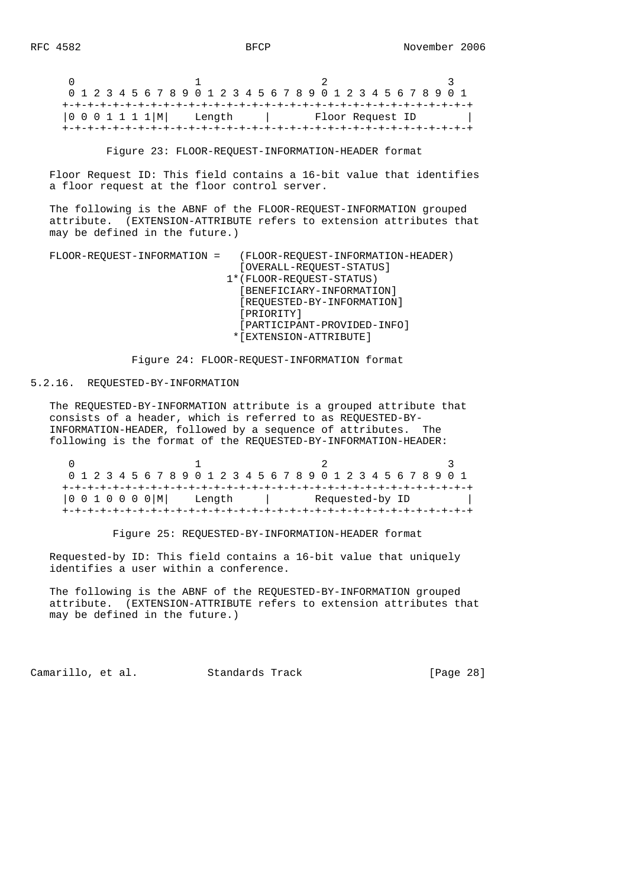$0$  and  $1$  and  $2$  3 0 1 2 3 4 5 6 7 8 9 0 1 2 3 4 5 6 7 8 9 0 1 2 3 4 5 6 7 8 9 0 1 +-+-+-+-+-+-+-+-+-+-+-+-+-+-+-+-+-+-+-+-+-+-+-+-+-+-+-+-+-+-+-+-+ |0 0 0 1 1 1 1|M| Length | Floor Request ID | +-+-+-+-+-+-+-+-+-+-+-+-+-+-+-+-+-+-+-+-+-+-+-+-+-+-+-+-+-+-+-+-+

Figure 23: FLOOR-REQUEST-INFORMATION-HEADER format

 Floor Request ID: This field contains a 16-bit value that identifies a floor request at the floor control server.

 The following is the ABNF of the FLOOR-REQUEST-INFORMATION grouped attribute. (EXTENSION-ATTRIBUTE refers to extension attributes that may be defined in the future.)

 FLOOR-REQUEST-INFORMATION = (FLOOR-REQUEST-INFORMATION-HEADER) [OVERALL-REQUEST-STATUS] 1\*(FLOOR-REQUEST-STATUS) [BENEFICIARY-INFORMATION] [REQUESTED-BY-INFORMATION] [PRIORITY] [PARTICIPANT-PROVIDED-INFO] \*[EXTENSION-ATTRIBUTE]

Figure 24: FLOOR-REQUEST-INFORMATION format

### 5.2.16. REQUESTED-BY-INFORMATION

 The REQUESTED-BY-INFORMATION attribute is a grouped attribute that consists of a header, which is referred to as REQUESTED-BY- INFORMATION-HEADER, followed by a sequence of attributes. The following is the format of the REQUESTED-BY-INFORMATION-HEADER:

|  |  |                    |  | 0 1 2 3 4 5 6 7 8 9 0 1 2 3 4 5 6 7 8 9 0 1 2 3 4 5 6 7 8 9 0 1 |  |        |  |  |  |  |                 |  |  |  |  |  |  |
|--|--|--------------------|--|-----------------------------------------------------------------|--|--------|--|--|--|--|-----------------|--|--|--|--|--|--|
|  |  |                    |  |                                                                 |  |        |  |  |  |  |                 |  |  |  |  |  |  |
|  |  | [0 0 1 0 0 0 0  M] |  |                                                                 |  | Length |  |  |  |  | Requested-by ID |  |  |  |  |  |  |
|  |  |                    |  |                                                                 |  |        |  |  |  |  |                 |  |  |  |  |  |  |

Figure 25: REQUESTED-BY-INFORMATION-HEADER format

 Requested-by ID: This field contains a 16-bit value that uniquely identifies a user within a conference.

 The following is the ABNF of the REQUESTED-BY-INFORMATION grouped attribute. (EXTENSION-ATTRIBUTE refers to extension attributes that may be defined in the future.)

Camarillo, et al. Standards Track [Page 28]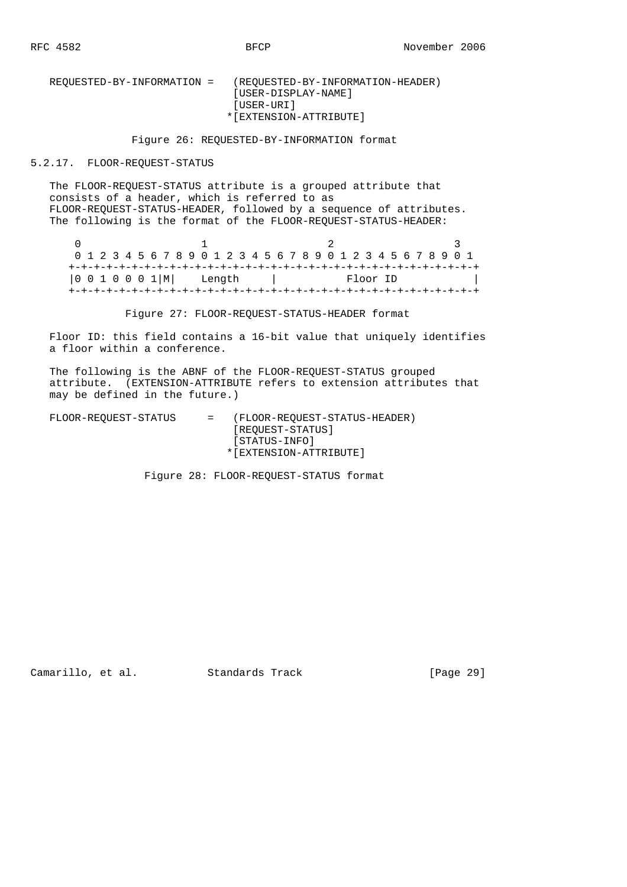| REOUESTED-BY-INFORMATION = | (REOUESTED-BY-INFORMATION-HEADER) |
|----------------------------|-----------------------------------|
|                            | [USER-DISPLAY-NAME]               |
|                            | [USER-URI]                        |
|                            | * [EXTENSION-ATTRIBUTE]           |
|                            |                                   |

Figure 26: REQUESTED-BY-INFORMATION format

5.2.17. FLOOR-REQUEST-STATUS

 The FLOOR-REQUEST-STATUS attribute is a grouped attribute that consists of a header, which is referred to as FLOOR-REQUEST-STATUS-HEADER, followed by a sequence of attributes. The following is the format of the FLOOR-REQUEST-STATUS-HEADER:

| 0 1 2 3 4 5 6 7 8 9 0 1 2 3 4 5 6 7 8 9 0 1 2 3 4 5 6 7 8 9 0 1 |  |  |  |  |  |        |  |  |  |  |  |  |          |  |  |  |
|-----------------------------------------------------------------|--|--|--|--|--|--------|--|--|--|--|--|--|----------|--|--|--|
|                                                                 |  |  |  |  |  |        |  |  |  |  |  |  |          |  |  |  |
| 0 0 1 0 0 0 1  M                                                |  |  |  |  |  | Length |  |  |  |  |  |  | Floor ID |  |  |  |
|                                                                 |  |  |  |  |  |        |  |  |  |  |  |  |          |  |  |  |

Figure 27: FLOOR-REQUEST-STATUS-HEADER format

 Floor ID: this field contains a 16-bit value that uniquely identifies a floor within a conference.

 The following is the ABNF of the FLOOR-REQUEST-STATUS grouped attribute. (EXTENSION-ATTRIBUTE refers to extension attributes that may be defined in the future.)

| FLOOR-REOUEST-STATUS | $=$ | (FLOOR-REOUEST-STATUS-HEADER) |
|----------------------|-----|-------------------------------|
|                      |     | [REOUEST-STATUS]              |
|                      |     | [STATUS-INFO]                 |
|                      |     | * [EXTENSION-ATTRIBUTE]       |

Figure 28: FLOOR-REQUEST-STATUS format

Camarillo, et al. Standards Track [Page 29]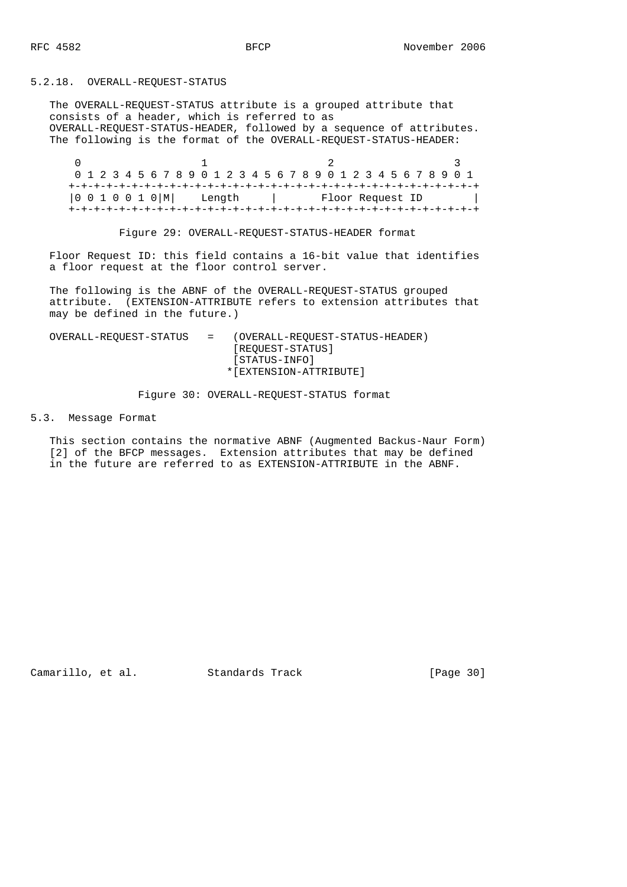### 5.2.18. OVERALL-REQUEST-STATUS

 The OVERALL-REQUEST-STATUS attribute is a grouped attribute that consists of a header, which is referred to as OVERALL-REQUEST-STATUS-HEADER, followed by a sequence of attributes. The following is the format of the OVERALL-REQUEST-STATUS-HEADER:

| 0 1 2 3 4 5 6 7 8 9 0 1 2 3 4 5 6 7 8 9 0 1 2 3 4 5 6 7 8 9 0 1 |  |  |  |  |        |  |  |  |  |  |                  |  |  |  |  |  |
|-----------------------------------------------------------------|--|--|--|--|--------|--|--|--|--|--|------------------|--|--|--|--|--|
|                                                                 |  |  |  |  |        |  |  |  |  |  |                  |  |  |  |  |  |
| 0 0 1 0 0 1 0  M                                                |  |  |  |  | Length |  |  |  |  |  | Floor Request ID |  |  |  |  |  |
|                                                                 |  |  |  |  |        |  |  |  |  |  |                  |  |  |  |  |  |

Figure 29: OVERALL-REQUEST-STATUS-HEADER format

 Floor Request ID: this field contains a 16-bit value that identifies a floor request at the floor control server.

 The following is the ABNF of the OVERALL-REQUEST-STATUS grouped attribute. (EXTENSION-ATTRIBUTE refers to extension attributes that may be defined in the future.)

| OVERALL-REQUEST-STATUS | $\mathbf{r} = \mathbf{r}$ | (OVERALL-REOUEST-STATUS-HEADER) |
|------------------------|---------------------------|---------------------------------|
|                        |                           | [REOUEST-STATUS]                |
|                        |                           | [STATUS-INFO]                   |
|                        |                           | * [EXTENSION-ATTRIBUTE]         |
|                        |                           |                                 |

Figure 30: OVERALL-REQUEST-STATUS format

5.3. Message Format

 This section contains the normative ABNF (Augmented Backus-Naur Form) [2] of the BFCP messages. Extension attributes that may be defined in the future are referred to as EXTENSION-ATTRIBUTE in the ABNF.

Camarillo, et al. Standards Track [Page 30]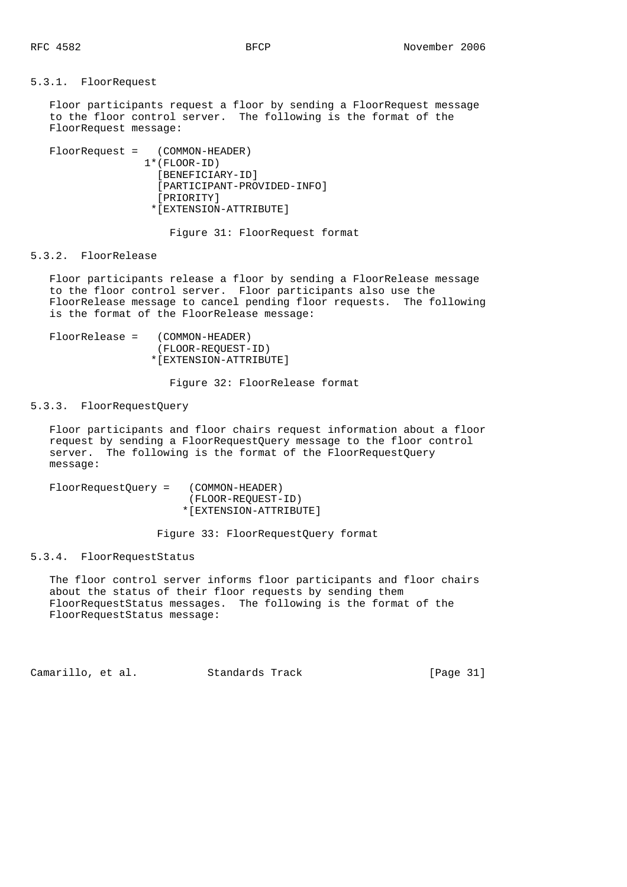5.3.1. FloorRequest

 Floor participants request a floor by sending a FloorRequest message to the floor control server. The following is the format of the FloorRequest message:

 FloorRequest = (COMMON-HEADER) 1\*(FLOOR-ID) [BENEFICIARY-ID] [PARTICIPANT-PROVIDED-INFO] [PRIORITY] \*[EXTENSION-ATTRIBUTE]

Figure 31: FloorRequest format

# 5.3.2. FloorRelease

 Floor participants release a floor by sending a FloorRelease message to the floor control server. Floor participants also use the FloorRelease message to cancel pending floor requests. The following is the format of the FloorRelease message:

 FloorRelease = (COMMON-HEADER) (FLOOR-REQUEST-ID) \*[EXTENSION-ATTRIBUTE]

Figure 32: FloorRelease format

# 5.3.3. FloorRequestQuery

 Floor participants and floor chairs request information about a floor request by sending a FloorRequestQuery message to the floor control server. The following is the format of the FloorRequestQuery message:

 FloorRequestQuery = (COMMON-HEADER) (FLOOR-REQUEST-ID) \*[EXTENSION-ATTRIBUTE]

Figure 33: FloorRequestQuery format

# 5.3.4. FloorRequestStatus

 The floor control server informs floor participants and floor chairs about the status of their floor requests by sending them FloorRequestStatus messages. The following is the format of the FloorRequestStatus message:

Camarillo, et al. Standards Track [Page 31]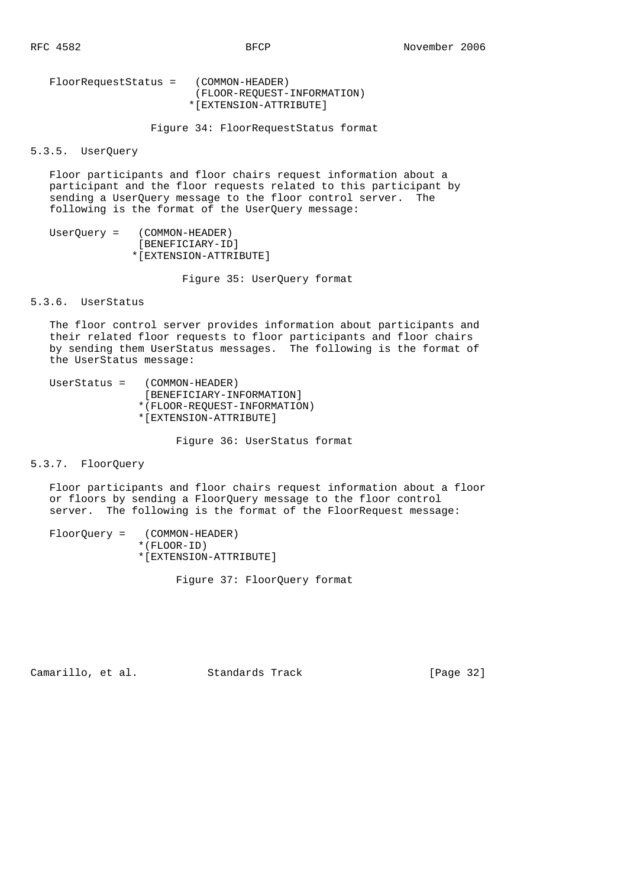FloorRequestStatus = (COMMON-HEADER) (FLOOR-REQUEST-INFORMATION) \*[EXTENSION-ATTRIBUTE]

Figure 34: FloorRequestStatus format

5.3.5. UserQuery

 Floor participants and floor chairs request information about a participant and the floor requests related to this participant by sending a UserQuery message to the floor control server. The following is the format of the UserQuery message:

 UserQuery = (COMMON-HEADER) [BENEFICIARY-ID] \*[EXTENSION-ATTRIBUTE]

Figure 35: UserQuery format

5.3.6. UserStatus

 The floor control server provides information about participants and their related floor requests to floor participants and floor chairs by sending them UserStatus messages. The following is the format of the UserStatus message:

 UserStatus = (COMMON-HEADER) [BENEFICIARY-INFORMATION] \*(FLOOR-REQUEST-INFORMATION)

\*[EXTENSION-ATTRIBUTE]

Figure 36: UserStatus format

# 5.3.7. FloorQuery

 Floor participants and floor chairs request information about a floor or floors by sending a FloorQuery message to the floor control server. The following is the format of the FloorRequest message:

 FloorQuery = (COMMON-HEADER) \*(FLOOR-ID) \*[EXTENSION-ATTRIBUTE]

Figure 37: FloorQuery format

Camarillo, et al. Standards Track [Page 32]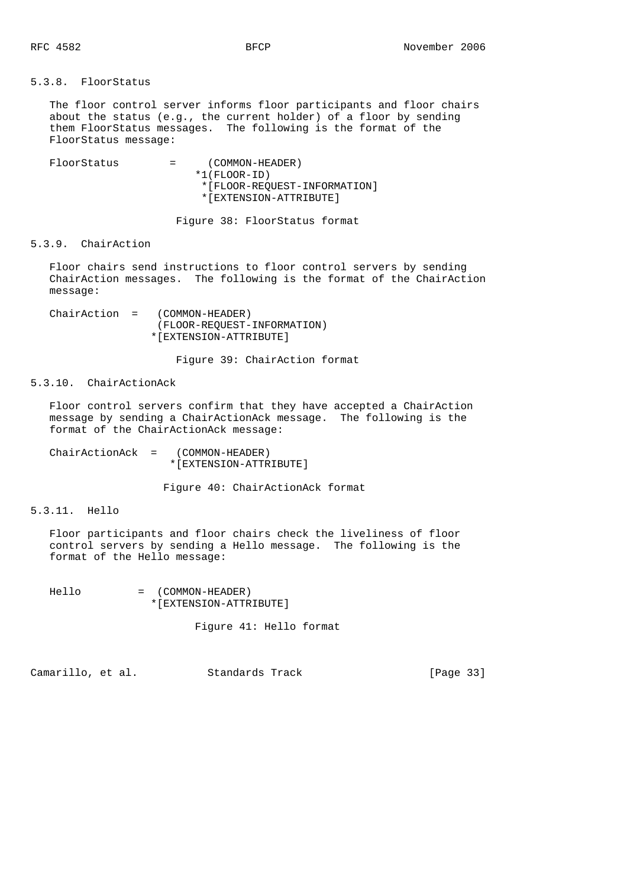# 5.3.8. FloorStatus

 The floor control server informs floor participants and floor chairs about the status (e.g., the current holder) of a floor by sending them FloorStatus messages. The following is the format of the FloorStatus message:

| FloorStatus | (COMMON-HEADER)               |
|-------------|-------------------------------|
|             | $*1(FLOOR-ID)$                |
|             | * [FLOOR-REOUEST-INFORMATION] |
|             | * [EXTENSION-ATTRIBUTE]       |
|             |                               |

Figure 38: FloorStatus format

# 5.3.9. ChairAction

 Floor chairs send instructions to floor control servers by sending ChairAction messages. The following is the format of the ChairAction message:

| Chapter 2 | (COMMON-HEADER)             |
|-----------|-----------------------------|
|           | (FLOOR-REOUEST-INFORMATION) |
|           | * [EXTENSION-ATTRIBUTE]     |

Figure 39: ChairAction format

# 5.3.10. ChairActionAck

 Floor control servers confirm that they have accepted a ChairAction message by sending a ChairActionAck message. The following is the format of the ChairActionAck message:

 ChairActionAck = (COMMON-HEADER) \*[EXTENSION-ATTRIBUTE]

Figure 40: ChairActionAck format

## 5.3.11. Hello

 Floor participants and floor chairs check the liveliness of floor control servers by sending a Hello message. The following is the format of the Hello message:

 Hello = (COMMON-HEADER) \*[EXTENSION-ATTRIBUTE]

Figure 41: Hello format

Camarillo, et al. Standards Track [Page 33]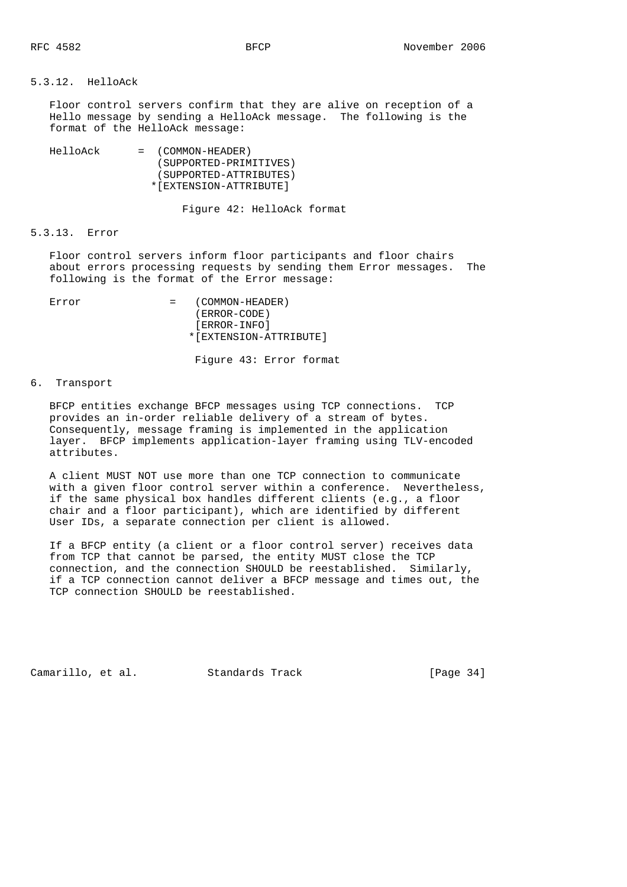## 5.3.12. HelloAck

 Floor control servers confirm that they are alive on reception of a Hello message by sending a HelloAck message. The following is the format of the HelloAck message:

 HelloAck = (COMMON-HEADER) (SUPPORTED-PRIMITIVES) (SUPPORTED-ATTRIBUTES) \*[EXTENSION-ATTRIBUTE]

Figure 42: HelloAck format

#### 5.3.13. Error

 Floor control servers inform floor participants and floor chairs about errors processing requests by sending them Error messages. The following is the format of the Error message:

| Error | (COMMON-HEADER)         |
|-------|-------------------------|
|       | (ERROR-CODE)            |
|       | [ERROR-INFO]            |
|       | * [EXTENSION-ATTRIBUTE] |
|       |                         |

Figure 43: Error format

#### 6. Transport

 BFCP entities exchange BFCP messages using TCP connections. TCP provides an in-order reliable delivery of a stream of bytes. Consequently, message framing is implemented in the application layer. BFCP implements application-layer framing using TLV-encoded attributes.

 A client MUST NOT use more than one TCP connection to communicate with a given floor control server within a conference. Nevertheless, if the same physical box handles different clients (e.g., a floor chair and a floor participant), which are identified by different User IDs, a separate connection per client is allowed.

 If a BFCP entity (a client or a floor control server) receives data from TCP that cannot be parsed, the entity MUST close the TCP connection, and the connection SHOULD be reestablished. Similarly, if a TCP connection cannot deliver a BFCP message and times out, the TCP connection SHOULD be reestablished.

Camarillo, et al. Standards Track [Page 34]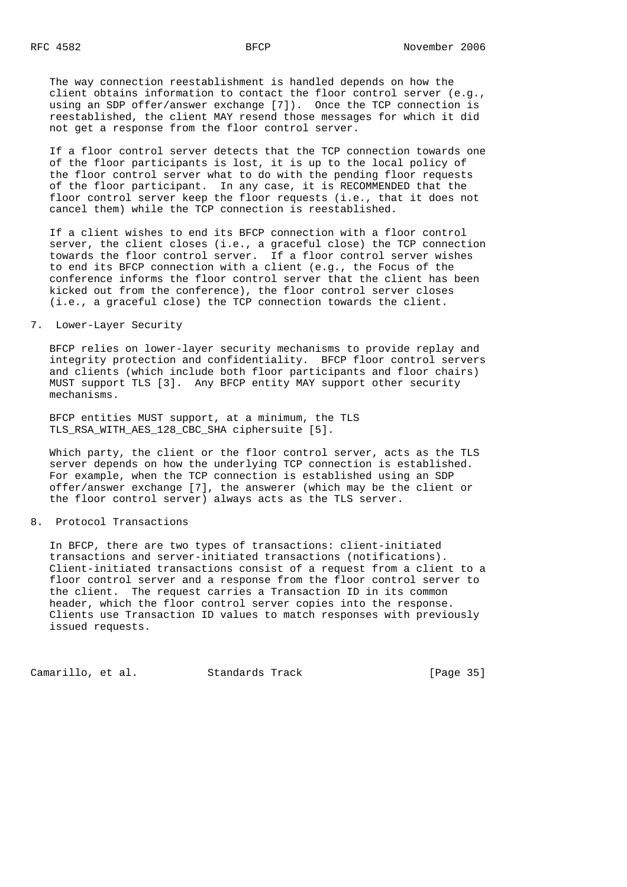The way connection reestablishment is handled depends on how the client obtains information to contact the floor control server (e.g., using an SDP offer/answer exchange [7]). Once the TCP connection is reestablished, the client MAY resend those messages for which it did not get a response from the floor control server.

 If a floor control server detects that the TCP connection towards one of the floor participants is lost, it is up to the local policy of the floor control server what to do with the pending floor requests of the floor participant. In any case, it is RECOMMENDED that the floor control server keep the floor requests (i.e., that it does not cancel them) while the TCP connection is reestablished.

 If a client wishes to end its BFCP connection with a floor control server, the client closes (i.e., a graceful close) the TCP connection towards the floor control server. If a floor control server wishes to end its BFCP connection with a client (e.g., the Focus of the conference informs the floor control server that the client has been kicked out from the conference), the floor control server closes (i.e., a graceful close) the TCP connection towards the client.

### 7. Lower-Layer Security

 BFCP relies on lower-layer security mechanisms to provide replay and integrity protection and confidentiality. BFCP floor control servers and clients (which include both floor participants and floor chairs) MUST support TLS [3]. Any BFCP entity MAY support other security mechanisms.

 BFCP entities MUST support, at a minimum, the TLS TLS\_RSA\_WITH\_AES\_128\_CBC\_SHA ciphersuite [5].

 Which party, the client or the floor control server, acts as the TLS server depends on how the underlying TCP connection is established. For example, when the TCP connection is established using an SDP offer/answer exchange [7], the answerer (which may be the client or the floor control server) always acts as the TLS server.

### 8. Protocol Transactions

 In BFCP, there are two types of transactions: client-initiated transactions and server-initiated transactions (notifications). Client-initiated transactions consist of a request from a client to a floor control server and a response from the floor control server to the client. The request carries a Transaction ID in its common header, which the floor control server copies into the response. Clients use Transaction ID values to match responses with previously issued requests.

Camarillo, et al. Standards Track [Page 35]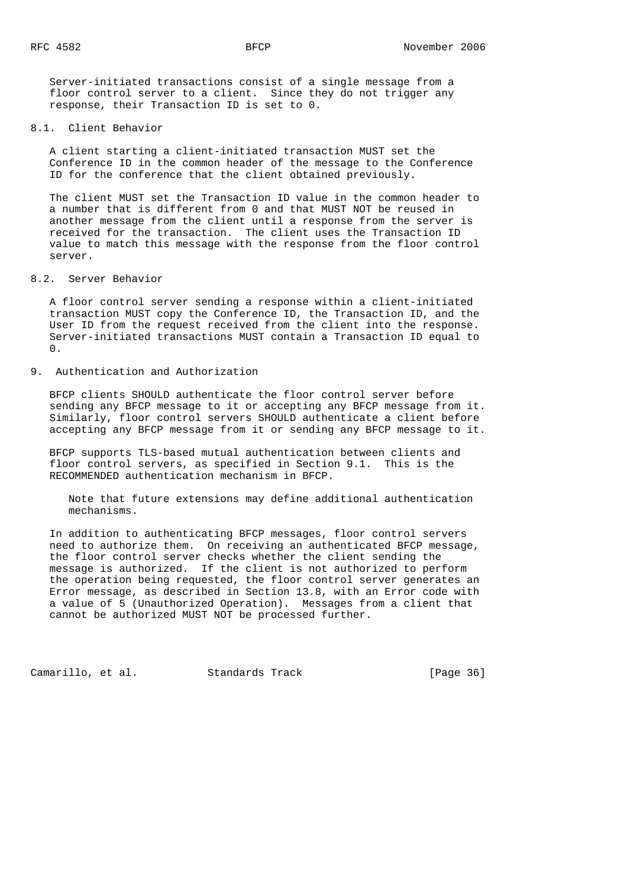Server-initiated transactions consist of a single message from a floor control server to a client. Since they do not trigger any response, their Transaction ID is set to 0.

### 8.1. Client Behavior

 A client starting a client-initiated transaction MUST set the Conference ID in the common header of the message to the Conference ID for the conference that the client obtained previously.

 The client MUST set the Transaction ID value in the common header to a number that is different from 0 and that MUST NOT be reused in another message from the client until a response from the server is received for the transaction. The client uses the Transaction ID value to match this message with the response from the floor control server.

### 8.2. Server Behavior

 A floor control server sending a response within a client-initiated transaction MUST copy the Conference ID, the Transaction ID, and the User ID from the request received from the client into the response. Server-initiated transactions MUST contain a Transaction ID equal to  $\cap$ 

# 9. Authentication and Authorization

 BFCP clients SHOULD authenticate the floor control server before sending any BFCP message to it or accepting any BFCP message from it. Similarly, floor control servers SHOULD authenticate a client before accepting any BFCP message from it or sending any BFCP message to it.

 BFCP supports TLS-based mutual authentication between clients and floor control servers, as specified in Section 9.1. This is the RECOMMENDED authentication mechanism in BFCP.

 Note that future extensions may define additional authentication mechanisms.

 In addition to authenticating BFCP messages, floor control servers need to authorize them. On receiving an authenticated BFCP message, the floor control server checks whether the client sending the message is authorized. If the client is not authorized to perform the operation being requested, the floor control server generates an Error message, as described in Section 13.8, with an Error code with a value of 5 (Unauthorized Operation). Messages from a client that cannot be authorized MUST NOT be processed further.

Camarillo, et al. Standards Track [Page 36]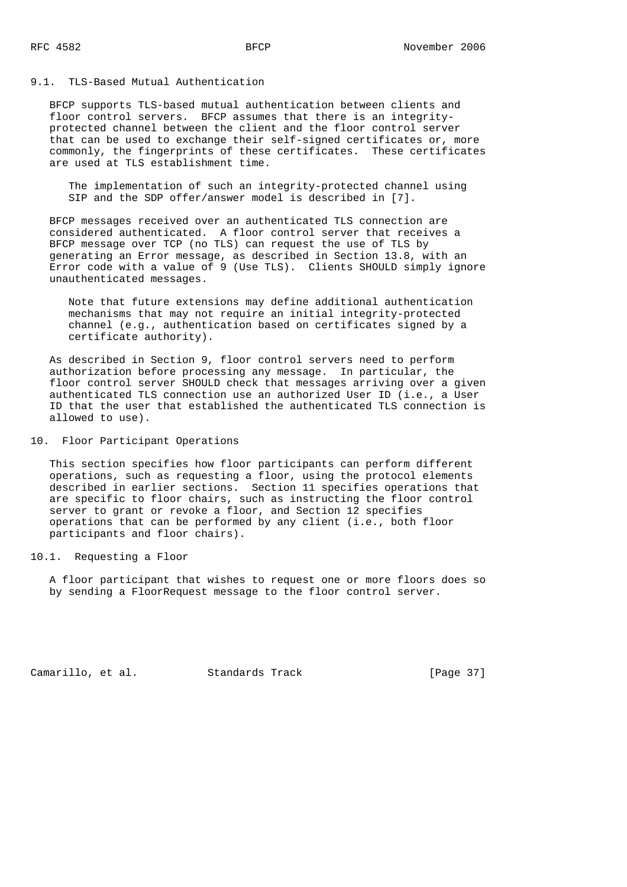# 9.1. TLS-Based Mutual Authentication

 BFCP supports TLS-based mutual authentication between clients and floor control servers. BFCP assumes that there is an integrity protected channel between the client and the floor control server that can be used to exchange their self-signed certificates or, more commonly, the fingerprints of these certificates. These certificates are used at TLS establishment time.

 The implementation of such an integrity-protected channel using SIP and the SDP offer/answer model is described in [7].

 BFCP messages received over an authenticated TLS connection are considered authenticated. A floor control server that receives a BFCP message over TCP (no TLS) can request the use of TLS by generating an Error message, as described in Section 13.8, with an Error code with a value of 9 (Use TLS). Clients SHOULD simply ignore unauthenticated messages.

 Note that future extensions may define additional authentication mechanisms that may not require an initial integrity-protected channel (e.g., authentication based on certificates signed by a certificate authority).

 As described in Section 9, floor control servers need to perform authorization before processing any message. In particular, the floor control server SHOULD check that messages arriving over a given authenticated TLS connection use an authorized User ID (i.e., a User ID that the user that established the authenticated TLS connection is allowed to use).

# 10. Floor Participant Operations

 This section specifies how floor participants can perform different operations, such as requesting a floor, using the protocol elements described in earlier sections. Section 11 specifies operations that are specific to floor chairs, such as instructing the floor control server to grant or revoke a floor, and Section 12 specifies operations that can be performed by any client (i.e., both floor participants and floor chairs).

# 10.1. Requesting a Floor

 A floor participant that wishes to request one or more floors does so by sending a FloorRequest message to the floor control server.

Camarillo, et al. Standards Track [Page 37]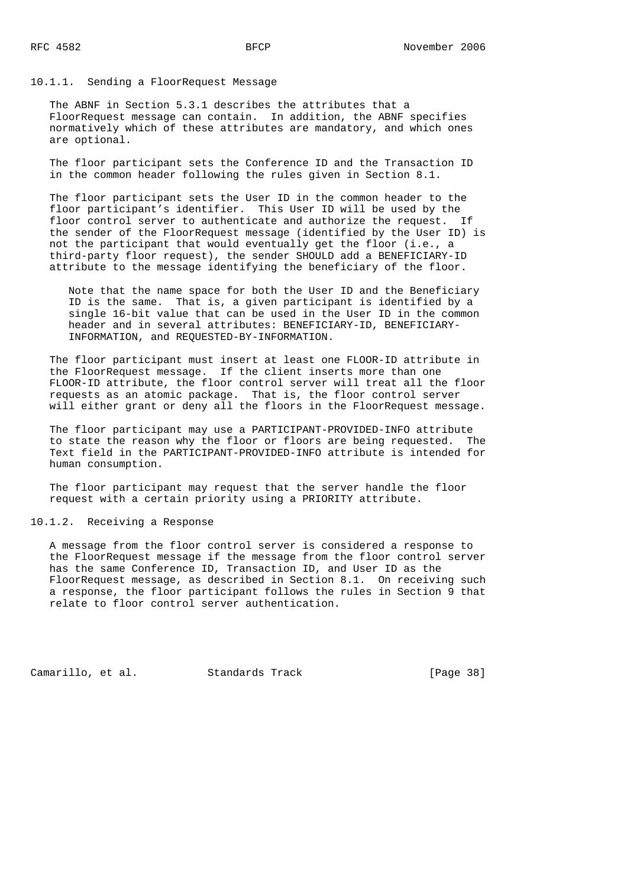10.1.1. Sending a FloorRequest Message

 The ABNF in Section 5.3.1 describes the attributes that a FloorRequest message can contain. In addition, the ABNF specifies normatively which of these attributes are mandatory, and which ones are optional.

 The floor participant sets the Conference ID and the Transaction ID in the common header following the rules given in Section 8.1.

 The floor participant sets the User ID in the common header to the floor participant's identifier. This User ID will be used by the floor control server to authenticate and authorize the request. If the sender of the FloorRequest message (identified by the User ID) is not the participant that would eventually get the floor (i.e., a third-party floor request), the sender SHOULD add a BENEFICIARY-ID attribute to the message identifying the beneficiary of the floor.

 Note that the name space for both the User ID and the Beneficiary ID is the same. That is, a given participant is identified by a single 16-bit value that can be used in the User ID in the common header and in several attributes: BENEFICIARY-ID, BENEFICIARY- INFORMATION, and REQUESTED-BY-INFORMATION.

 The floor participant must insert at least one FLOOR-ID attribute in the FloorRequest message. If the client inserts more than one FLOOR-ID attribute, the floor control server will treat all the floor requests as an atomic package. That is, the floor control server will either grant or deny all the floors in the FloorRequest message.

 The floor participant may use a PARTICIPANT-PROVIDED-INFO attribute to state the reason why the floor or floors are being requested. The Text field in the PARTICIPANT-PROVIDED-INFO attribute is intended for human consumption.

 The floor participant may request that the server handle the floor request with a certain priority using a PRIORITY attribute.

### 10.1.2. Receiving a Response

 A message from the floor control server is considered a response to the FloorRequest message if the message from the floor control server has the same Conference ID, Transaction ID, and User ID as the FloorRequest message, as described in Section 8.1. On receiving such a response, the floor participant follows the rules in Section 9 that relate to floor control server authentication.

Camarillo, et al. Standards Track [Page 38]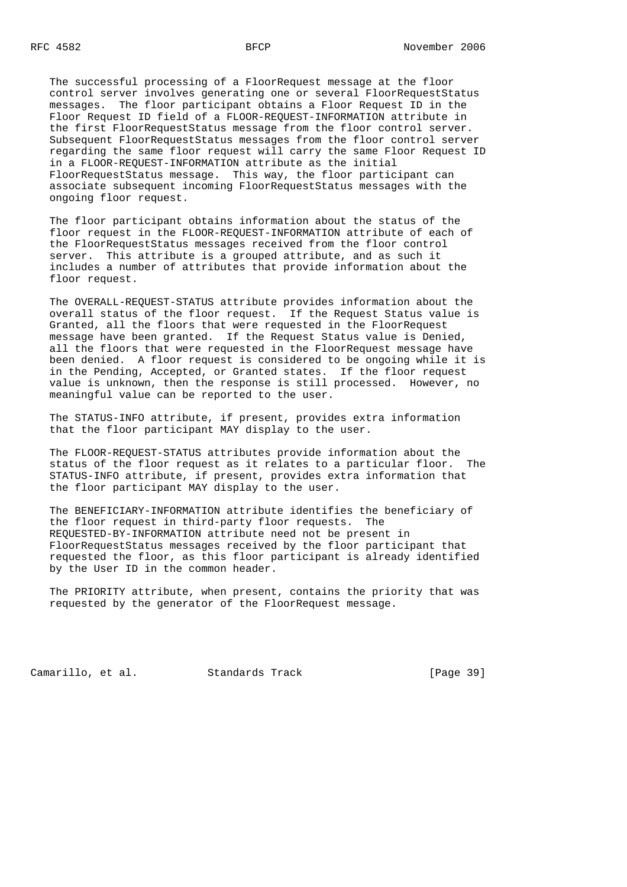The successful processing of a FloorRequest message at the floor control server involves generating one or several FloorRequestStatus messages. The floor participant obtains a Floor Request ID in the Floor Request ID field of a FLOOR-REQUEST-INFORMATION attribute in the first FloorRequestStatus message from the floor control server. Subsequent FloorRequestStatus messages from the floor control server regarding the same floor request will carry the same Floor Request ID in a FLOOR-REQUEST-INFORMATION attribute as the initial FloorRequestStatus message. This way, the floor participant can associate subsequent incoming FloorRequestStatus messages with the ongoing floor request.

 The floor participant obtains information about the status of the floor request in the FLOOR-REQUEST-INFORMATION attribute of each of the FloorRequestStatus messages received from the floor control server. This attribute is a grouped attribute, and as such it includes a number of attributes that provide information about the floor request.

 The OVERALL-REQUEST-STATUS attribute provides information about the overall status of the floor request. If the Request Status value is Granted, all the floors that were requested in the FloorRequest message have been granted. If the Request Status value is Denied, all the floors that were requested in the FloorRequest message have been denied. A floor request is considered to be ongoing while it is in the Pending, Accepted, or Granted states. If the floor request value is unknown, then the response is still processed. However, no meaningful value can be reported to the user.

 The STATUS-INFO attribute, if present, provides extra information that the floor participant MAY display to the user.

 The FLOOR-REQUEST-STATUS attributes provide information about the status of the floor request as it relates to a particular floor. The STATUS-INFO attribute, if present, provides extra information that the floor participant MAY display to the user.

 The BENEFICIARY-INFORMATION attribute identifies the beneficiary of the floor request in third-party floor requests. The REQUESTED-BY-INFORMATION attribute need not be present in FloorRequestStatus messages received by the floor participant that requested the floor, as this floor participant is already identified by the User ID in the common header.

 The PRIORITY attribute, when present, contains the priority that was requested by the generator of the FloorRequest message.

Camarillo, et al. Standards Track [Page 39]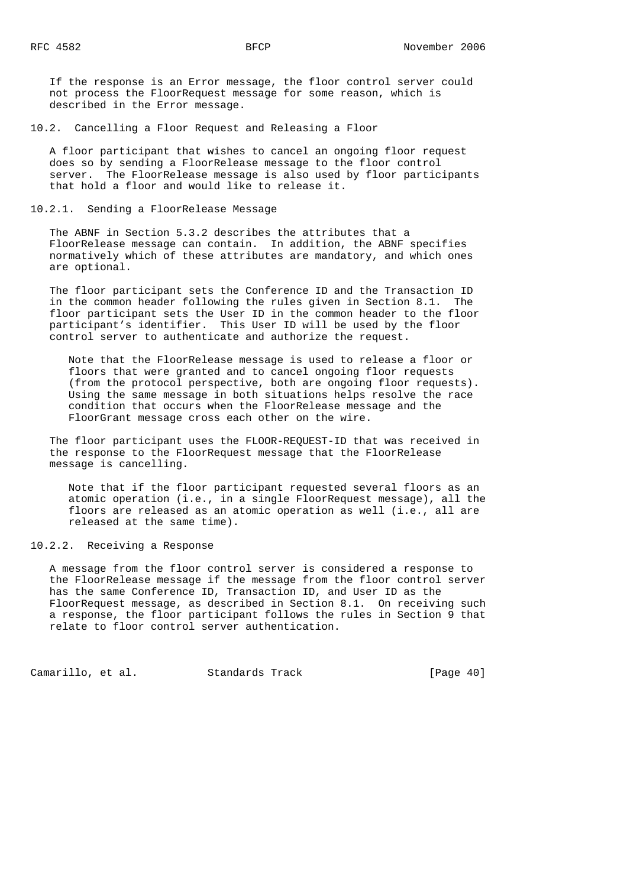If the response is an Error message, the floor control server could not process the FloorRequest message for some reason, which is described in the Error message.

10.2. Cancelling a Floor Request and Releasing a Floor

 A floor participant that wishes to cancel an ongoing floor request does so by sending a FloorRelease message to the floor control server. The FloorRelease message is also used by floor participants that hold a floor and would like to release it.

10.2.1. Sending a FloorRelease Message

 The ABNF in Section 5.3.2 describes the attributes that a FloorRelease message can contain. In addition, the ABNF specifies normatively which of these attributes are mandatory, and which ones are optional.

 The floor participant sets the Conference ID and the Transaction ID in the common header following the rules given in Section 8.1. The floor participant sets the User ID in the common header to the floor participant's identifier. This User ID will be used by the floor control server to authenticate and authorize the request.

 Note that the FloorRelease message is used to release a floor or floors that were granted and to cancel ongoing floor requests (from the protocol perspective, both are ongoing floor requests). Using the same message in both situations helps resolve the race condition that occurs when the FloorRelease message and the FloorGrant message cross each other on the wire.

 The floor participant uses the FLOOR-REQUEST-ID that was received in the response to the FloorRequest message that the FloorRelease message is cancelling.

 Note that if the floor participant requested several floors as an atomic operation (i.e., in a single FloorRequest message), all the floors are released as an atomic operation as well (i.e., all are released at the same time).

10.2.2. Receiving a Response

 A message from the floor control server is considered a response to the FloorRelease message if the message from the floor control server has the same Conference ID, Transaction ID, and User ID as the FloorRequest message, as described in Section 8.1. On receiving such a response, the floor participant follows the rules in Section 9 that relate to floor control server authentication.

Camarillo, et al. Standards Track [Page 40]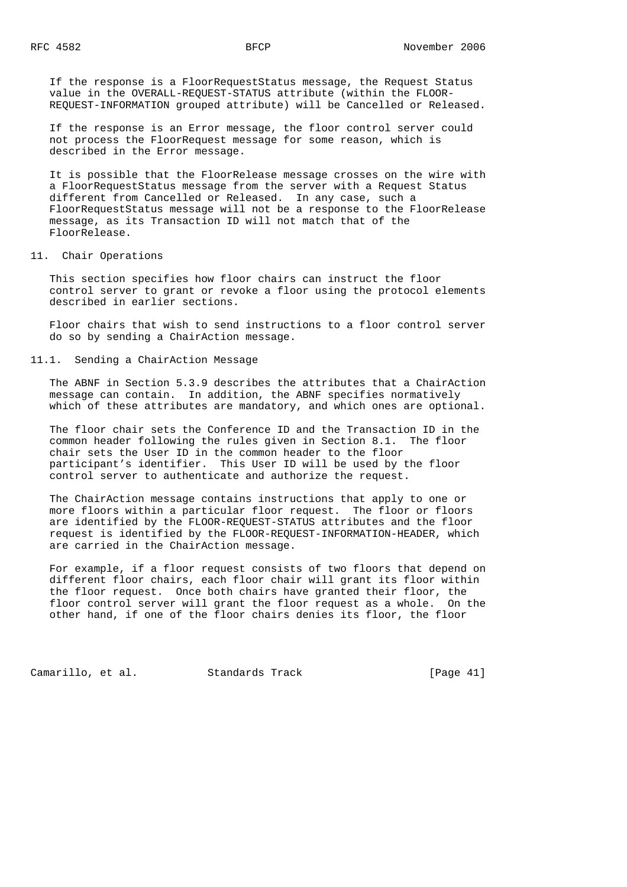If the response is a FloorRequestStatus message, the Request Status value in the OVERALL-REQUEST-STATUS attribute (within the FLOOR- REQUEST-INFORMATION grouped attribute) will be Cancelled or Released.

 If the response is an Error message, the floor control server could not process the FloorRequest message for some reason, which is described in the Error message.

 It is possible that the FloorRelease message crosses on the wire with a FloorRequestStatus message from the server with a Request Status different from Cancelled or Released. In any case, such a FloorRequestStatus message will not be a response to the FloorRelease message, as its Transaction ID will not match that of the FloorRelease.

### 11. Chair Operations

 This section specifies how floor chairs can instruct the floor control server to grant or revoke a floor using the protocol elements described in earlier sections.

 Floor chairs that wish to send instructions to a floor control server do so by sending a ChairAction message.

#### 11.1. Sending a ChairAction Message

 The ABNF in Section 5.3.9 describes the attributes that a ChairAction message can contain. In addition, the ABNF specifies normatively which of these attributes are mandatory, and which ones are optional.

 The floor chair sets the Conference ID and the Transaction ID in the common header following the rules given in Section 8.1. The floor chair sets the User ID in the common header to the floor participant's identifier. This User ID will be used by the floor control server to authenticate and authorize the request.

 The ChairAction message contains instructions that apply to one or more floors within a particular floor request. The floor or floors are identified by the FLOOR-REQUEST-STATUS attributes and the floor request is identified by the FLOOR-REQUEST-INFORMATION-HEADER, which are carried in the ChairAction message.

 For example, if a floor request consists of two floors that depend on different floor chairs, each floor chair will grant its floor within the floor request. Once both chairs have granted their floor, the floor control server will grant the floor request as a whole. On the other hand, if one of the floor chairs denies its floor, the floor

Camarillo, et al. Standards Track [Page 41]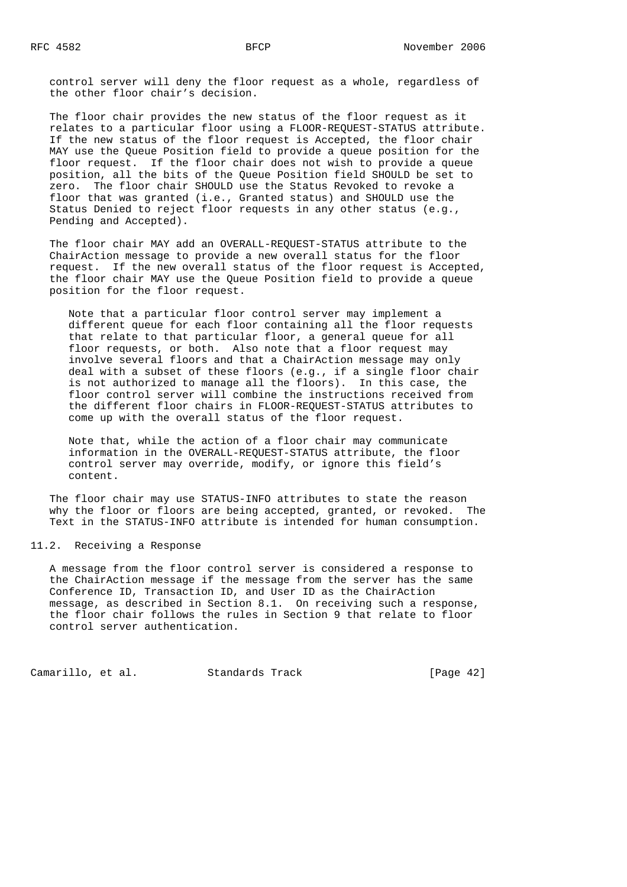control server will deny the floor request as a whole, regardless of the other floor chair's decision.

 The floor chair provides the new status of the floor request as it relates to a particular floor using a FLOOR-REQUEST-STATUS attribute. If the new status of the floor request is Accepted, the floor chair MAY use the Queue Position field to provide a queue position for the floor request. If the floor chair does not wish to provide a queue position, all the bits of the Queue Position field SHOULD be set to zero. The floor chair SHOULD use the Status Revoked to revoke a floor that was granted (i.e., Granted status) and SHOULD use the Status Denied to reject floor requests in any other status (e.g., Pending and Accepted).

 The floor chair MAY add an OVERALL-REQUEST-STATUS attribute to the ChairAction message to provide a new overall status for the floor request. If the new overall status of the floor request is Accepted, the floor chair MAY use the Queue Position field to provide a queue position for the floor request.

 Note that a particular floor control server may implement a different queue for each floor containing all the floor requests that relate to that particular floor, a general queue for all floor requests, or both. Also note that a floor request may involve several floors and that a ChairAction message may only deal with a subset of these floors (e.g., if a single floor chair is not authorized to manage all the floors). In this case, the floor control server will combine the instructions received from the different floor chairs in FLOOR-REQUEST-STATUS attributes to come up with the overall status of the floor request.

 Note that, while the action of a floor chair may communicate information in the OVERALL-REQUEST-STATUS attribute, the floor control server may override, modify, or ignore this field's content.

The floor chair may use STATUS-INFO attributes to state the reason why the floor or floors are being accepted, granted, or revoked. The Text in the STATUS-INFO attribute is intended for human consumption.

# 11.2. Receiving a Response

 A message from the floor control server is considered a response to the ChairAction message if the message from the server has the same Conference ID, Transaction ID, and User ID as the ChairAction message, as described in Section 8.1. On receiving such a response, the floor chair follows the rules in Section 9 that relate to floor control server authentication.

Camarillo, et al. Standards Track [Page 42]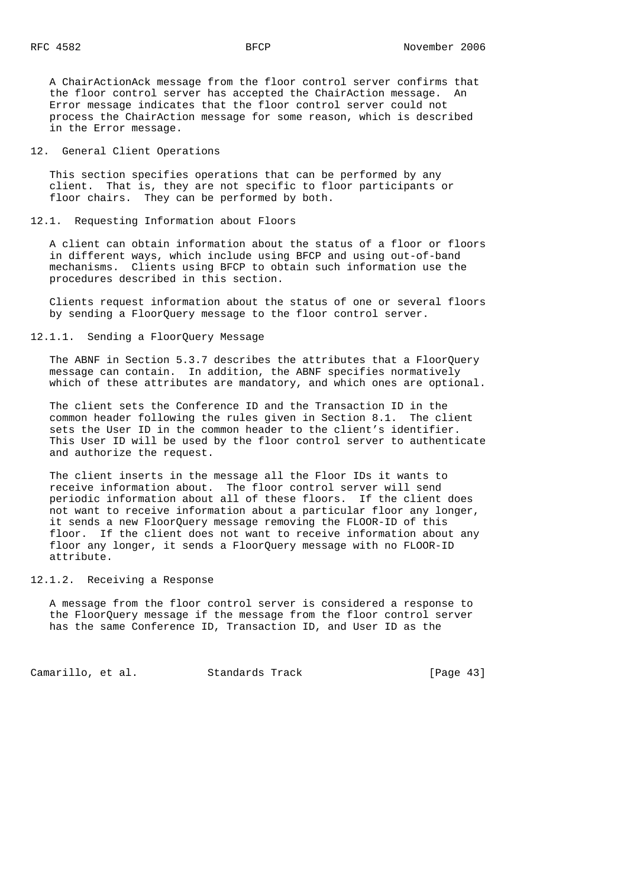A ChairActionAck message from the floor control server confirms that the floor control server has accepted the ChairAction message. An Error message indicates that the floor control server could not process the ChairAction message for some reason, which is described in the Error message.

### 12. General Client Operations

 This section specifies operations that can be performed by any client. That is, they are not specific to floor participants or floor chairs. They can be performed by both.

#### 12.1. Requesting Information about Floors

 A client can obtain information about the status of a floor or floors in different ways, which include using BFCP and using out-of-band mechanisms. Clients using BFCP to obtain such information use the procedures described in this section.

 Clients request information about the status of one or several floors by sending a FloorQuery message to the floor control server.

# 12.1.1. Sending a FloorQuery Message

 The ABNF in Section 5.3.7 describes the attributes that a FloorQuery message can contain. In addition, the ABNF specifies normatively which of these attributes are mandatory, and which ones are optional.

 The client sets the Conference ID and the Transaction ID in the common header following the rules given in Section 8.1. The client sets the User ID in the common header to the client's identifier. This User ID will be used by the floor control server to authenticate and authorize the request.

 The client inserts in the message all the Floor IDs it wants to receive information about. The floor control server will send periodic information about all of these floors. If the client does not want to receive information about a particular floor any longer, it sends a new FloorQuery message removing the FLOOR-ID of this floor. If the client does not want to receive information about any floor any longer, it sends a FloorQuery message with no FLOOR-ID attribute.

### 12.1.2. Receiving a Response

 A message from the floor control server is considered a response to the FloorQuery message if the message from the floor control server has the same Conference ID, Transaction ID, and User ID as the

Camarillo, et al. Standards Track [Page 43]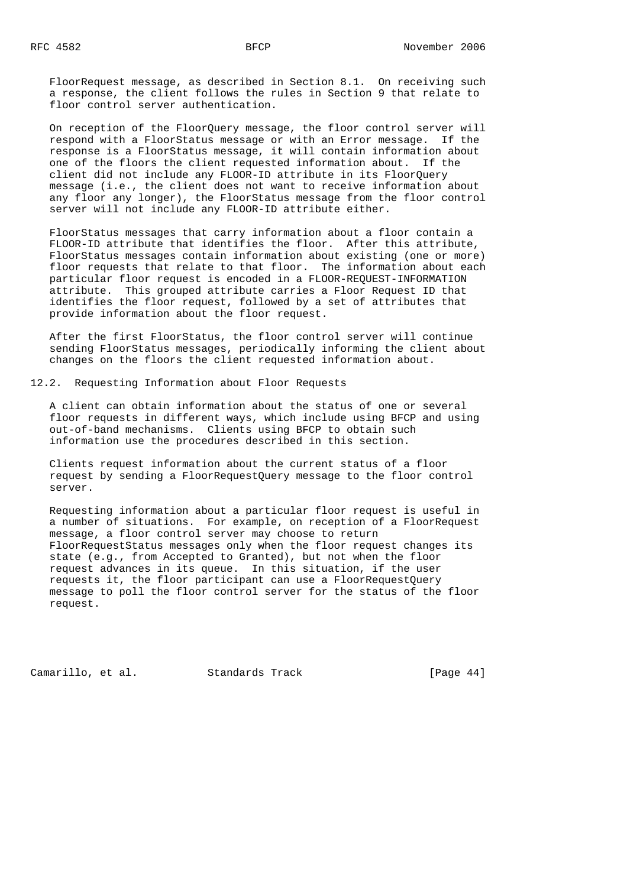FloorRequest message, as described in Section 8.1. On receiving such a response, the client follows the rules in Section 9 that relate to floor control server authentication.

 On reception of the FloorQuery message, the floor control server will respond with a FloorStatus message or with an Error message. If the response is a FloorStatus message, it will contain information about one of the floors the client requested information about. If the client did not include any FLOOR-ID attribute in its FloorQuery message (i.e., the client does not want to receive information about any floor any longer), the FloorStatus message from the floor control server will not include any FLOOR-ID attribute either.

 FloorStatus messages that carry information about a floor contain a FLOOR-ID attribute that identifies the floor. After this attribute, FloorStatus messages contain information about existing (one or more) floor requests that relate to that floor. The information about each particular floor request is encoded in a FLOOR-REQUEST-INFORMATION attribute. This grouped attribute carries a Floor Request ID that identifies the floor request, followed by a set of attributes that provide information about the floor request.

 After the first FloorStatus, the floor control server will continue sending FloorStatus messages, periodically informing the client about changes on the floors the client requested information about.

12.2. Requesting Information about Floor Requests

 A client can obtain information about the status of one or several floor requests in different ways, which include using BFCP and using out-of-band mechanisms. Clients using BFCP to obtain such information use the procedures described in this section.

 Clients request information about the current status of a floor request by sending a FloorRequestQuery message to the floor control server.

 Requesting information about a particular floor request is useful in a number of situations. For example, on reception of a FloorRequest message, a floor control server may choose to return FloorRequestStatus messages only when the floor request changes its state (e.g., from Accepted to Granted), but not when the floor request advances in its queue. In this situation, if the user requests it, the floor participant can use a FloorRequestQuery message to poll the floor control server for the status of the floor request.

Camarillo, et al. Standards Track [Page 44]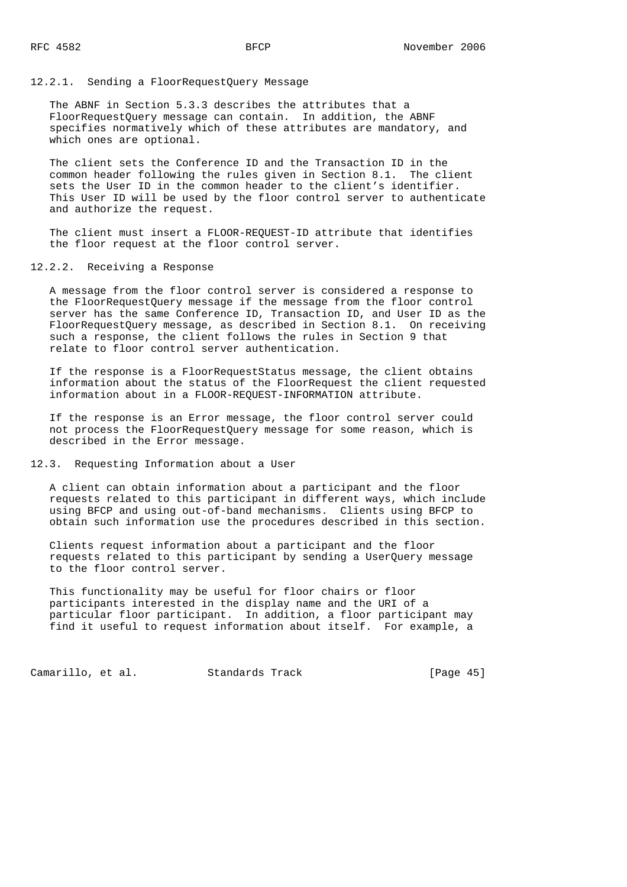### 12.2.1. Sending a FloorRequestQuery Message

 The ABNF in Section 5.3.3 describes the attributes that a FloorRequestQuery message can contain. In addition, the ABNF specifies normatively which of these attributes are mandatory, and which ones are optional.

 The client sets the Conference ID and the Transaction ID in the common header following the rules given in Section 8.1. The client sets the User ID in the common header to the client's identifier. This User ID will be used by the floor control server to authenticate and authorize the request.

 The client must insert a FLOOR-REQUEST-ID attribute that identifies the floor request at the floor control server.

## 12.2.2. Receiving a Response

 A message from the floor control server is considered a response to the FloorRequestQuery message if the message from the floor control server has the same Conference ID, Transaction ID, and User ID as the FloorRequestQuery message, as described in Section 8.1. On receiving such a response, the client follows the rules in Section 9 that relate to floor control server authentication.

 If the response is a FloorRequestStatus message, the client obtains information about the status of the FloorRequest the client requested information about in a FLOOR-REQUEST-INFORMATION attribute.

 If the response is an Error message, the floor control server could not process the FloorRequestQuery message for some reason, which is described in the Error message.

### 12.3. Requesting Information about a User

 A client can obtain information about a participant and the floor requests related to this participant in different ways, which include using BFCP and using out-of-band mechanisms. Clients using BFCP to obtain such information use the procedures described in this section.

 Clients request information about a participant and the floor requests related to this participant by sending a UserQuery message to the floor control server.

 This functionality may be useful for floor chairs or floor participants interested in the display name and the URI of a particular floor participant. In addition, a floor participant may find it useful to request information about itself. For example, a

Camarillo, et al. Standards Track [Page 45]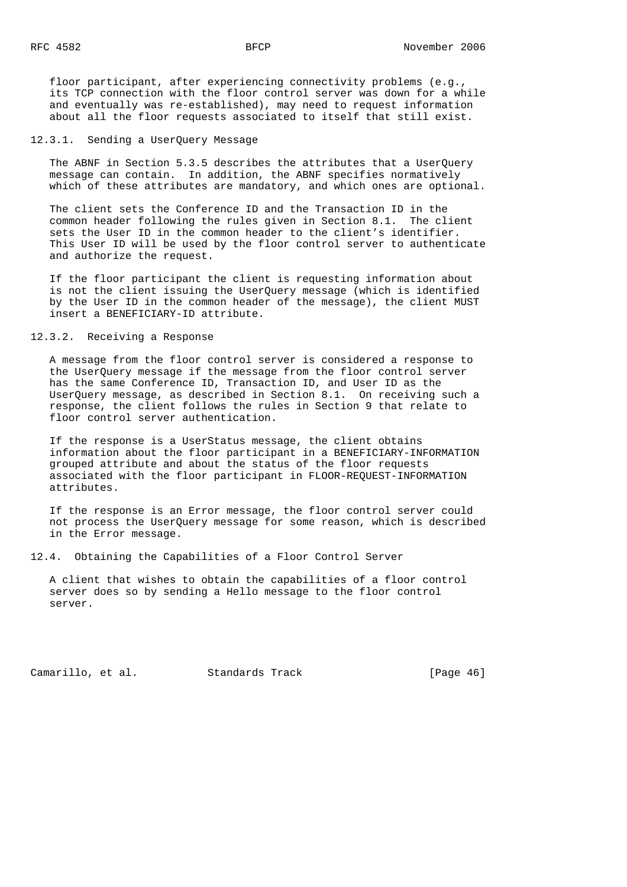floor participant, after experiencing connectivity problems (e.g., its TCP connection with the floor control server was down for a while and eventually was re-established), may need to request information about all the floor requests associated to itself that still exist.

12.3.1. Sending a UserQuery Message

 The ABNF in Section 5.3.5 describes the attributes that a UserQuery message can contain. In addition, the ABNF specifies normatively which of these attributes are mandatory, and which ones are optional.

 The client sets the Conference ID and the Transaction ID in the common header following the rules given in Section 8.1. The client sets the User ID in the common header to the client's identifier. This User ID will be used by the floor control server to authenticate and authorize the request.

 If the floor participant the client is requesting information about is not the client issuing the UserQuery message (which is identified by the User ID in the common header of the message), the client MUST insert a BENEFICIARY-ID attribute.

## 12.3.2. Receiving a Response

 A message from the floor control server is considered a response to the UserQuery message if the message from the floor control server has the same Conference ID, Transaction ID, and User ID as the UserQuery message, as described in Section 8.1. On receiving such a response, the client follows the rules in Section 9 that relate to floor control server authentication.

 If the response is a UserStatus message, the client obtains information about the floor participant in a BENEFICIARY-INFORMATION grouped attribute and about the status of the floor requests associated with the floor participant in FLOOR-REQUEST-INFORMATION attributes.

 If the response is an Error message, the floor control server could not process the UserQuery message for some reason, which is described in the Error message.

12.4. Obtaining the Capabilities of a Floor Control Server

 A client that wishes to obtain the capabilities of a floor control server does so by sending a Hello message to the floor control server.

Camarillo, et al. Standards Track [Page 46]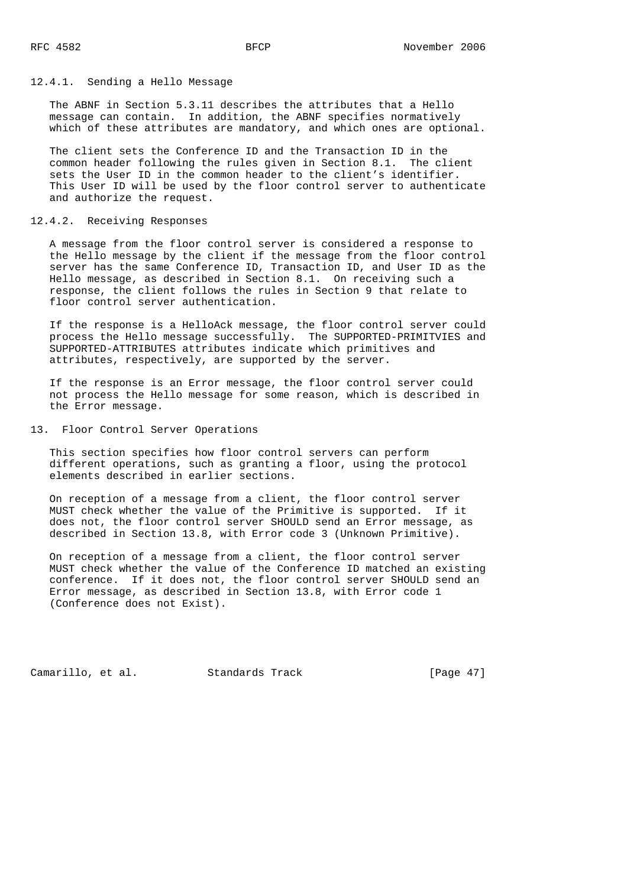### 12.4.1. Sending a Hello Message

 The ABNF in Section 5.3.11 describes the attributes that a Hello message can contain. In addition, the ABNF specifies normatively which of these attributes are mandatory, and which ones are optional.

 The client sets the Conference ID and the Transaction ID in the common header following the rules given in Section 8.1. The client sets the User ID in the common header to the client's identifier. This User ID will be used by the floor control server to authenticate and authorize the request.

### 12.4.2. Receiving Responses

 A message from the floor control server is considered a response to the Hello message by the client if the message from the floor control server has the same Conference ID, Transaction ID, and User ID as the Hello message, as described in Section 8.1. On receiving such a response, the client follows the rules in Section 9 that relate to floor control server authentication.

 If the response is a HelloAck message, the floor control server could process the Hello message successfully. The SUPPORTED-PRIMITVIES and SUPPORTED-ATTRIBUTES attributes indicate which primitives and attributes, respectively, are supported by the server.

 If the response is an Error message, the floor control server could not process the Hello message for some reason, which is described in the Error message.

13. Floor Control Server Operations

 This section specifies how floor control servers can perform different operations, such as granting a floor, using the protocol elements described in earlier sections.

 On reception of a message from a client, the floor control server MUST check whether the value of the Primitive is supported. If it does not, the floor control server SHOULD send an Error message, as described in Section 13.8, with Error code 3 (Unknown Primitive).

 On reception of a message from a client, the floor control server MUST check whether the value of the Conference ID matched an existing conference. If it does not, the floor control server SHOULD send an Error message, as described in Section 13.8, with Error code 1 (Conference does not Exist).

Camarillo, et al. Standards Track [Page 47]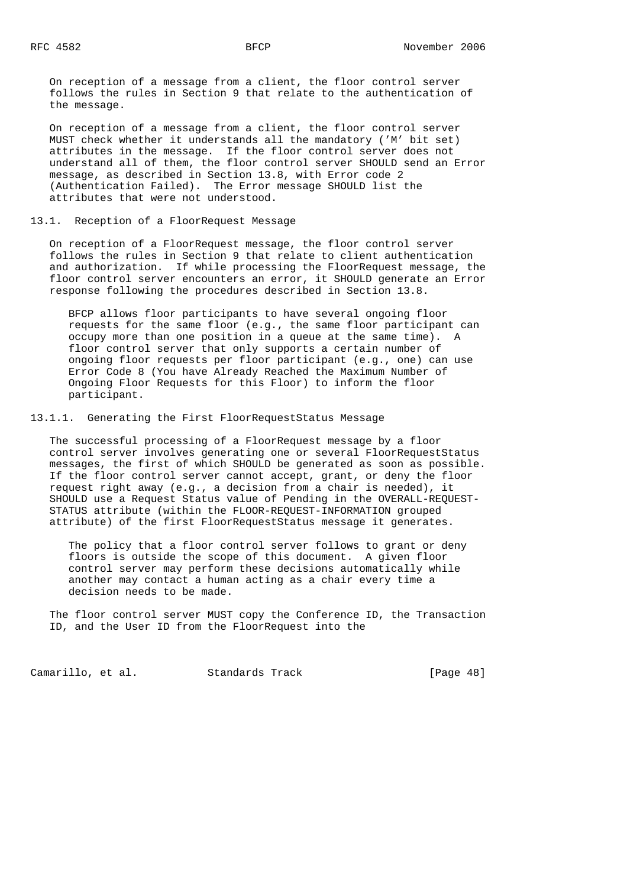On reception of a message from a client, the floor control server follows the rules in Section 9 that relate to the authentication of the message.

 On reception of a message from a client, the floor control server MUST check whether it understands all the mandatory ('M' bit set) attributes in the message. If the floor control server does not understand all of them, the floor control server SHOULD send an Error message, as described in Section 13.8, with Error code 2 (Authentication Failed). The Error message SHOULD list the attributes that were not understood.

### 13.1. Reception of a FloorRequest Message

 On reception of a FloorRequest message, the floor control server follows the rules in Section 9 that relate to client authentication and authorization. If while processing the FloorRequest message, the floor control server encounters an error, it SHOULD generate an Error response following the procedures described in Section 13.8.

 BFCP allows floor participants to have several ongoing floor requests for the same floor (e.g., the same floor participant can occupy more than one position in a queue at the same time). A floor control server that only supports a certain number of ongoing floor requests per floor participant (e.g., one) can use Error Code 8 (You have Already Reached the Maximum Number of Ongoing Floor Requests for this Floor) to inform the floor participant.

# 13.1.1. Generating the First FloorRequestStatus Message

The successful processing of a FloorRequest message by a floor control server involves generating one or several FloorRequestStatus messages, the first of which SHOULD be generated as soon as possible. If the floor control server cannot accept, grant, or deny the floor request right away (e.g., a decision from a chair is needed), it SHOULD use a Request Status value of Pending in the OVERALL-REQUEST- STATUS attribute (within the FLOOR-REQUEST-INFORMATION grouped attribute) of the first FloorRequestStatus message it generates.

 The policy that a floor control server follows to grant or deny floors is outside the scope of this document. A given floor control server may perform these decisions automatically while another may contact a human acting as a chair every time a decision needs to be made.

 The floor control server MUST copy the Conference ID, the Transaction ID, and the User ID from the FloorRequest into the

Camarillo, et al. Standards Track [Page 48]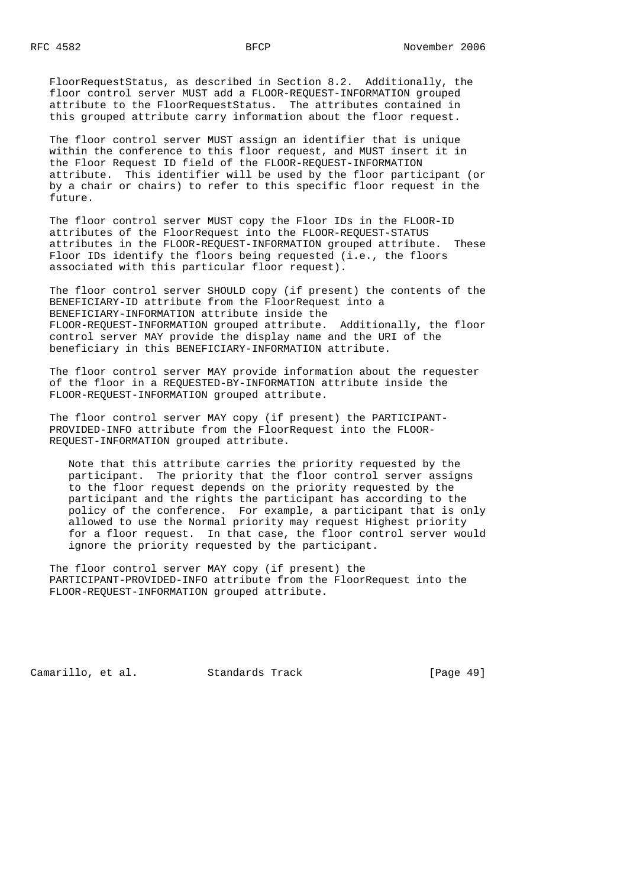FloorRequestStatus, as described in Section 8.2. Additionally, the floor control server MUST add a FLOOR-REQUEST-INFORMATION grouped attribute to the FloorRequestStatus. The attributes contained in this grouped attribute carry information about the floor request.

 The floor control server MUST assign an identifier that is unique within the conference to this floor request, and MUST insert it in the Floor Request ID field of the FLOOR-REQUEST-INFORMATION attribute. This identifier will be used by the floor participant (or by a chair or chairs) to refer to this specific floor request in the future.

 The floor control server MUST copy the Floor IDs in the FLOOR-ID attributes of the FloorRequest into the FLOOR-REQUEST-STATUS attributes in the FLOOR-REQUEST-INFORMATION grouped attribute. These Floor IDs identify the floors being requested (i.e., the floors associated with this particular floor request).

 The floor control server SHOULD copy (if present) the contents of the BENEFICIARY-ID attribute from the FloorRequest into a BENEFICIARY-INFORMATION attribute inside the FLOOR-REQUEST-INFORMATION grouped attribute. Additionally, the floor control server MAY provide the display name and the URI of the beneficiary in this BENEFICIARY-INFORMATION attribute.

 The floor control server MAY provide information about the requester of the floor in a REQUESTED-BY-INFORMATION attribute inside the FLOOR-REQUEST-INFORMATION grouped attribute.

 The floor control server MAY copy (if present) the PARTICIPANT- PROVIDED-INFO attribute from the FloorRequest into the FLOOR-REQUEST-INFORMATION grouped attribute.

 Note that this attribute carries the priority requested by the participant. The priority that the floor control server assigns to the floor request depends on the priority requested by the participant and the rights the participant has according to the policy of the conference. For example, a participant that is only allowed to use the Normal priority may request Highest priority for a floor request. In that case, the floor control server would ignore the priority requested by the participant.

 The floor control server MAY copy (if present) the PARTICIPANT-PROVIDED-INFO attribute from the FloorRequest into the FLOOR-REQUEST-INFORMATION grouped attribute.

Camarillo, et al. Standards Track [Page 49]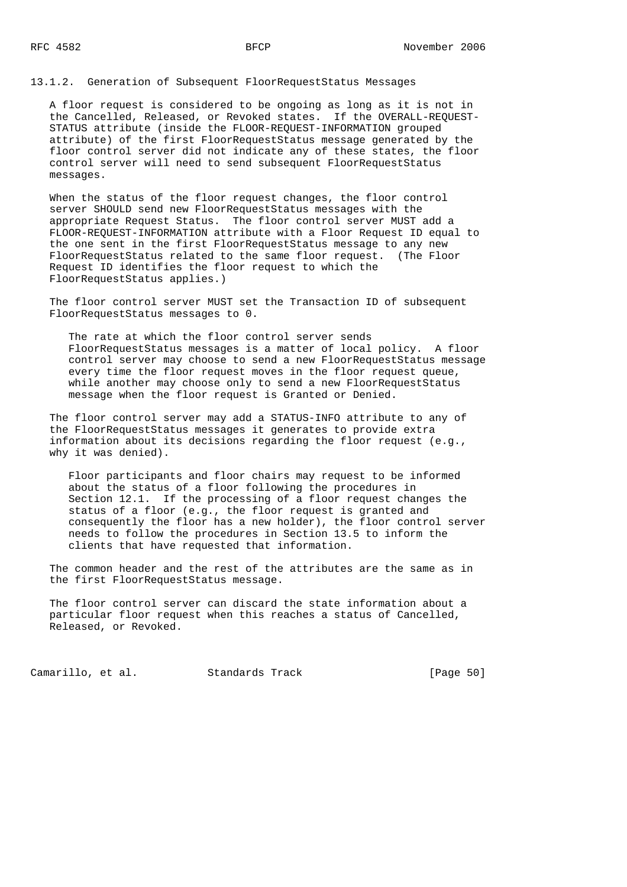13.1.2. Generation of Subsequent FloorRequestStatus Messages

 A floor request is considered to be ongoing as long as it is not in the Cancelled, Released, or Revoked states. If the OVERALL-REQUEST- STATUS attribute (inside the FLOOR-REQUEST-INFORMATION grouped attribute) of the first FloorRequestStatus message generated by the floor control server did not indicate any of these states, the floor control server will need to send subsequent FloorRequestStatus messages.

 When the status of the floor request changes, the floor control server SHOULD send new FloorRequestStatus messages with the appropriate Request Status. The floor control server MUST add a FLOOR-REQUEST-INFORMATION attribute with a Floor Request ID equal to the one sent in the first FloorRequestStatus message to any new FloorRequestStatus related to the same floor request. (The Floor Request ID identifies the floor request to which the FloorRequestStatus applies.)

 The floor control server MUST set the Transaction ID of subsequent FloorRequestStatus messages to 0.

 The rate at which the floor control server sends FloorRequestStatus messages is a matter of local policy. A floor control server may choose to send a new FloorRequestStatus message every time the floor request moves in the floor request queue, while another may choose only to send a new FloorRequestStatus message when the floor request is Granted or Denied.

 The floor control server may add a STATUS-INFO attribute to any of the FloorRequestStatus messages it generates to provide extra information about its decisions regarding the floor request (e.g., why it was denied).

 Floor participants and floor chairs may request to be informed about the status of a floor following the procedures in Section 12.1. If the processing of a floor request changes the status of a floor (e.g., the floor request is granted and consequently the floor has a new holder), the floor control server needs to follow the procedures in Section 13.5 to inform the clients that have requested that information.

 The common header and the rest of the attributes are the same as in the first FloorRequestStatus message.

 The floor control server can discard the state information about a particular floor request when this reaches a status of Cancelled, Released, or Revoked.

Camarillo, et al. Standards Track [Page 50]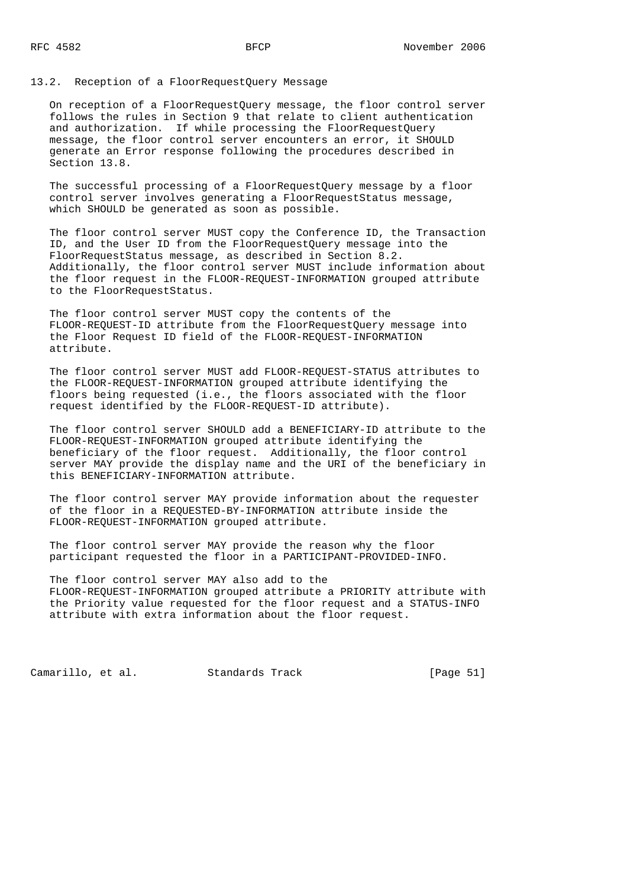13.2. Reception of a FloorRequestQuery Message

 On reception of a FloorRequestQuery message, the floor control server follows the rules in Section 9 that relate to client authentication and authorization. If while processing the FloorRequestQuery message, the floor control server encounters an error, it SHOULD generate an Error response following the procedures described in Section 13.8.

 The successful processing of a FloorRequestQuery message by a floor control server involves generating a FloorRequestStatus message, which SHOULD be generated as soon as possible.

 The floor control server MUST copy the Conference ID, the Transaction ID, and the User ID from the FloorRequestQuery message into the FloorRequestStatus message, as described in Section 8.2. Additionally, the floor control server MUST include information about the floor request in the FLOOR-REQUEST-INFORMATION grouped attribute to the FloorRequestStatus.

 The floor control server MUST copy the contents of the FLOOR-REQUEST-ID attribute from the FloorRequestQuery message into the Floor Request ID field of the FLOOR-REQUEST-INFORMATION attribute.

 The floor control server MUST add FLOOR-REQUEST-STATUS attributes to the FLOOR-REQUEST-INFORMATION grouped attribute identifying the floors being requested (i.e., the floors associated with the floor request identified by the FLOOR-REQUEST-ID attribute).

 The floor control server SHOULD add a BENEFICIARY-ID attribute to the FLOOR-REQUEST-INFORMATION grouped attribute identifying the beneficiary of the floor request. Additionally, the floor control server MAY provide the display name and the URI of the beneficiary in this BENEFICIARY-INFORMATION attribute.

 The floor control server MAY provide information about the requester of the floor in a REQUESTED-BY-INFORMATION attribute inside the FLOOR-REQUEST-INFORMATION grouped attribute.

 The floor control server MAY provide the reason why the floor participant requested the floor in a PARTICIPANT-PROVIDED-INFO.

 The floor control server MAY also add to the FLOOR-REQUEST-INFORMATION grouped attribute a PRIORITY attribute with the Priority value requested for the floor request and a STATUS-INFO attribute with extra information about the floor request.

Camarillo, et al. Standards Track [Page 51]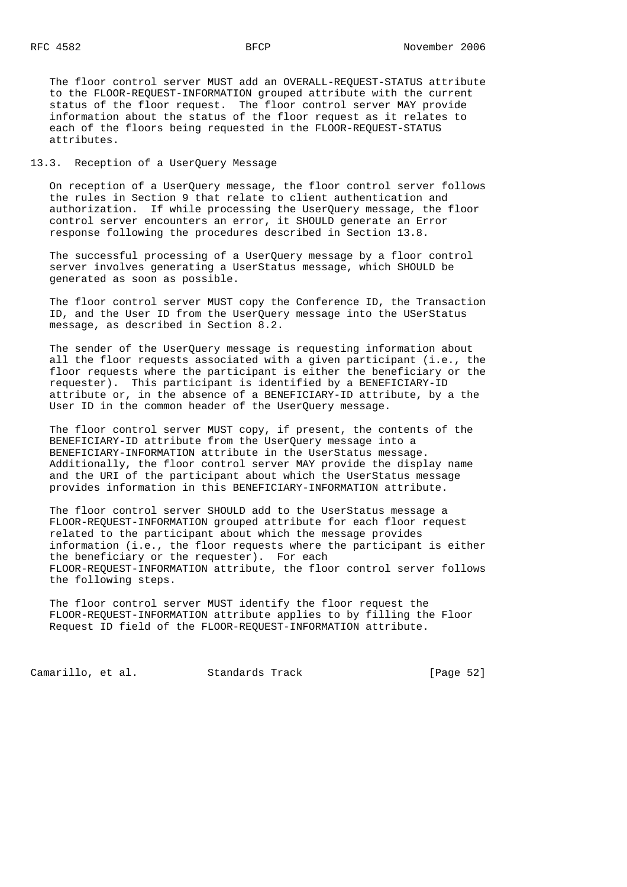The floor control server MUST add an OVERALL-REQUEST-STATUS attribute to the FLOOR-REQUEST-INFORMATION grouped attribute with the current status of the floor request. The floor control server MAY provide information about the status of the floor request as it relates to each of the floors being requested in the FLOOR-REQUEST-STATUS attributes.

# 13.3. Reception of a UserQuery Message

 On reception of a UserQuery message, the floor control server follows the rules in Section 9 that relate to client authentication and authorization. If while processing the UserQuery message, the floor control server encounters an error, it SHOULD generate an Error response following the procedures described in Section 13.8.

 The successful processing of a UserQuery message by a floor control server involves generating a UserStatus message, which SHOULD be generated as soon as possible.

 The floor control server MUST copy the Conference ID, the Transaction ID, and the User ID from the UserQuery message into the USerStatus message, as described in Section 8.2.

 The sender of the UserQuery message is requesting information about all the floor requests associated with a given participant (i.e., the floor requests where the participant is either the beneficiary or the requester). This participant is identified by a BENEFICIARY-ID attribute or, in the absence of a BENEFICIARY-ID attribute, by a the User ID in the common header of the UserQuery message.

 The floor control server MUST copy, if present, the contents of the BENEFICIARY-ID attribute from the UserQuery message into a BENEFICIARY-INFORMATION attribute in the UserStatus message. Additionally, the floor control server MAY provide the display name and the URI of the participant about which the UserStatus message provides information in this BENEFICIARY-INFORMATION attribute.

 The floor control server SHOULD add to the UserStatus message a FLOOR-REQUEST-INFORMATION grouped attribute for each floor request related to the participant about which the message provides information (i.e., the floor requests where the participant is either the beneficiary or the requester). For each FLOOR-REQUEST-INFORMATION attribute, the floor control server follows the following steps.

 The floor control server MUST identify the floor request the FLOOR-REQUEST-INFORMATION attribute applies to by filling the Floor Request ID field of the FLOOR-REQUEST-INFORMATION attribute.

Camarillo, et al. Standards Track [Page 52]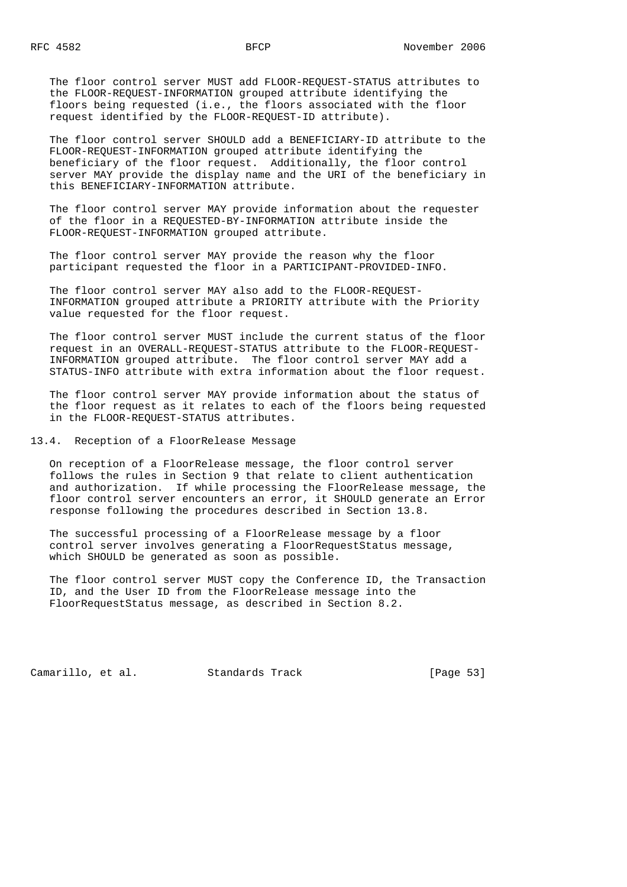The floor control server MUST add FLOOR-REQUEST-STATUS attributes to the FLOOR-REQUEST-INFORMATION grouped attribute identifying the floors being requested (i.e., the floors associated with the floor request identified by the FLOOR-REQUEST-ID attribute).

 The floor control server SHOULD add a BENEFICIARY-ID attribute to the FLOOR-REQUEST-INFORMATION grouped attribute identifying the beneficiary of the floor request. Additionally, the floor control server MAY provide the display name and the URI of the beneficiary in this BENEFICIARY-INFORMATION attribute.

 The floor control server MAY provide information about the requester of the floor in a REQUESTED-BY-INFORMATION attribute inside the FLOOR-REQUEST-INFORMATION grouped attribute.

 The floor control server MAY provide the reason why the floor participant requested the floor in a PARTICIPANT-PROVIDED-INFO.

 The floor control server MAY also add to the FLOOR-REQUEST- INFORMATION grouped attribute a PRIORITY attribute with the Priority value requested for the floor request.

 The floor control server MUST include the current status of the floor request in an OVERALL-REQUEST-STATUS attribute to the FLOOR-REQUEST- INFORMATION grouped attribute. The floor control server MAY add a STATUS-INFO attribute with extra information about the floor request.

 The floor control server MAY provide information about the status of the floor request as it relates to each of the floors being requested in the FLOOR-REQUEST-STATUS attributes.

13.4. Reception of a FloorRelease Message

 On reception of a FloorRelease message, the floor control server follows the rules in Section 9 that relate to client authentication and authorization. If while processing the FloorRelease message, the floor control server encounters an error, it SHOULD generate an Error response following the procedures described in Section 13.8.

 The successful processing of a FloorRelease message by a floor control server involves generating a FloorRequestStatus message, which SHOULD be generated as soon as possible.

 The floor control server MUST copy the Conference ID, the Transaction ID, and the User ID from the FloorRelease message into the FloorRequestStatus message, as described in Section 8.2.

Camarillo, et al. Standards Track [Page 53]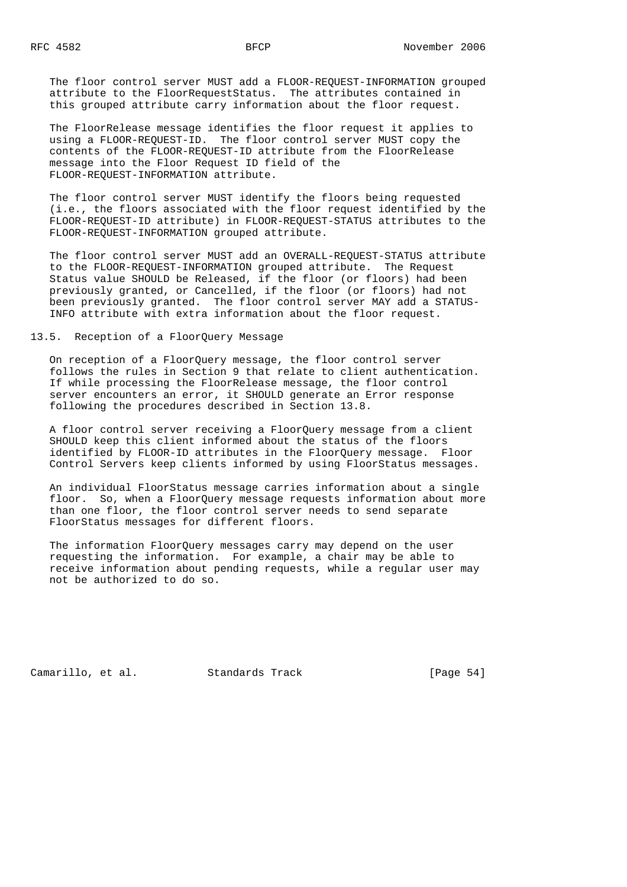The floor control server MUST add a FLOOR-REQUEST-INFORMATION grouped attribute to the FloorRequestStatus. The attributes contained in this grouped attribute carry information about the floor request.

 The FloorRelease message identifies the floor request it applies to using a FLOOR-REQUEST-ID. The floor control server MUST copy the contents of the FLOOR-REQUEST-ID attribute from the FloorRelease message into the Floor Request ID field of the FLOOR-REQUEST-INFORMATION attribute.

 The floor control server MUST identify the floors being requested (i.e., the floors associated with the floor request identified by the FLOOR-REQUEST-ID attribute) in FLOOR-REQUEST-STATUS attributes to the FLOOR-REQUEST-INFORMATION grouped attribute.

 The floor control server MUST add an OVERALL-REQUEST-STATUS attribute to the FLOOR-REQUEST-INFORMATION grouped attribute. The Request Status value SHOULD be Released, if the floor (or floors) had been previously granted, or Cancelled, if the floor (or floors) had not been previously granted. The floor control server MAY add a STATUS- INFO attribute with extra information about the floor request.

## 13.5. Reception of a FloorQuery Message

 On reception of a FloorQuery message, the floor control server follows the rules in Section 9 that relate to client authentication. If while processing the FloorRelease message, the floor control server encounters an error, it SHOULD generate an Error response following the procedures described in Section 13.8.

 A floor control server receiving a FloorQuery message from a client SHOULD keep this client informed about the status of the floors identified by FLOOR-ID attributes in the FloorQuery message. Floor Control Servers keep clients informed by using FloorStatus messages.

 An individual FloorStatus message carries information about a single floor. So, when a FloorQuery message requests information about more than one floor, the floor control server needs to send separate FloorStatus messages for different floors.

 The information FloorQuery messages carry may depend on the user requesting the information. For example, a chair may be able to receive information about pending requests, while a regular user may not be authorized to do so.

Camarillo, et al. Standards Track [Page 54]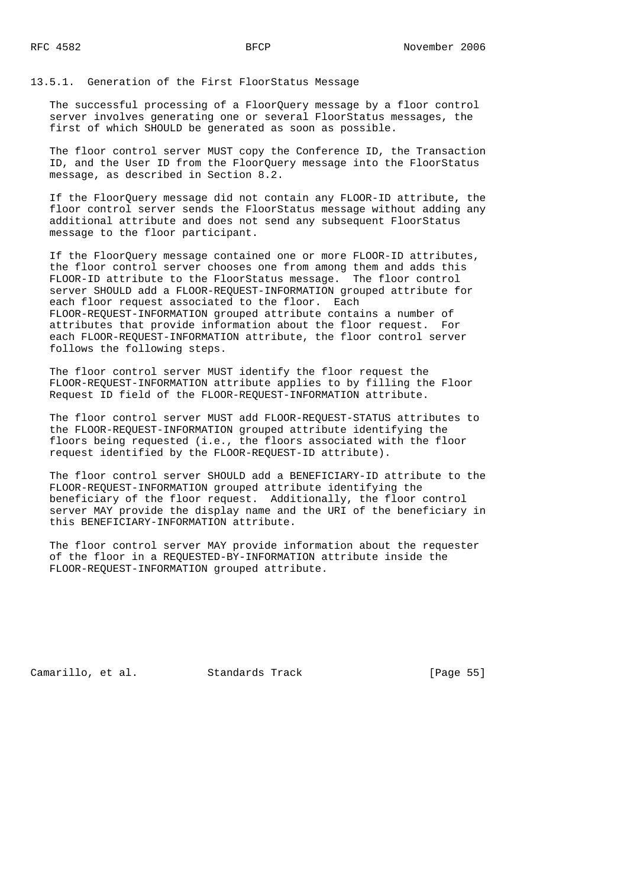13.5.1. Generation of the First FloorStatus Message

 The successful processing of a FloorQuery message by a floor control server involves generating one or several FloorStatus messages, the first of which SHOULD be generated as soon as possible.

 The floor control server MUST copy the Conference ID, the Transaction ID, and the User ID from the FloorQuery message into the FloorStatus message, as described in Section 8.2.

 If the FloorQuery message did not contain any FLOOR-ID attribute, the floor control server sends the FloorStatus message without adding any additional attribute and does not send any subsequent FloorStatus message to the floor participant.

 If the FloorQuery message contained one or more FLOOR-ID attributes, the floor control server chooses one from among them and adds this FLOOR-ID attribute to the FloorStatus message. The floor control server SHOULD add a FLOOR-REQUEST-INFORMATION grouped attribute for each floor request associated to the floor. Each FLOOR-REQUEST-INFORMATION grouped attribute contains a number of attributes that provide information about the floor request. For each FLOOR-REQUEST-INFORMATION attribute, the floor control server follows the following steps.

 The floor control server MUST identify the floor request the FLOOR-REQUEST-INFORMATION attribute applies to by filling the Floor Request ID field of the FLOOR-REQUEST-INFORMATION attribute.

 The floor control server MUST add FLOOR-REQUEST-STATUS attributes to the FLOOR-REQUEST-INFORMATION grouped attribute identifying the floors being requested (i.e., the floors associated with the floor request identified by the FLOOR-REQUEST-ID attribute).

 The floor control server SHOULD add a BENEFICIARY-ID attribute to the FLOOR-REQUEST-INFORMATION grouped attribute identifying the beneficiary of the floor request. Additionally, the floor control server MAY provide the display name and the URI of the beneficiary in this BENEFICIARY-INFORMATION attribute.

 The floor control server MAY provide information about the requester of the floor in a REQUESTED-BY-INFORMATION attribute inside the FLOOR-REQUEST-INFORMATION grouped attribute.

Camarillo, et al. Standards Track [Page 55]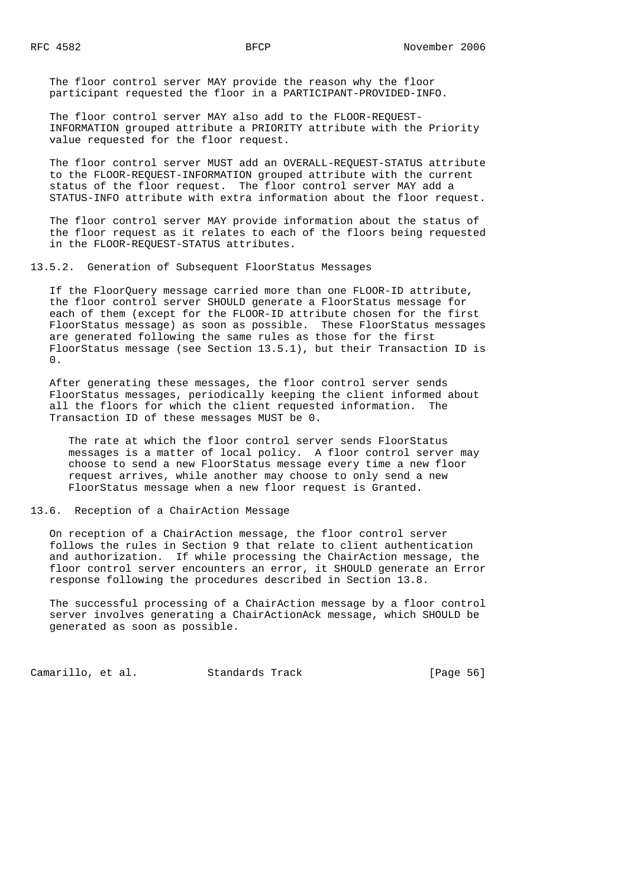The floor control server MAY provide the reason why the floor participant requested the floor in a PARTICIPANT-PROVIDED-INFO.

 The floor control server MAY also add to the FLOOR-REQUEST- INFORMATION grouped attribute a PRIORITY attribute with the Priority value requested for the floor request.

 The floor control server MUST add an OVERALL-REQUEST-STATUS attribute to the FLOOR-REQUEST-INFORMATION grouped attribute with the current status of the floor request. The floor control server MAY add a STATUS-INFO attribute with extra information about the floor request.

 The floor control server MAY provide information about the status of the floor request as it relates to each of the floors being requested in the FLOOR-REQUEST-STATUS attributes.

13.5.2. Generation of Subsequent FloorStatus Messages

 If the FloorQuery message carried more than one FLOOR-ID attribute, the floor control server SHOULD generate a FloorStatus message for each of them (except for the FLOOR-ID attribute chosen for the first FloorStatus message) as soon as possible. These FloorStatus messages are generated following the same rules as those for the first FloorStatus message (see Section 13.5.1), but their Transaction ID is 0.

 After generating these messages, the floor control server sends FloorStatus messages, periodically keeping the client informed about all the floors for which the client requested information. The Transaction ID of these messages MUST be 0.

The rate at which the floor control server sends FloorStatus messages is a matter of local policy. A floor control server may choose to send a new FloorStatus message every time a new floor request arrives, while another may choose to only send a new FloorStatus message when a new floor request is Granted.

### 13.6. Reception of a ChairAction Message

 On reception of a ChairAction message, the floor control server follows the rules in Section 9 that relate to client authentication and authorization. If while processing the ChairAction message, the floor control server encounters an error, it SHOULD generate an Error response following the procedures described in Section 13.8.

 The successful processing of a ChairAction message by a floor control server involves generating a ChairActionAck message, which SHOULD be generated as soon as possible.

Camarillo, et al. Standards Track [Page 56]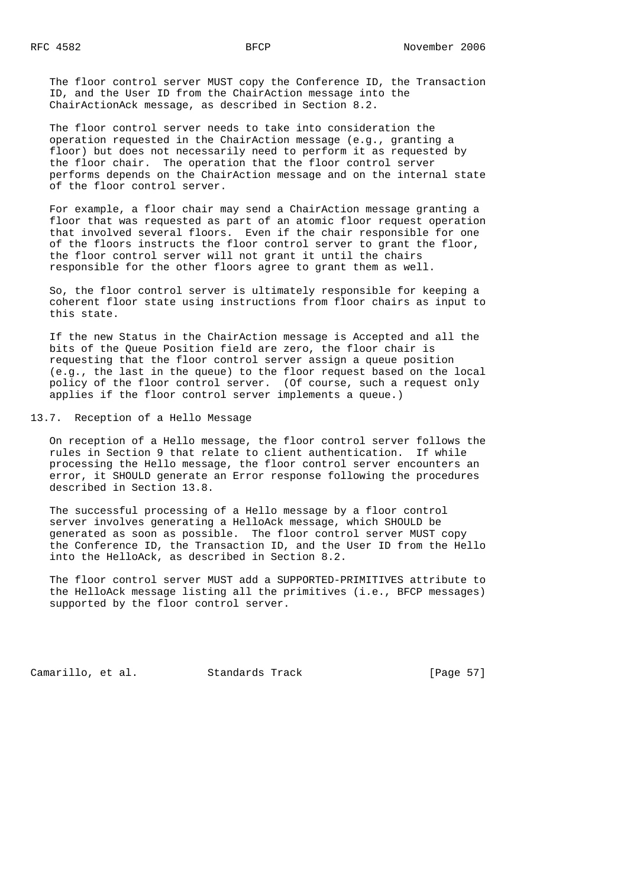The floor control server MUST copy the Conference ID, the Transaction ID, and the User ID from the ChairAction message into the ChairActionAck message, as described in Section 8.2.

 The floor control server needs to take into consideration the operation requested in the ChairAction message (e.g., granting a floor) but does not necessarily need to perform it as requested by the floor chair. The operation that the floor control server performs depends on the ChairAction message and on the internal state of the floor control server.

 For example, a floor chair may send a ChairAction message granting a floor that was requested as part of an atomic floor request operation that involved several floors. Even if the chair responsible for one of the floors instructs the floor control server to grant the floor, the floor control server will not grant it until the chairs responsible for the other floors agree to grant them as well.

 So, the floor control server is ultimately responsible for keeping a coherent floor state using instructions from floor chairs as input to this state.

 If the new Status in the ChairAction message is Accepted and all the bits of the Queue Position field are zero, the floor chair is requesting that the floor control server assign a queue position (e.g., the last in the queue) to the floor request based on the local policy of the floor control server. (Of course, such a request only applies if the floor control server implements a queue.)

13.7. Reception of a Hello Message

 On reception of a Hello message, the floor control server follows the rules in Section 9 that relate to client authentication. If while processing the Hello message, the floor control server encounters an error, it SHOULD generate an Error response following the procedures described in Section 13.8.

 The successful processing of a Hello message by a floor control server involves generating a HelloAck message, which SHOULD be generated as soon as possible. The floor control server MUST copy the Conference ID, the Transaction ID, and the User ID from the Hello into the HelloAck, as described in Section 8.2.

 The floor control server MUST add a SUPPORTED-PRIMITIVES attribute to the HelloAck message listing all the primitives (i.e., BFCP messages) supported by the floor control server.

Camarillo, et al. Standards Track [Page 57]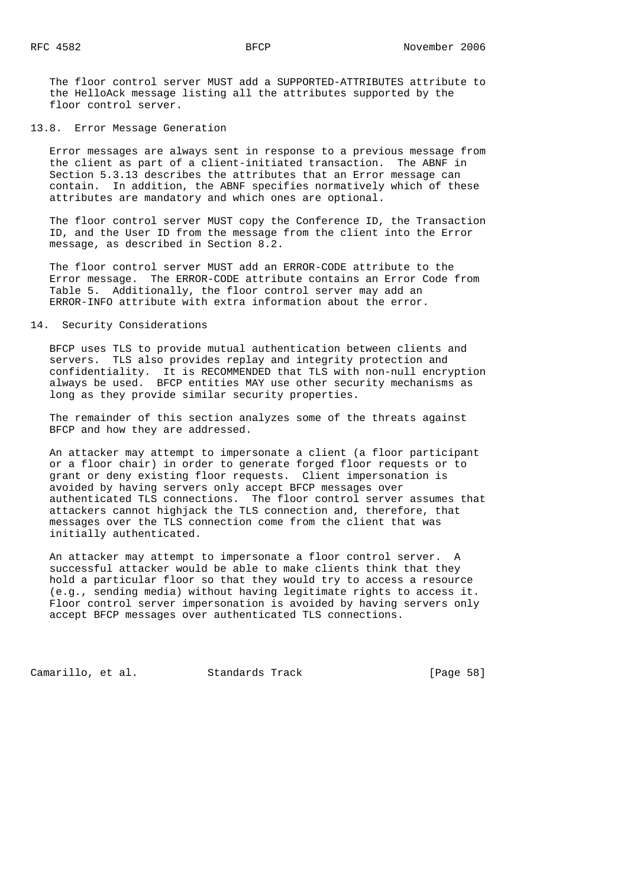The floor control server MUST add a SUPPORTED-ATTRIBUTES attribute to the HelloAck message listing all the attributes supported by the floor control server.

13.8. Error Message Generation

 Error messages are always sent in response to a previous message from the client as part of a client-initiated transaction. The ABNF in Section 5.3.13 describes the attributes that an Error message can contain. In addition, the ABNF specifies normatively which of these attributes are mandatory and which ones are optional.

 The floor control server MUST copy the Conference ID, the Transaction ID, and the User ID from the message from the client into the Error message, as described in Section 8.2.

 The floor control server MUST add an ERROR-CODE attribute to the Error message. The ERROR-CODE attribute contains an Error Code from Table 5. Additionally, the floor control server may add an ERROR-INFO attribute with extra information about the error.

### 14. Security Considerations

 BFCP uses TLS to provide mutual authentication between clients and servers. TLS also provides replay and integrity protection and confidentiality. It is RECOMMENDED that TLS with non-null encryption always be used. BFCP entities MAY use other security mechanisms as long as they provide similar security properties.

 The remainder of this section analyzes some of the threats against BFCP and how they are addressed.

 An attacker may attempt to impersonate a client (a floor participant or a floor chair) in order to generate forged floor requests or to grant or deny existing floor requests. Client impersonation is avoided by having servers only accept BFCP messages over authenticated TLS connections. The floor control server assumes that attackers cannot highjack the TLS connection and, therefore, that messages over the TLS connection come from the client that was initially authenticated.

 An attacker may attempt to impersonate a floor control server. A successful attacker would be able to make clients think that they hold a particular floor so that they would try to access a resource (e.g., sending media) without having legitimate rights to access it. Floor control server impersonation is avoided by having servers only accept BFCP messages over authenticated TLS connections.

Camarillo, et al. Standards Track [Page 58]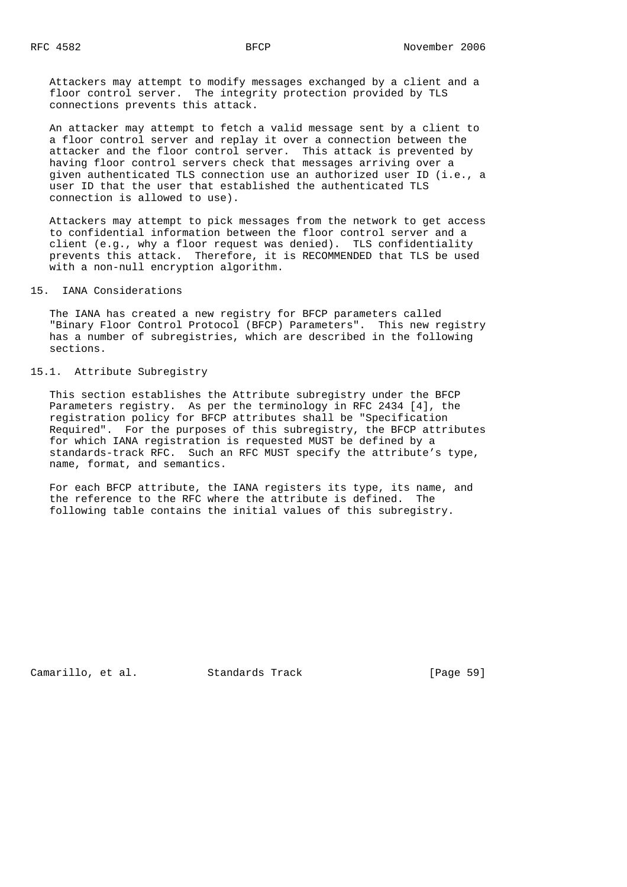Attackers may attempt to modify messages exchanged by a client and a floor control server. The integrity protection provided by TLS connections prevents this attack.

 An attacker may attempt to fetch a valid message sent by a client to a floor control server and replay it over a connection between the attacker and the floor control server. This attack is prevented by having floor control servers check that messages arriving over a given authenticated TLS connection use an authorized user ID (i.e., a user ID that the user that established the authenticated TLS connection is allowed to use).

 Attackers may attempt to pick messages from the network to get access to confidential information between the floor control server and a client (e.g., why a floor request was denied). TLS confidentiality prevents this attack. Therefore, it is RECOMMENDED that TLS be used with a non-null encryption algorithm.

# 15. IANA Considerations

 The IANA has created a new registry for BFCP parameters called "Binary Floor Control Protocol (BFCP) Parameters". This new registry has a number of subregistries, which are described in the following sections.

# 15.1. Attribute Subregistry

 This section establishes the Attribute subregistry under the BFCP Parameters registry. As per the terminology in RFC 2434 [4], the registration policy for BFCP attributes shall be "Specification Required". For the purposes of this subregistry, the BFCP attributes for which IANA registration is requested MUST be defined by a standards-track RFC. Such an RFC MUST specify the attribute's type, name, format, and semantics.

 For each BFCP attribute, the IANA registers its type, its name, and the reference to the RFC where the attribute is defined. The following table contains the initial values of this subregistry.

Camarillo, et al. Standards Track [Page 59]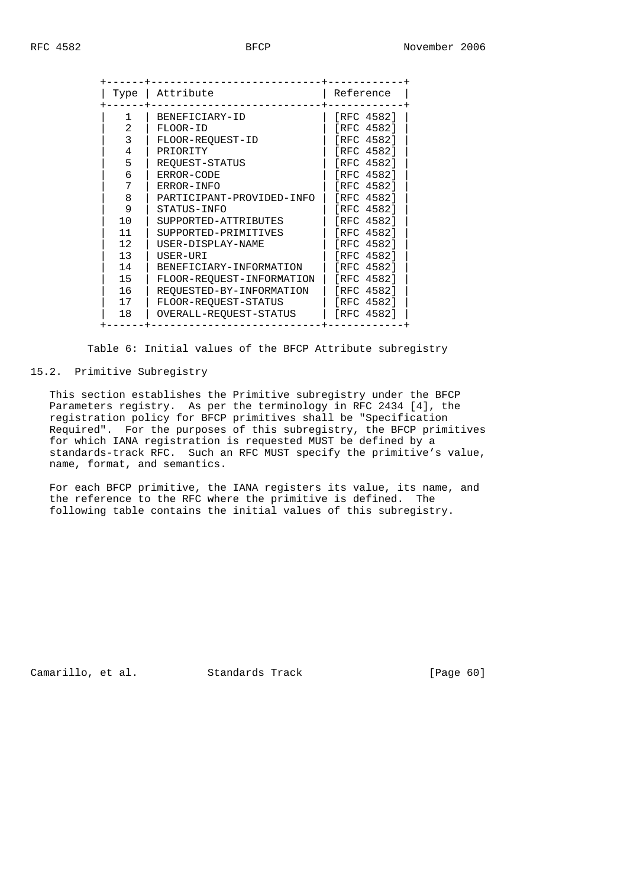| Type           | Attribute                 | Reference  |
|----------------|---------------------------|------------|
| 1              | BENEFICIARY-ID            | FRFC 45821 |
| $\overline{2}$ | FLOOR-ID                  | FRFC 45821 |
| 3              | FLOOR-REQUEST-ID          | FRFC 45821 |
| 4              | PRIORITY                  | FRFC 45821 |
| 5              | REQUEST-STATUS            | FRFC 45821 |
| 6              | ERROR-CODE                | [RFC 4582] |
| 7              | ERROR-INFO                | FRFC 45821 |
| 8              | PARTICIPANT-PROVIDED-INFO | FRFC 45821 |
| 9              | STATUS-INFO               | [RFC 4582] |
| 10             | SUPPORTED-ATTRIBUTES      | FRFC 45821 |
| 11             | SUPPORTED-PRIMITIVES      | FRFC 45821 |
| 12.            | USER-DISPLAY-NAME         | FRFC 45821 |
| 13             | USER-URI                  | FRFC 45821 |
| 14             | BENEFICIARY-INFORMATION   | FRFC 45821 |
| 15             | FLOOR-REOUEST-INFORMATION | FRFC 45821 |
| 16             | REQUESTED-BY-INFORMATION  | [RFC 4582] |
| 17             | FLOOR-REQUEST-STATUS      | FRFC 45821 |
| 18             | OVERALL-REQUEST-STATUS    | FRFC 45821 |

Table 6: Initial values of the BFCP Attribute subregistry

## 15.2. Primitive Subregistry

 This section establishes the Primitive subregistry under the BFCP Parameters registry. As per the terminology in RFC 2434 [4], the registration policy for BFCP primitives shall be "Specification Required". For the purposes of this subregistry, the BFCP primitives for which IANA registration is requested MUST be defined by a standards-track RFC. Such an RFC MUST specify the primitive's value, name, format, and semantics.

 For each BFCP primitive, the IANA registers its value, its name, and the reference to the RFC where the primitive is defined. The following table contains the initial values of this subregistry.

Camarillo, et al. Standards Track [Page 60]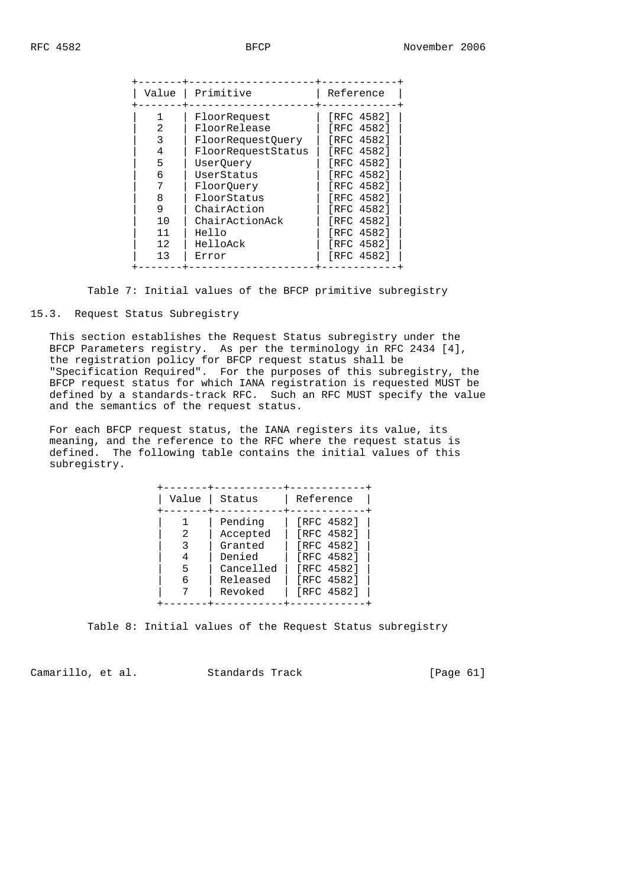| Value | Primitive          | Reference  |
|-------|--------------------|------------|
|       | FloorRequest       | FRFC 45821 |
| 2     | FloorRelease       | FRFC 45821 |
| 3     | FloorRequestOuery  | FRFC 45821 |
| 4     | FloorRequestStatus | FRFC 45821 |
| 5     | User0uery          | FRFC 45821 |
| 6     | UserStatus         | [RFC 4582] |
| 7     | FloorOuery         | FRFC 45821 |
| 8     | FloorStatus        | FRFC 45821 |
| 9     | ChairAction        | FRFC 45821 |
| 10    | ChairActionAck     | FRFC 45821 |
| 11    | Hello              | [RFC 4582] |
| 12.   | HelloAck           | FRFC 45821 |
| 13    | Error              | [RFC 4582] |

Table 7: Initial values of the BFCP primitive subregistry

# 15.3. Request Status Subregistry

 This section establishes the Request Status subregistry under the BFCP Parameters registry. As per the terminology in RFC 2434 [4], the registration policy for BFCP request status shall be "Specification Required". For the purposes of this subregistry, the BFCP request status for which IANA registration is requested MUST be defined by a standards-track RFC. Such an RFC MUST specify the value and the semantics of the request status.

 For each BFCP request status, the IANA registers its value, its meaning, and the reference to the RFC where the request status is defined. The following table contains the initial values of this subregistry.

| Value            |
|------------------|
| 2<br>3<br>5<br>6 |

Table 8: Initial values of the Request Status subregistry

Camarillo, et al. Standards Track [Page 61]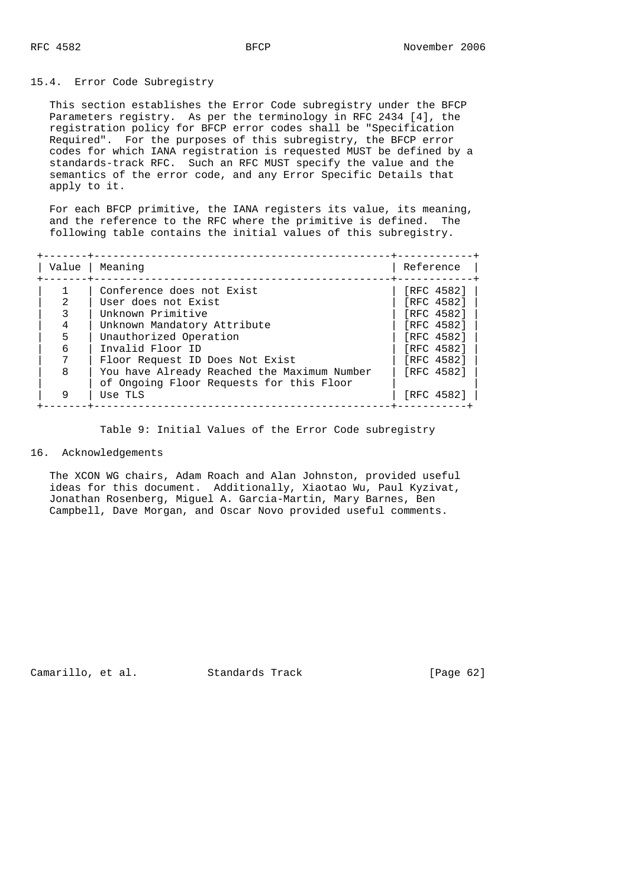15.4. Error Code Subregistry

 This section establishes the Error Code subregistry under the BFCP Parameters registry. As per the terminology in RFC 2434 [4], the registration policy for BFCP error codes shall be "Specification Required". For the purposes of this subregistry, the BFCP error codes for which IANA registration is requested MUST be defined by a standards-track RFC. Such an RFC MUST specify the value and the semantics of the error code, and any Error Specific Details that apply to it.

 For each BFCP primitive, the IANA registers its value, its meaning, and the reference to the RFC where the primitive is defined. The following table contains the initial values of this subregistry.

| Value | Meaning                                                                                 | Reference                              |
|-------|-----------------------------------------------------------------------------------------|----------------------------------------|
|       | Conference does not Exist<br>User does not Exist<br>Unknown Primitive                   | FRFC 45821<br>FRFC 45821<br>FRFC 45821 |
| 5     | Unknown Mandatory Attribute<br>Unauthorized Operation                                   | FRFC 45821<br>FRFC 45821               |
| б     | Invalid Floor ID<br>Floor Request ID Does Not Exist                                     | FRFC 45821<br>[RFC 4582]               |
| 8     | You have Already Reached the Maximum Number<br>of Ongoing Floor Requests for this Floor | FRFC 45821                             |
|       | Use TLS                                                                                 | FRFC 45821                             |

Table 9: Initial Values of the Error Code subregistry

16. Acknowledgements

 The XCON WG chairs, Adam Roach and Alan Johnston, provided useful ideas for this document. Additionally, Xiaotao Wu, Paul Kyzivat, Jonathan Rosenberg, Miguel A. Garcia-Martin, Mary Barnes, Ben Campbell, Dave Morgan, and Oscar Novo provided useful comments.

Camarillo, et al. Standards Track [Page 62]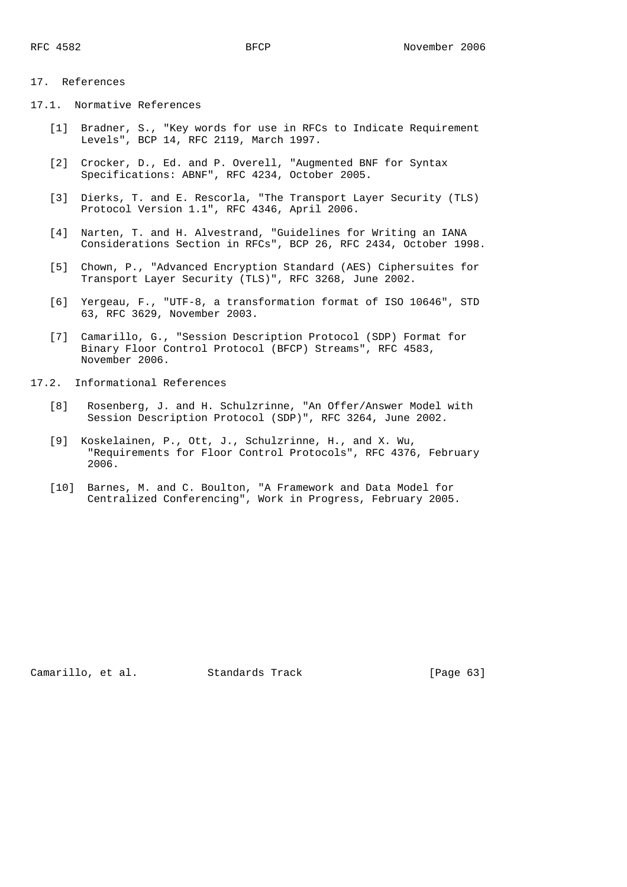# 17. References

17.1. Normative References

- [1] Bradner, S., "Key words for use in RFCs to Indicate Requirement Levels", BCP 14, RFC 2119, March 1997.
- [2] Crocker, D., Ed. and P. Overell, "Augmented BNF for Syntax Specifications: ABNF", RFC 4234, October 2005.
- [3] Dierks, T. and E. Rescorla, "The Transport Layer Security (TLS) Protocol Version 1.1", RFC 4346, April 2006.
- [4] Narten, T. and H. Alvestrand, "Guidelines for Writing an IANA Considerations Section in RFCs", BCP 26, RFC 2434, October 1998.
- [5] Chown, P., "Advanced Encryption Standard (AES) Ciphersuites for Transport Layer Security (TLS)", RFC 3268, June 2002.
- [6] Yergeau, F., "UTF-8, a transformation format of ISO 10646", STD 63, RFC 3629, November 2003.
- [7] Camarillo, G., "Session Description Protocol (SDP) Format for Binary Floor Control Protocol (BFCP) Streams", RFC 4583, November 2006.
- 17.2. Informational References
	- [8] Rosenberg, J. and H. Schulzrinne, "An Offer/Answer Model with Session Description Protocol (SDP)", RFC 3264, June 2002.
	- [9] Koskelainen, P., Ott, J., Schulzrinne, H., and X. Wu, "Requirements for Floor Control Protocols", RFC 4376, February 2006.
	- [10] Barnes, M. and C. Boulton, "A Framework and Data Model for Centralized Conferencing", Work in Progress, February 2005.

Camarillo, et al. Standards Track [Page 63]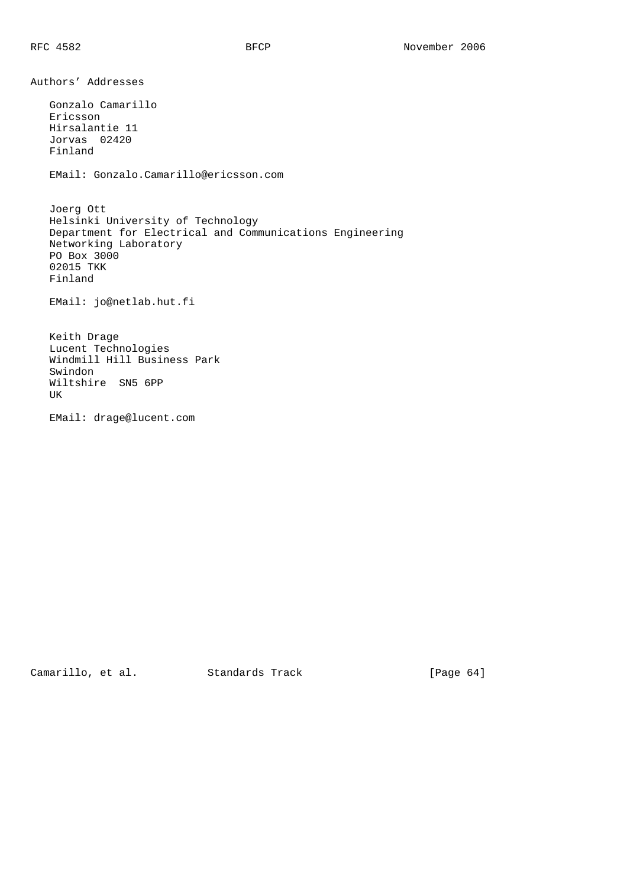Authors' Addresses Gonzalo Camarillo Ericsson Hirsalantie 11 Jorvas 02420 Finland EMail: Gonzalo.Camarillo@ericsson.com Joerg Ott Helsinki University of Technology Department for Electrical and Communications Engineering Networking Laboratory PO Box 3000 02015 TKK Finland EMail: jo@netlab.hut.fi Keith Drage Lucent Technologies Windmill Hill Business Park Swindon Wiltshire SN5 6PP UK EMail: drage@lucent.com

Camarillo, et al. Standards Track [Page 64]